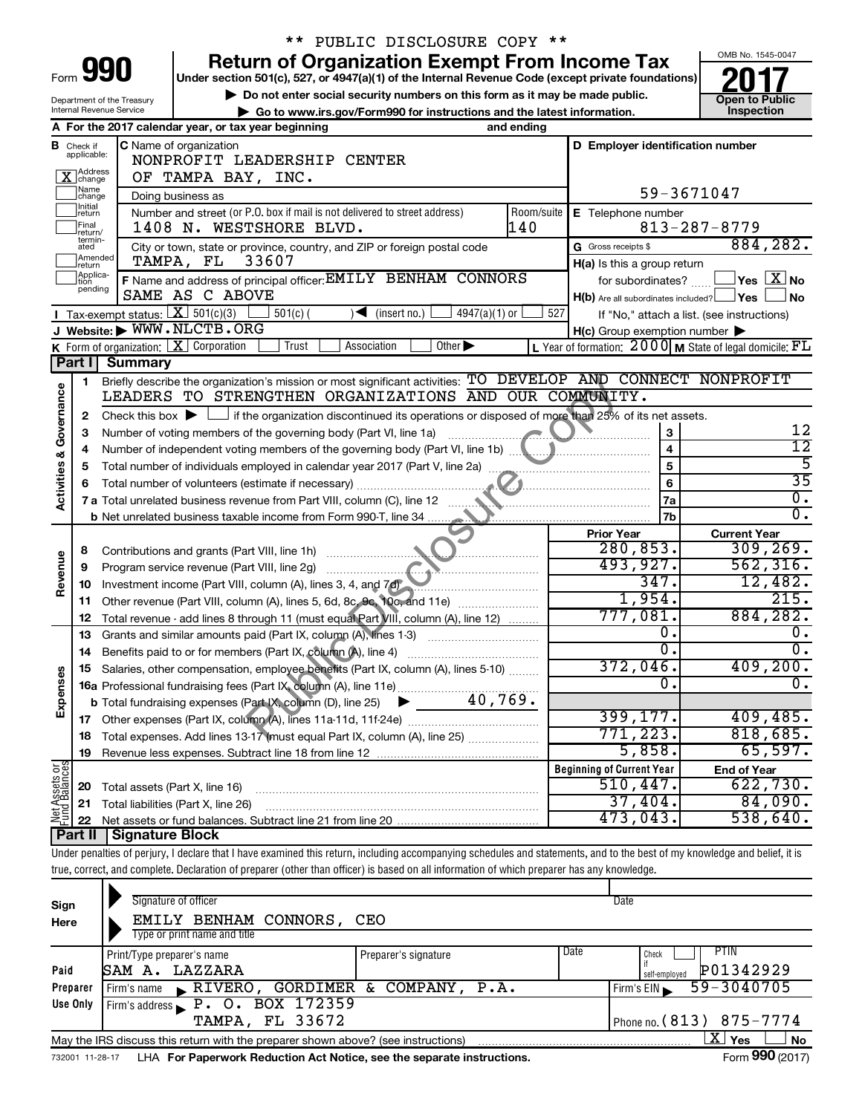| ⊦orm |  |  |
|------|--|--|

Department of the Treasury Internal Revenue Service

# \*\* PUBLIC DISCLOSURE COPY \*\*

**Under section 501(c), 527, or 4947(a)(1) of the Internal Revenue Code (except private foundations) 990 Return of Organization Exempt From Income Tax 1990 2017 Divide the section 501(c)**, 527, or 4947(a)(1) of the Internal Revenue Code (except private foundations) **2017** 

▶ Do not enter social security numbers on this form as it may be made public.<br>● Go to www.irs.gov/Form990 for instructions and the latest information. **Department in the latest** information. **| Go to www.irs.gov/Form990 for instructions and the latest information. Inspection**



|                                                   |                          | A For the 2017 calendar year, or tax year beginning                                                                                       | and ending |                                                     |                                                                     |  |  |  |
|---------------------------------------------------|--------------------------|-------------------------------------------------------------------------------------------------------------------------------------------|------------|-----------------------------------------------------|---------------------------------------------------------------------|--|--|--|
| в                                                 | Check if<br>applicable:  | <b>C</b> Name of organization                                                                                                             |            | D Employer identification number                    |                                                                     |  |  |  |
|                                                   |                          | NONPROFIT LEADERSHIP CENTER                                                                                                               |            |                                                     |                                                                     |  |  |  |
|                                                   | X Address                | OF TAMPA BAY, INC.                                                                                                                        |            |                                                     |                                                                     |  |  |  |
| Name<br>change<br>59-3671047<br>Doing business as |                          |                                                                                                                                           |            |                                                     |                                                                     |  |  |  |
|                                                   | <b>Initial</b><br>return | Number and street (or P.O. box if mail is not delivered to street address)                                                                | Room/suite | E Telephone number                                  |                                                                     |  |  |  |
|                                                   | Final<br>return/         | 1408 N. WESTSHORE BLVD.                                                                                                                   | 140        |                                                     | $813 - 287 - 8779$                                                  |  |  |  |
|                                                   | termin-<br>ated          | City or town, state or province, country, and ZIP or foreign postal code                                                                  |            | G Gross receipts \$                                 | 884,282.                                                            |  |  |  |
|                                                   | Amended<br>return        | TAMPA, FL 33607                                                                                                                           |            | $H(a)$ is this a group return                       |                                                                     |  |  |  |
|                                                   | Applica-<br>pending      | F Name and address of principal officer: EMILY BENHAM CONNORS                                                                             |            | for subordinates?                                   | $\Box$ Yes $\Box X$ No                                              |  |  |  |
|                                                   |                          | SAME AS C ABOVE                                                                                                                           |            | $H(b)$ Are all subordinates included? $\Box$ Yes    | <b>No</b>                                                           |  |  |  |
|                                                   |                          | Tax-exempt status: $X \overline{301(c)(3)}$<br>$\sqrt{\bullet}$ (insert no.)<br>4947(a)(1) or<br>$501(c)$ (                               | 527        |                                                     | If "No," attach a list. (see instructions)                          |  |  |  |
|                                                   |                          | J Website: WWW.NLCTB.ORG                                                                                                                  |            | $H(c)$ Group exemption number $\blacktriangleright$ |                                                                     |  |  |  |
|                                                   |                          | <b>K</b> Form of organization: $X$ Corporation<br>Association<br>Other $\blacktriangleright$<br>Trust                                     |            |                                                     | L Year of formation: $2000 \text{ m}$ State of legal domicile: $FL$ |  |  |  |
|                                                   | Part I                   | Summary                                                                                                                                   |            |                                                     |                                                                     |  |  |  |
|                                                   | $\mathbf{1}$             | Briefly describe the organization's mission or most significant activities: TO DEVELOP AND CONNECT NONPROFIT                              |            |                                                     |                                                                     |  |  |  |
|                                                   |                          | LEADERS TO STRENGTHEN ORGANIZATIONS AND OUR COMMUNITY.                                                                                    |            |                                                     |                                                                     |  |  |  |
| Activities & Governance                           | 2                        | Check this box $\blacktriangleright \Box$ if the organization discontinued its operations or disposed of more than 25% of its net assets. |            |                                                     | 12                                                                  |  |  |  |
|                                                   | 3                        | Number of voting members of the governing body (Part VI, line 1a)                                                                         |            | 3                                                   | $\overline{12}$                                                     |  |  |  |
|                                                   | 4                        |                                                                                                                                           |            | $\overline{\mathbf{4}}$                             | 5                                                                   |  |  |  |
|                                                   | 5                        |                                                                                                                                           |            | 5                                                   | $\overline{35}$                                                     |  |  |  |
|                                                   | 6                        |                                                                                                                                           |            | 6                                                   | $\overline{0}$ .                                                    |  |  |  |
|                                                   |                          |                                                                                                                                           |            | 7a                                                  | $\overline{0}$ .                                                    |  |  |  |
|                                                   |                          |                                                                                                                                           |            | 7b<br><b>Prior Year</b>                             | <b>Current Year</b>                                                 |  |  |  |
|                                                   | 8                        |                                                                                                                                           |            | 280, 853.                                           | 309, 269.                                                           |  |  |  |
|                                                   | 9                        | Contributions and grants (Part VIII, line 1h)<br>Program service revenue (Part VIII, line 2g)                                             |            | 493,927.                                            | 562, 316.                                                           |  |  |  |
| Revenue                                           | 10                       | Investment income (Part VIII, column (A), lines 3, 4, and 7d)                                                                             |            | 347.                                                | 12,482.                                                             |  |  |  |
|                                                   | 11                       | Other revenue (Part VIII, column (A), lines 5, 6d, 8c, 9c, 10c, and 11e)                                                                  |            | 1,954.                                              | 215.                                                                |  |  |  |
|                                                   | 12                       | Total revenue - add lines 8 through 11 (must equal Part VIII, column (A), line 12)                                                        |            | 777,081.                                            | 884, 282.                                                           |  |  |  |
|                                                   | 13                       | Grants and similar amounts paid (Part IX, column (A), lines 1-3)                                                                          |            | 0.                                                  | 0.                                                                  |  |  |  |
|                                                   | 14                       |                                                                                                                                           |            | $\overline{0}$ .                                    | 0.                                                                  |  |  |  |
|                                                   | 15                       | Salaries, other compensation, employee benefits (Part IX, column (A), lines 5-10)                                                         |            | 372,046.                                            | 409, 200.                                                           |  |  |  |
| Expenses                                          |                          |                                                                                                                                           |            | Ω.                                                  | 0.                                                                  |  |  |  |
|                                                   |                          | 40,769.<br><b>b</b> Total fundraising expenses (Part IX, column (D), line 25)<br>$\blacktriangleright$                                    |            |                                                     |                                                                     |  |  |  |
|                                                   | 17                       |                                                                                                                                           |            | 399, 177.                                           | 409, 485.                                                           |  |  |  |
|                                                   | 18                       | Total expenses. Add lines 13-17 (must equal Part IX, column (A), line 25)                                                                 |            | 771, 223.                                           | 818,685.                                                            |  |  |  |
|                                                   | 19                       |                                                                                                                                           |            | 5,858.                                              | 65,597.                                                             |  |  |  |
|                                                   |                          |                                                                                                                                           |            | <b>Beginning of Current Year</b>                    | <b>End of Year</b>                                                  |  |  |  |
| Net Assets or                                     | 20                       | Total assets (Part X, line 16)                                                                                                            |            | 510,447.                                            | 622,730.                                                            |  |  |  |
|                                                   | 21                       | Total liabilities (Part X, line 26)                                                                                                       |            | 37,404.                                             | 84,090.                                                             |  |  |  |
|                                                   | 22                       |                                                                                                                                           |            | 473,043.                                            | 538,640.                                                            |  |  |  |
|                                                   | Part II                  | Signature Block                                                                                                                           |            |                                                     |                                                                     |  |  |  |

Under penalties of perjury, I declare that I have examined this return, including accompanying schedules and statements, and to the best of my knowledge and belief, it is true, correct, and complete. Declaration of preparer (other than officer) is based on all information of which preparer has any knowledge.

| Sign     | Signature of officer                                                              |                              | Date                                            |
|----------|-----------------------------------------------------------------------------------|------------------------------|-------------------------------------------------|
| Here     | EMILY BENHAM CONNORS, CEO                                                         |                              |                                                 |
|          | Type or print name and title                                                      |                              |                                                 |
|          | Print/Type preparer's name                                                        | Date<br>Preparer's signature | PIIN<br>Check                                   |
| Paid     | SAM A. LAZZARA                                                                    |                              | P01342929<br>self-emploved                      |
| Preparer | Firm's name RIVERO, GORDIMER & COMPANY, P.A.                                      |                              | 59-3040705<br>Firm's EIN                        |
| Use Only | Firm's address $\blacktriangleright$ P. O. BOX 172359                             |                              |                                                 |
|          | <b>TAMPA, FL 33672</b>                                                            |                              | Phone no. $(813) 875 - 7774$                    |
|          | May the IRS discuss this return with the preparer shown above? (see instructions) |                              | ΧI<br>Yes<br><b>No</b>                          |
|          |                                                                                   |                              | $\mathbf{r} = \mathbf{0} \mathbf{0} \mathbf{0}$ |

732001 11-28-17 LHA For Paperwork Reduction Act Notice, see the separate instructions. Form 990 (2017)

Form **990** (2017)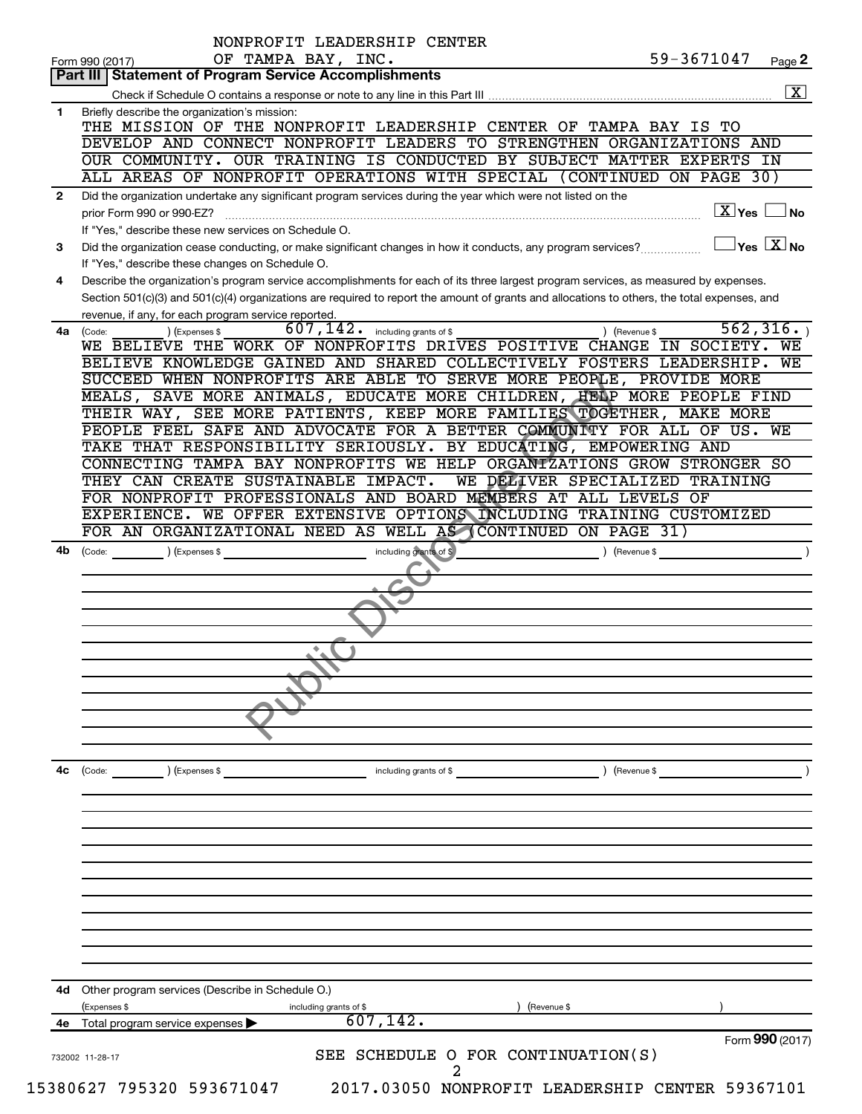|              | NONPROFIT LEADERSHIP CENTER                                                                                                                  | 59-3671047                     |                             |
|--------------|----------------------------------------------------------------------------------------------------------------------------------------------|--------------------------------|-----------------------------|
|              | OF TAMPA BAY, INC.<br>Form 990 (2017)<br><b>Part III   Statement of Program Service Accomplishments</b>                                      |                                | Page 2                      |
|              |                                                                                                                                              |                                | $\boxed{\textbf{X}}$        |
| 1            | Briefly describe the organization's mission:                                                                                                 |                                |                             |
|              | THE MISSION OF THE NONPROFIT LEADERSHIP CENTER OF TAMPA BAY IS TO                                                                            |                                |                             |
|              | DEVELOP AND CONNECT NONPROFIT LEADERS TO STRENGTHEN ORGANIZATIONS AND                                                                        |                                |                             |
|              | OUR COMMUNITY. OUR TRAINING IS CONDUCTED BY SUBJECT MATTER EXPERTS IN                                                                        |                                |                             |
|              | ALL AREAS OF NONPROFIT OPERATIONS WITH SPECIAL (CONTINUED ON PAGE 30)                                                                        |                                |                             |
| $\mathbf{2}$ | Did the organization undertake any significant program services during the year which were not listed on the                                 |                                |                             |
|              |                                                                                                                                              | $\vert$ $\mathbf{X} \vert$ Yes | ∣No                         |
|              | If "Yes," describe these new services on Schedule O.                                                                                         |                                |                             |
| 3            | Did the organization cease conducting, or make significant changes in how it conducts, any program services?                                 |                                | $\Box$ Yes $~\boxtimes~$ No |
|              | If "Yes," describe these changes on Schedule O.                                                                                              |                                |                             |
| 4            | Describe the organization's program service accomplishments for each of its three largest program services, as measured by expenses.         |                                |                             |
|              | Section 501(c)(3) and 501(c)(4) organizations are required to report the amount of grants and allocations to others, the total expenses, and |                                |                             |
|              | revenue, if any, for each program service reported.                                                                                          |                                |                             |
| 4a           | 607, 142. including grants of \$<br>) (Revenue \$<br>) (Expenses \$<br>(Code:                                                                |                                | 562, 316.                   |
|              | WE BELIEVE THE WORK OF NONPROFITS DRIVES POSITIVE CHANGE IN SOCIETY.                                                                         |                                | WE                          |
|              | BELIEVE KNOWLEDGE GAINED AND SHARED COLLECTIVELY FOSTERS LEADERSHIP.                                                                         |                                | WE                          |
|              | SUCCEED WHEN NONPROFITS ARE ABLE TO SERVE MORE PEOPLE, PROVIDE MORE                                                                          |                                |                             |
|              | MEALS, SAVE MORE ANIMALS, EDUCATE MORE CHILDREN, HELP MORE PEOPLE FIND                                                                       |                                |                             |
|              | THEIR WAY, SEE MORE PATIENTS, KEEP MORE FAMILIES TOGETHER, MAKE MORE                                                                         |                                |                             |
|              | PEOPLE FEEL SAFE AND ADVOCATE FOR A BETTER COMMUNITY FOR ALL OF US. WE                                                                       |                                |                             |
|              | TAKE THAT RESPONSIBILITY SERIOUSLY. BY EDUCATING, EMPOWERING AND                                                                             |                                |                             |
|              | CONNECTING TAMPA BAY NONPROFITS WE HELP ORGANIZATIONS GROW STRONGER SO                                                                       |                                |                             |
|              | THEY CAN CREATE SUSTAINABLE IMPACT.<br>WE DELIVER SPECIALIZED TRAINING                                                                       |                                |                             |
|              | FOR NONPROFIT PROFESSIONALS AND BOARD MEMBERS AT ALL LEVELS OF                                                                               |                                |                             |
|              | EXPERIENCE. WE OFFER EXTENSIVE OPTIONS INCLUDING TRAINING CUSTOMIZED                                                                         |                                |                             |
|              | FOR AN ORGANIZATIONAL NEED AS WELL AS (CONTINUED ON PAGE 31)                                                                                 |                                |                             |
| 4b           | including grants of \$<br>(Code: ) (Expenses \$<br>(Revenue \$                                                                               |                                |                             |
|              |                                                                                                                                              |                                |                             |
|              |                                                                                                                                              |                                |                             |
|              |                                                                                                                                              |                                |                             |
|              |                                                                                                                                              |                                |                             |
|              |                                                                                                                                              |                                |                             |
|              | ۰                                                                                                                                            |                                |                             |
|              |                                                                                                                                              |                                |                             |
|              |                                                                                                                                              |                                |                             |
|              |                                                                                                                                              |                                |                             |
|              |                                                                                                                                              |                                |                             |
|              |                                                                                                                                              |                                |                             |
|              |                                                                                                                                              |                                |                             |
| 4c           | ) (Expenses \$<br>) (Revenue \$<br>including grants of \$                                                                                    |                                |                             |
|              |                                                                                                                                              |                                |                             |
|              |                                                                                                                                              |                                |                             |
|              |                                                                                                                                              |                                |                             |
|              |                                                                                                                                              |                                |                             |
|              |                                                                                                                                              |                                |                             |
|              |                                                                                                                                              |                                |                             |
|              |                                                                                                                                              |                                |                             |
|              |                                                                                                                                              |                                |                             |
|              |                                                                                                                                              |                                |                             |
|              |                                                                                                                                              |                                |                             |
|              |                                                                                                                                              |                                |                             |
|              |                                                                                                                                              |                                |                             |
|              | Other program services (Describe in Schedule O.)                                                                                             |                                |                             |
| 4d           |                                                                                                                                              |                                |                             |
|              | (Expenses \$<br>(Revenue \$<br>including grants of \$                                                                                        |                                |                             |
| 4е           | 607, 142.<br>Total program service expenses                                                                                                  |                                |                             |
|              | SEE SCHEDULE O FOR CONTINUATION(S)<br>732002 11-28-17                                                                                        |                                | Form 990 (2017)             |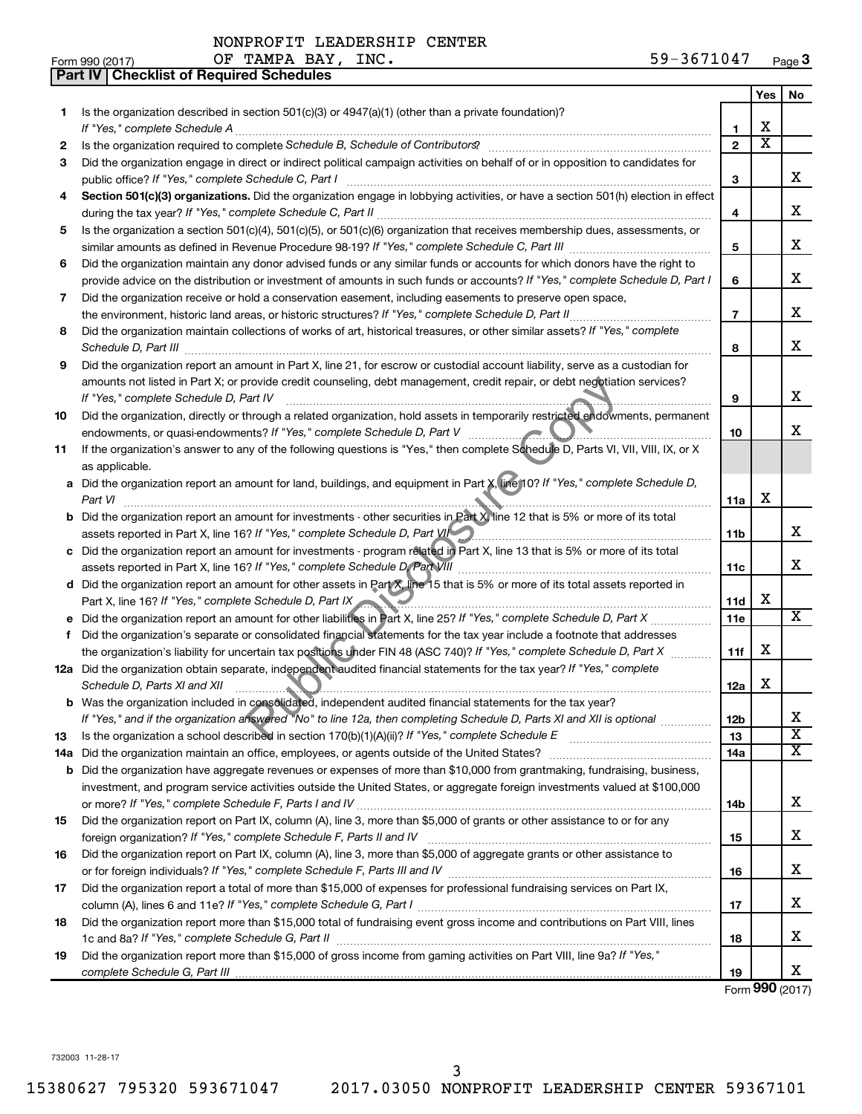|     | NONIKOI II DEADERDHIII CENIBR                                                                                                                                                                                                                             |                     |                         |                              |
|-----|-----------------------------------------------------------------------------------------------------------------------------------------------------------------------------------------------------------------------------------------------------------|---------------------|-------------------------|------------------------------|
|     | OF TAMPA BAY, INC.<br>Form 990 (2017)<br>Part IV   Checklist of Required Schedules                                                                                                                                                                        | 59-3671047          |                         | Page 3                       |
|     |                                                                                                                                                                                                                                                           |                     |                         |                              |
|     |                                                                                                                                                                                                                                                           |                     | Yes                     | No                           |
| 1.  | Is the organization described in section $501(c)(3)$ or $4947(a)(1)$ (other than a private foundation)?                                                                                                                                                   |                     | х                       |                              |
|     | If "Yes," complete Schedule A                                                                                                                                                                                                                             | 1<br>$\overline{2}$ | $\overline{\textbf{x}}$ |                              |
| 2   |                                                                                                                                                                                                                                                           |                     |                         |                              |
| 3   | Did the organization engage in direct or indirect political campaign activities on behalf of or in opposition to candidates for                                                                                                                           |                     |                         | x                            |
|     | public office? If "Yes," complete Schedule C, Part I                                                                                                                                                                                                      | З                   |                         |                              |
| 4   | Section 501(c)(3) organizations. Did the organization engage in lobbying activities, or have a section 501(h) election in effect                                                                                                                          | 4                   |                         | x                            |
|     |                                                                                                                                                                                                                                                           |                     |                         |                              |
| 5   | Is the organization a section 501(c)(4), 501(c)(5), or 501(c)(6) organization that receives membership dues, assessments, or                                                                                                                              | 5                   |                         | x.                           |
|     |                                                                                                                                                                                                                                                           |                     |                         |                              |
| 6   | Did the organization maintain any donor advised funds or any similar funds or accounts for which donors have the right to<br>provide advice on the distribution or investment of amounts in such funds or accounts? If "Yes," complete Schedule D, Part I | 6                   |                         | x                            |
|     |                                                                                                                                                                                                                                                           |                     |                         |                              |
| 7   | Did the organization receive or hold a conservation easement, including easements to preserve open space,                                                                                                                                                 | $\overline{7}$      |                         | x                            |
|     |                                                                                                                                                                                                                                                           |                     |                         |                              |
| 8   | Did the organization maintain collections of works of art, historical treasures, or other similar assets? If "Yes," complete                                                                                                                              |                     |                         | x                            |
|     | Schedule D, Part III <b>Westerman Communication</b> Contract and Technical Communications and Technical Communications                                                                                                                                    | 8                   |                         |                              |
| 9   | Did the organization report an amount in Part X, line 21, for escrow or custodial account liability, serve as a custodian for                                                                                                                             |                     |                         |                              |
|     | amounts not listed in Part X; or provide credit counseling, debt management, credit repair, or debt negotiation services?                                                                                                                                 |                     |                         | x                            |
|     | If "Yes," complete Schedule D, Part IV                                                                                                                                                                                                                    | 9                   |                         |                              |
| 10  | Did the organization, directly or through a related organization, hold assets in temporarily restricted endowments, permanent                                                                                                                             |                     |                         | x                            |
|     |                                                                                                                                                                                                                                                           | 10                  |                         |                              |
| 11  | If the organization's answer to any of the following questions is "Yes," then complete Schedule D, Parts VI, VII, VIII, IX, or X                                                                                                                          |                     |                         |                              |
|     | as applicable.                                                                                                                                                                                                                                            |                     |                         |                              |
|     | Did the organization report an amount for land, buildings, and equipment in Part X, line 10? If "Yes," complete Schedule D,                                                                                                                               |                     |                         |                              |
|     | Part VI                                                                                                                                                                                                                                                   | 11a                 | х                       |                              |
|     | Did the organization report an amount for investments - other securities in Part X, line 12 that is 5% or more of its total                                                                                                                               |                     |                         | x.                           |
|     | assets reported in Part X, line 16? If "Yes," complete Schedule D, Part VII                                                                                                                                                                               | 11 <sub>b</sub>     |                         |                              |
|     | Did the organization report an amount for investments - program related in Part X, line 13 that is 5% or more of its total                                                                                                                                |                     |                         | x                            |
|     | assets reported in Part X, line 16? If "Yes," complete Schedule D, Part VIII                                                                                                                                                                              | 11c                 |                         |                              |
|     | d Did the organization report an amount for other assets in Part X, line 15 that is 5% or more of its total assets reported in                                                                                                                            |                     |                         |                              |
|     | Part X, line 16? If "Yes," complete Schedule D, Part IX                                                                                                                                                                                                   | 11d                 | х                       | х                            |
|     | Did the organization report an amount for other liabilities in Part X, line 25? If "Yes," complete Schedule D, Part X                                                                                                                                     | 11e                 |                         |                              |
|     | Did the organization's separate or consolidated financial statements for the tax year include a footnote that addresses                                                                                                                                   |                     |                         |                              |
|     | the organization's liability for uncertain tax positions under FIN 48 (ASC 740)? If "Yes," complete Schedule D, Part X                                                                                                                                    | 11f                 | х                       |                              |
|     | 12a Did the organization obtain separate, independent audited financial statements for the tax year? If "Yes," complete                                                                                                                                   |                     | х                       |                              |
|     | Schedule D, Parts XI and XII                                                                                                                                                                                                                              | 12a                 |                         |                              |
|     | Was the organization included in consolidated, independent audited financial statements for the tax year?                                                                                                                                                 |                     |                         |                              |
|     | If "Yes," and if the organization answered "No" to line 12a, then completing Schedule D, Parts XI and XII is optional                                                                                                                                     | 12b                 |                         | x<br>$\overline{\textbf{x}}$ |
| 13  | Is the organization a school described in section $170(b)(1)(A)(ii)?$ If "Yes," complete Schedule E                                                                                                                                                       | 13                  |                         | х                            |
| 14a | Did the organization maintain an office, employees, or agents outside of the United States?                                                                                                                                                               | 14a                 |                         |                              |
| b   | Did the organization have aggregate revenues or expenses of more than \$10,000 from grantmaking, fundraising, business,                                                                                                                                   |                     |                         |                              |
|     | investment, and program service activities outside the United States, or aggregate foreign investments valued at \$100,000                                                                                                                                |                     |                         | х                            |
|     |                                                                                                                                                                                                                                                           | 14b                 |                         |                              |
| 15  | Did the organization report on Part IX, column (A), line 3, more than \$5,000 of grants or other assistance to or for any                                                                                                                                 |                     |                         | x                            |
|     |                                                                                                                                                                                                                                                           | 15                  |                         |                              |
| 16  | Did the organization report on Part IX, column (A), line 3, more than \$5,000 of aggregate grants or other assistance to                                                                                                                                  |                     |                         |                              |
|     |                                                                                                                                                                                                                                                           | 16                  |                         | x                            |
| 17  | Did the organization report a total of more than \$15,000 of expenses for professional fundraising services on Part IX,                                                                                                                                   |                     |                         | x                            |
|     |                                                                                                                                                                                                                                                           | 17                  |                         |                              |
| 18  | Did the organization report more than \$15,000 total of fundraising event gross income and contributions on Part VIII, lines                                                                                                                              |                     |                         | х                            |
|     | 1c and 8a? If "Yes," complete Schedule G, Part II                                                                                                                                                                                                         | 18                  |                         |                              |

**19** Did the organization report more than \$15,000 of gross income from gaming activities on Part VIII, line 9a? If "Yes," *complete Schedule G, Part III* 

Form (2017) **990**

X

**19**

732003 11-28-17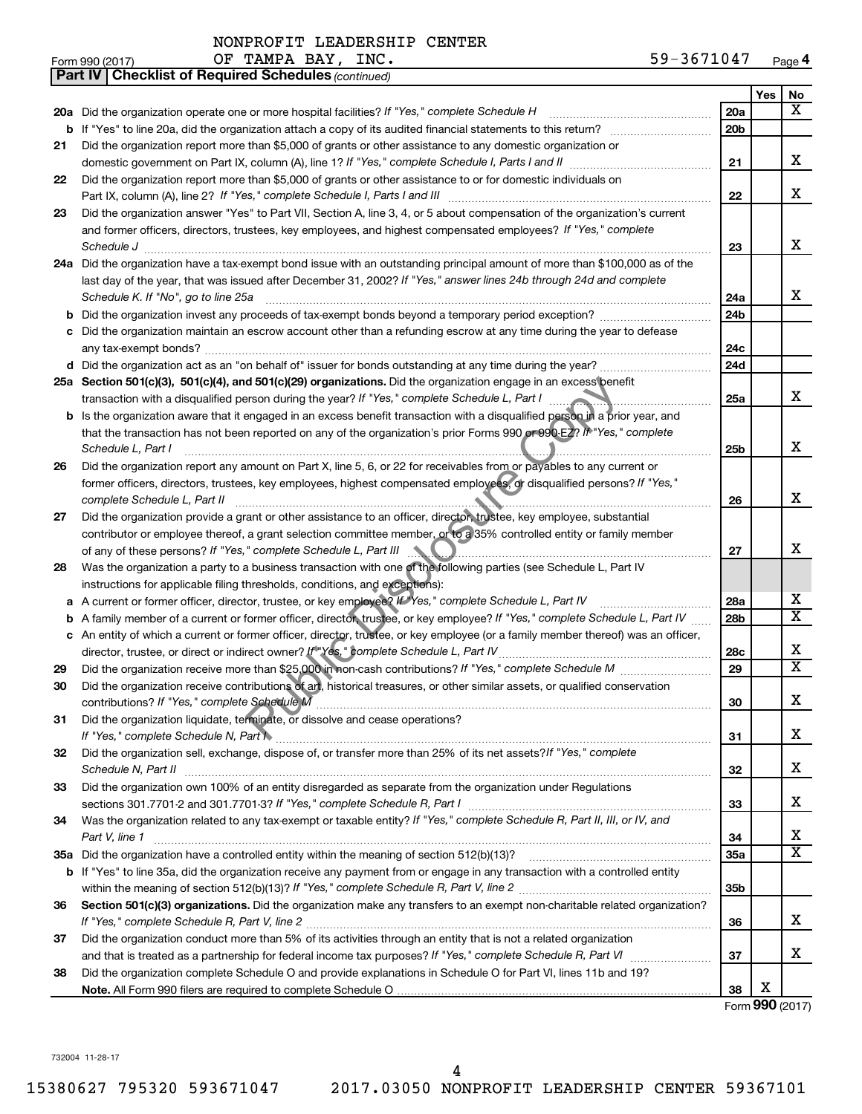| <b>Part IV   Checklist of Required Schedules (continued)</b><br>Yes<br>No<br>x<br>20a<br>20a Did the organization operate one or more hospital facilities? If "Yes," complete Schedule H<br><b>b</b> If "Yes" to line 20a, did the organization attach a copy of its audited financial statements to this return?<br>20 <sub>b</sub><br>Did the organization report more than \$5,000 of grants or other assistance to any domestic organization or<br>21<br>x<br>domestic government on Part IX, column (A), line 1? If "Yes," complete Schedule I, Parts I and II manu-<br>21<br>Did the organization report more than \$5,000 of grants or other assistance to or for domestic individuals on<br>22<br>x<br>22<br>Did the organization answer "Yes" to Part VII, Section A, line 3, 4, or 5 about compensation of the organization's current<br>23<br>and former officers, directors, trustees, key employees, and highest compensated employees? If "Yes," complete<br>x<br>Schedule J<br>23<br>24a Did the organization have a tax-exempt bond issue with an outstanding principal amount of more than \$100,000 as of the<br>last day of the year, that was issued after December 31, 2002? If "Yes," answer lines 24b through 24d and complete<br>x<br>24a<br>Schedule K. If "No", go to line 25a<br>24 <sub>b</sub><br>c Did the organization maintain an escrow account other than a refunding escrow at any time during the year to defease<br>24c<br>24d<br>25a Section 501(c)(3), 501(c)(4), and 501(c)(29) organizations. Did the organization engage in an excess benefit<br>x<br>transaction with a disqualified person during the year? If "Yes," complete Schedule L, Part I<br>25a<br><b>b</b> Is the organization aware that it engaged in an excess benefit transaction with a disqualified person in a prior year, and<br>that the transaction has not been reported on any of the organization's prior Forms 990 or 990-EZ? If "Yes," complete<br>х<br>Schedule L, Part I<br>25b<br>Did the organization report any amount on Part X, line 5, 6, or 22 for receivables from or payables to any current or<br>26<br>former officers, directors, trustees, key employees, highest compensated employees, or disqualified persons? If "Yes,"<br>x<br>complete Schedule L, Part II<br>26<br>Did the organization provide a grant or other assistance to an officer, director, trustee, key employee, substantial<br>27<br>contributor or employee thereof, a grant selection committee member, or to a 35% controlled entity or family member<br>х<br>27<br>Was the organization a party to a business transaction with one of the following parties (see Schedule L, Part IV<br>28<br>instructions for applicable filing thresholds, conditions, and exceptions):<br>х<br>a A current or former officer, director, trustee, or key employee? If "Yes," complete Schedule L, Part IV<br>28a<br>$\overline{\mathtt{x}}$<br><b>b</b> A family member of a current or former officer, director, trustee, or key employee? If "Yes," complete Schedule L, Part IV<br>28 <sub>b</sub><br>c An entity of which a current or former officer, director, trustee, or key employee (or a family member thereof) was an officer,<br>х<br>director, trustee, or direct or indirect owner? If "Yes," complete Schedule L, Part IV.<br>28c<br>$\overline{\texttt{x}}$<br>29<br>29<br>30<br>Did the organization receive contributions of art, historical treasures, or other similar assets, or qualified conservation<br>х<br>contributions? If "Yes," complete Schedule M<br>30<br>Did the organization liquidate, terminate, or dissolve and cease operations?<br>31<br>х<br>31<br>Did the organization sell, exchange, dispose of, or transfer more than 25% of its net assets? If "Yes," complete<br>32<br>х<br>32<br>Did the organization own 100% of an entity disregarded as separate from the organization under Regulations<br>33<br>х<br>sections 301.7701-2 and 301.7701-3? If "Yes," complete Schedule R, Part I [1] [1] [1] [1] [1] [1] sections 301.7701-2 and 301.7701-3? If "Yes," complete Schedule R, Part I<br>33<br>Was the organization related to any tax-exempt or taxable entity? If "Yes," complete Schedule R, Part II, III, or IV, and<br>34<br>x<br>Part V, line 1<br>34<br>$\overline{\texttt{x}}$<br>35a<br><b>b</b> If "Yes" to line 35a, did the organization receive any payment from or engage in any transaction with a controlled entity<br>35b<br>Section 501(c)(3) organizations. Did the organization make any transfers to an exempt non-charitable related organization?<br>36<br>х<br>36<br>Did the organization conduct more than 5% of its activities through an entity that is not a related organization<br>37<br>х<br>37<br>Did the organization complete Schedule O and provide explanations in Schedule O for Part VI, lines 11b and 19?<br>38<br>х<br>38<br>Form 990 (2017) | OF TAMPA BAY, INC.<br>Form 990 (2017) | 59-3671047 | Page 4 |
|------------------------------------------------------------------------------------------------------------------------------------------------------------------------------------------------------------------------------------------------------------------------------------------------------------------------------------------------------------------------------------------------------------------------------------------------------------------------------------------------------------------------------------------------------------------------------------------------------------------------------------------------------------------------------------------------------------------------------------------------------------------------------------------------------------------------------------------------------------------------------------------------------------------------------------------------------------------------------------------------------------------------------------------------------------------------------------------------------------------------------------------------------------------------------------------------------------------------------------------------------------------------------------------------------------------------------------------------------------------------------------------------------------------------------------------------------------------------------------------------------------------------------------------------------------------------------------------------------------------------------------------------------------------------------------------------------------------------------------------------------------------------------------------------------------------------------------------------------------------------------------------------------------------------------------------------------------------------------------------------------------------------------------------------------------------------------------------------------------------------------------------------------------------------------------------------------------------------------------------------------------------------------------------------------------------------------------------------------------------------------------------------------------------------------------------------------------------------------------------------------------------------------------------------------------------------------------------------------------------------------------------------------------------------------------------------------------------------------------------------------------------------------------------------------------------------------------------------------------------------------------------------------------------------------------------------------------------------------------------------------------------------------------------------------------------------------------------------------------------------------------------------------------------------------------------------------------------------------------------------------------------------------------------------------------------------------------------------------------------------------------------------------------------------------------------------------------------------------------------------------------------------------------------------------------------------------------------------------------------------------------------------------------------------------------------------------------------------------------------------------------------------------------------------------------------------------------------------------------------------------------------------------------------------------------------------------------------------------------------------------------------------------------------------------------------------------------------------------------------------------------------------------------------------------------------------------------------------------------------------------------------------------------------------------------------------------------------------------------------------------------------------------------------------------------------------------------------------------------------------------------------------------------------------------------------------------------------------------------------------------------------------------------------------------------------------------------------------------------------------------------------------------------------------------------------------------------------------------------------------------------------------------------------------------------|---------------------------------------|------------|--------|
|                                                                                                                                                                                                                                                                                                                                                                                                                                                                                                                                                                                                                                                                                                                                                                                                                                                                                                                                                                                                                                                                                                                                                                                                                                                                                                                                                                                                                                                                                                                                                                                                                                                                                                                                                                                                                                                                                                                                                                                                                                                                                                                                                                                                                                                                                                                                                                                                                                                                                                                                                                                                                                                                                                                                                                                                                                                                                                                                                                                                                                                                                                                                                                                                                                                                                                                                                                                                                                                                                                                                                                                                                                                                                                                                                                                                                                                                                                                                                                                                                                                                                                                                                                                                                                                                                                                                                                                                                                                                                                                                                                                                                                                                                                                                                                                                                                                                                                                                    |                                       |            |        |
|                                                                                                                                                                                                                                                                                                                                                                                                                                                                                                                                                                                                                                                                                                                                                                                                                                                                                                                                                                                                                                                                                                                                                                                                                                                                                                                                                                                                                                                                                                                                                                                                                                                                                                                                                                                                                                                                                                                                                                                                                                                                                                                                                                                                                                                                                                                                                                                                                                                                                                                                                                                                                                                                                                                                                                                                                                                                                                                                                                                                                                                                                                                                                                                                                                                                                                                                                                                                                                                                                                                                                                                                                                                                                                                                                                                                                                                                                                                                                                                                                                                                                                                                                                                                                                                                                                                                                                                                                                                                                                                                                                                                                                                                                                                                                                                                                                                                                                                                    |                                       |            |        |
|                                                                                                                                                                                                                                                                                                                                                                                                                                                                                                                                                                                                                                                                                                                                                                                                                                                                                                                                                                                                                                                                                                                                                                                                                                                                                                                                                                                                                                                                                                                                                                                                                                                                                                                                                                                                                                                                                                                                                                                                                                                                                                                                                                                                                                                                                                                                                                                                                                                                                                                                                                                                                                                                                                                                                                                                                                                                                                                                                                                                                                                                                                                                                                                                                                                                                                                                                                                                                                                                                                                                                                                                                                                                                                                                                                                                                                                                                                                                                                                                                                                                                                                                                                                                                                                                                                                                                                                                                                                                                                                                                                                                                                                                                                                                                                                                                                                                                                                                    |                                       |            |        |
|                                                                                                                                                                                                                                                                                                                                                                                                                                                                                                                                                                                                                                                                                                                                                                                                                                                                                                                                                                                                                                                                                                                                                                                                                                                                                                                                                                                                                                                                                                                                                                                                                                                                                                                                                                                                                                                                                                                                                                                                                                                                                                                                                                                                                                                                                                                                                                                                                                                                                                                                                                                                                                                                                                                                                                                                                                                                                                                                                                                                                                                                                                                                                                                                                                                                                                                                                                                                                                                                                                                                                                                                                                                                                                                                                                                                                                                                                                                                                                                                                                                                                                                                                                                                                                                                                                                                                                                                                                                                                                                                                                                                                                                                                                                                                                                                                                                                                                                                    |                                       |            |        |
|                                                                                                                                                                                                                                                                                                                                                                                                                                                                                                                                                                                                                                                                                                                                                                                                                                                                                                                                                                                                                                                                                                                                                                                                                                                                                                                                                                                                                                                                                                                                                                                                                                                                                                                                                                                                                                                                                                                                                                                                                                                                                                                                                                                                                                                                                                                                                                                                                                                                                                                                                                                                                                                                                                                                                                                                                                                                                                                                                                                                                                                                                                                                                                                                                                                                                                                                                                                                                                                                                                                                                                                                                                                                                                                                                                                                                                                                                                                                                                                                                                                                                                                                                                                                                                                                                                                                                                                                                                                                                                                                                                                                                                                                                                                                                                                                                                                                                                                                    |                                       |            |        |
|                                                                                                                                                                                                                                                                                                                                                                                                                                                                                                                                                                                                                                                                                                                                                                                                                                                                                                                                                                                                                                                                                                                                                                                                                                                                                                                                                                                                                                                                                                                                                                                                                                                                                                                                                                                                                                                                                                                                                                                                                                                                                                                                                                                                                                                                                                                                                                                                                                                                                                                                                                                                                                                                                                                                                                                                                                                                                                                                                                                                                                                                                                                                                                                                                                                                                                                                                                                                                                                                                                                                                                                                                                                                                                                                                                                                                                                                                                                                                                                                                                                                                                                                                                                                                                                                                                                                                                                                                                                                                                                                                                                                                                                                                                                                                                                                                                                                                                                                    |                                       |            |        |
|                                                                                                                                                                                                                                                                                                                                                                                                                                                                                                                                                                                                                                                                                                                                                                                                                                                                                                                                                                                                                                                                                                                                                                                                                                                                                                                                                                                                                                                                                                                                                                                                                                                                                                                                                                                                                                                                                                                                                                                                                                                                                                                                                                                                                                                                                                                                                                                                                                                                                                                                                                                                                                                                                                                                                                                                                                                                                                                                                                                                                                                                                                                                                                                                                                                                                                                                                                                                                                                                                                                                                                                                                                                                                                                                                                                                                                                                                                                                                                                                                                                                                                                                                                                                                                                                                                                                                                                                                                                                                                                                                                                                                                                                                                                                                                                                                                                                                                                                    |                                       |            |        |
|                                                                                                                                                                                                                                                                                                                                                                                                                                                                                                                                                                                                                                                                                                                                                                                                                                                                                                                                                                                                                                                                                                                                                                                                                                                                                                                                                                                                                                                                                                                                                                                                                                                                                                                                                                                                                                                                                                                                                                                                                                                                                                                                                                                                                                                                                                                                                                                                                                                                                                                                                                                                                                                                                                                                                                                                                                                                                                                                                                                                                                                                                                                                                                                                                                                                                                                                                                                                                                                                                                                                                                                                                                                                                                                                                                                                                                                                                                                                                                                                                                                                                                                                                                                                                                                                                                                                                                                                                                                                                                                                                                                                                                                                                                                                                                                                                                                                                                                                    |                                       |            |        |
|                                                                                                                                                                                                                                                                                                                                                                                                                                                                                                                                                                                                                                                                                                                                                                                                                                                                                                                                                                                                                                                                                                                                                                                                                                                                                                                                                                                                                                                                                                                                                                                                                                                                                                                                                                                                                                                                                                                                                                                                                                                                                                                                                                                                                                                                                                                                                                                                                                                                                                                                                                                                                                                                                                                                                                                                                                                                                                                                                                                                                                                                                                                                                                                                                                                                                                                                                                                                                                                                                                                                                                                                                                                                                                                                                                                                                                                                                                                                                                                                                                                                                                                                                                                                                                                                                                                                                                                                                                                                                                                                                                                                                                                                                                                                                                                                                                                                                                                                    |                                       |            |        |
|                                                                                                                                                                                                                                                                                                                                                                                                                                                                                                                                                                                                                                                                                                                                                                                                                                                                                                                                                                                                                                                                                                                                                                                                                                                                                                                                                                                                                                                                                                                                                                                                                                                                                                                                                                                                                                                                                                                                                                                                                                                                                                                                                                                                                                                                                                                                                                                                                                                                                                                                                                                                                                                                                                                                                                                                                                                                                                                                                                                                                                                                                                                                                                                                                                                                                                                                                                                                                                                                                                                                                                                                                                                                                                                                                                                                                                                                                                                                                                                                                                                                                                                                                                                                                                                                                                                                                                                                                                                                                                                                                                                                                                                                                                                                                                                                                                                                                                                                    |                                       |            |        |
|                                                                                                                                                                                                                                                                                                                                                                                                                                                                                                                                                                                                                                                                                                                                                                                                                                                                                                                                                                                                                                                                                                                                                                                                                                                                                                                                                                                                                                                                                                                                                                                                                                                                                                                                                                                                                                                                                                                                                                                                                                                                                                                                                                                                                                                                                                                                                                                                                                                                                                                                                                                                                                                                                                                                                                                                                                                                                                                                                                                                                                                                                                                                                                                                                                                                                                                                                                                                                                                                                                                                                                                                                                                                                                                                                                                                                                                                                                                                                                                                                                                                                                                                                                                                                                                                                                                                                                                                                                                                                                                                                                                                                                                                                                                                                                                                                                                                                                                                    |                                       |            |        |
|                                                                                                                                                                                                                                                                                                                                                                                                                                                                                                                                                                                                                                                                                                                                                                                                                                                                                                                                                                                                                                                                                                                                                                                                                                                                                                                                                                                                                                                                                                                                                                                                                                                                                                                                                                                                                                                                                                                                                                                                                                                                                                                                                                                                                                                                                                                                                                                                                                                                                                                                                                                                                                                                                                                                                                                                                                                                                                                                                                                                                                                                                                                                                                                                                                                                                                                                                                                                                                                                                                                                                                                                                                                                                                                                                                                                                                                                                                                                                                                                                                                                                                                                                                                                                                                                                                                                                                                                                                                                                                                                                                                                                                                                                                                                                                                                                                                                                                                                    |                                       |            |        |
|                                                                                                                                                                                                                                                                                                                                                                                                                                                                                                                                                                                                                                                                                                                                                                                                                                                                                                                                                                                                                                                                                                                                                                                                                                                                                                                                                                                                                                                                                                                                                                                                                                                                                                                                                                                                                                                                                                                                                                                                                                                                                                                                                                                                                                                                                                                                                                                                                                                                                                                                                                                                                                                                                                                                                                                                                                                                                                                                                                                                                                                                                                                                                                                                                                                                                                                                                                                                                                                                                                                                                                                                                                                                                                                                                                                                                                                                                                                                                                                                                                                                                                                                                                                                                                                                                                                                                                                                                                                                                                                                                                                                                                                                                                                                                                                                                                                                                                                                    |                                       |            |        |
|                                                                                                                                                                                                                                                                                                                                                                                                                                                                                                                                                                                                                                                                                                                                                                                                                                                                                                                                                                                                                                                                                                                                                                                                                                                                                                                                                                                                                                                                                                                                                                                                                                                                                                                                                                                                                                                                                                                                                                                                                                                                                                                                                                                                                                                                                                                                                                                                                                                                                                                                                                                                                                                                                                                                                                                                                                                                                                                                                                                                                                                                                                                                                                                                                                                                                                                                                                                                                                                                                                                                                                                                                                                                                                                                                                                                                                                                                                                                                                                                                                                                                                                                                                                                                                                                                                                                                                                                                                                                                                                                                                                                                                                                                                                                                                                                                                                                                                                                    |                                       |            |        |
|                                                                                                                                                                                                                                                                                                                                                                                                                                                                                                                                                                                                                                                                                                                                                                                                                                                                                                                                                                                                                                                                                                                                                                                                                                                                                                                                                                                                                                                                                                                                                                                                                                                                                                                                                                                                                                                                                                                                                                                                                                                                                                                                                                                                                                                                                                                                                                                                                                                                                                                                                                                                                                                                                                                                                                                                                                                                                                                                                                                                                                                                                                                                                                                                                                                                                                                                                                                                                                                                                                                                                                                                                                                                                                                                                                                                                                                                                                                                                                                                                                                                                                                                                                                                                                                                                                                                                                                                                                                                                                                                                                                                                                                                                                                                                                                                                                                                                                                                    |                                       |            |        |
|                                                                                                                                                                                                                                                                                                                                                                                                                                                                                                                                                                                                                                                                                                                                                                                                                                                                                                                                                                                                                                                                                                                                                                                                                                                                                                                                                                                                                                                                                                                                                                                                                                                                                                                                                                                                                                                                                                                                                                                                                                                                                                                                                                                                                                                                                                                                                                                                                                                                                                                                                                                                                                                                                                                                                                                                                                                                                                                                                                                                                                                                                                                                                                                                                                                                                                                                                                                                                                                                                                                                                                                                                                                                                                                                                                                                                                                                                                                                                                                                                                                                                                                                                                                                                                                                                                                                                                                                                                                                                                                                                                                                                                                                                                                                                                                                                                                                                                                                    |                                       |            |        |
|                                                                                                                                                                                                                                                                                                                                                                                                                                                                                                                                                                                                                                                                                                                                                                                                                                                                                                                                                                                                                                                                                                                                                                                                                                                                                                                                                                                                                                                                                                                                                                                                                                                                                                                                                                                                                                                                                                                                                                                                                                                                                                                                                                                                                                                                                                                                                                                                                                                                                                                                                                                                                                                                                                                                                                                                                                                                                                                                                                                                                                                                                                                                                                                                                                                                                                                                                                                                                                                                                                                                                                                                                                                                                                                                                                                                                                                                                                                                                                                                                                                                                                                                                                                                                                                                                                                                                                                                                                                                                                                                                                                                                                                                                                                                                                                                                                                                                                                                    |                                       |            |        |
|                                                                                                                                                                                                                                                                                                                                                                                                                                                                                                                                                                                                                                                                                                                                                                                                                                                                                                                                                                                                                                                                                                                                                                                                                                                                                                                                                                                                                                                                                                                                                                                                                                                                                                                                                                                                                                                                                                                                                                                                                                                                                                                                                                                                                                                                                                                                                                                                                                                                                                                                                                                                                                                                                                                                                                                                                                                                                                                                                                                                                                                                                                                                                                                                                                                                                                                                                                                                                                                                                                                                                                                                                                                                                                                                                                                                                                                                                                                                                                                                                                                                                                                                                                                                                                                                                                                                                                                                                                                                                                                                                                                                                                                                                                                                                                                                                                                                                                                                    |                                       |            |        |
|                                                                                                                                                                                                                                                                                                                                                                                                                                                                                                                                                                                                                                                                                                                                                                                                                                                                                                                                                                                                                                                                                                                                                                                                                                                                                                                                                                                                                                                                                                                                                                                                                                                                                                                                                                                                                                                                                                                                                                                                                                                                                                                                                                                                                                                                                                                                                                                                                                                                                                                                                                                                                                                                                                                                                                                                                                                                                                                                                                                                                                                                                                                                                                                                                                                                                                                                                                                                                                                                                                                                                                                                                                                                                                                                                                                                                                                                                                                                                                                                                                                                                                                                                                                                                                                                                                                                                                                                                                                                                                                                                                                                                                                                                                                                                                                                                                                                                                                                    |                                       |            |        |
|                                                                                                                                                                                                                                                                                                                                                                                                                                                                                                                                                                                                                                                                                                                                                                                                                                                                                                                                                                                                                                                                                                                                                                                                                                                                                                                                                                                                                                                                                                                                                                                                                                                                                                                                                                                                                                                                                                                                                                                                                                                                                                                                                                                                                                                                                                                                                                                                                                                                                                                                                                                                                                                                                                                                                                                                                                                                                                                                                                                                                                                                                                                                                                                                                                                                                                                                                                                                                                                                                                                                                                                                                                                                                                                                                                                                                                                                                                                                                                                                                                                                                                                                                                                                                                                                                                                                                                                                                                                                                                                                                                                                                                                                                                                                                                                                                                                                                                                                    |                                       |            |        |
|                                                                                                                                                                                                                                                                                                                                                                                                                                                                                                                                                                                                                                                                                                                                                                                                                                                                                                                                                                                                                                                                                                                                                                                                                                                                                                                                                                                                                                                                                                                                                                                                                                                                                                                                                                                                                                                                                                                                                                                                                                                                                                                                                                                                                                                                                                                                                                                                                                                                                                                                                                                                                                                                                                                                                                                                                                                                                                                                                                                                                                                                                                                                                                                                                                                                                                                                                                                                                                                                                                                                                                                                                                                                                                                                                                                                                                                                                                                                                                                                                                                                                                                                                                                                                                                                                                                                                                                                                                                                                                                                                                                                                                                                                                                                                                                                                                                                                                                                    |                                       |            |        |
|                                                                                                                                                                                                                                                                                                                                                                                                                                                                                                                                                                                                                                                                                                                                                                                                                                                                                                                                                                                                                                                                                                                                                                                                                                                                                                                                                                                                                                                                                                                                                                                                                                                                                                                                                                                                                                                                                                                                                                                                                                                                                                                                                                                                                                                                                                                                                                                                                                                                                                                                                                                                                                                                                                                                                                                                                                                                                                                                                                                                                                                                                                                                                                                                                                                                                                                                                                                                                                                                                                                                                                                                                                                                                                                                                                                                                                                                                                                                                                                                                                                                                                                                                                                                                                                                                                                                                                                                                                                                                                                                                                                                                                                                                                                                                                                                                                                                                                                                    |                                       |            |        |
|                                                                                                                                                                                                                                                                                                                                                                                                                                                                                                                                                                                                                                                                                                                                                                                                                                                                                                                                                                                                                                                                                                                                                                                                                                                                                                                                                                                                                                                                                                                                                                                                                                                                                                                                                                                                                                                                                                                                                                                                                                                                                                                                                                                                                                                                                                                                                                                                                                                                                                                                                                                                                                                                                                                                                                                                                                                                                                                                                                                                                                                                                                                                                                                                                                                                                                                                                                                                                                                                                                                                                                                                                                                                                                                                                                                                                                                                                                                                                                                                                                                                                                                                                                                                                                                                                                                                                                                                                                                                                                                                                                                                                                                                                                                                                                                                                                                                                                                                    |                                       |            |        |
|                                                                                                                                                                                                                                                                                                                                                                                                                                                                                                                                                                                                                                                                                                                                                                                                                                                                                                                                                                                                                                                                                                                                                                                                                                                                                                                                                                                                                                                                                                                                                                                                                                                                                                                                                                                                                                                                                                                                                                                                                                                                                                                                                                                                                                                                                                                                                                                                                                                                                                                                                                                                                                                                                                                                                                                                                                                                                                                                                                                                                                                                                                                                                                                                                                                                                                                                                                                                                                                                                                                                                                                                                                                                                                                                                                                                                                                                                                                                                                                                                                                                                                                                                                                                                                                                                                                                                                                                                                                                                                                                                                                                                                                                                                                                                                                                                                                                                                                                    |                                       |            |        |
|                                                                                                                                                                                                                                                                                                                                                                                                                                                                                                                                                                                                                                                                                                                                                                                                                                                                                                                                                                                                                                                                                                                                                                                                                                                                                                                                                                                                                                                                                                                                                                                                                                                                                                                                                                                                                                                                                                                                                                                                                                                                                                                                                                                                                                                                                                                                                                                                                                                                                                                                                                                                                                                                                                                                                                                                                                                                                                                                                                                                                                                                                                                                                                                                                                                                                                                                                                                                                                                                                                                                                                                                                                                                                                                                                                                                                                                                                                                                                                                                                                                                                                                                                                                                                                                                                                                                                                                                                                                                                                                                                                                                                                                                                                                                                                                                                                                                                                                                    |                                       |            |        |
|                                                                                                                                                                                                                                                                                                                                                                                                                                                                                                                                                                                                                                                                                                                                                                                                                                                                                                                                                                                                                                                                                                                                                                                                                                                                                                                                                                                                                                                                                                                                                                                                                                                                                                                                                                                                                                                                                                                                                                                                                                                                                                                                                                                                                                                                                                                                                                                                                                                                                                                                                                                                                                                                                                                                                                                                                                                                                                                                                                                                                                                                                                                                                                                                                                                                                                                                                                                                                                                                                                                                                                                                                                                                                                                                                                                                                                                                                                                                                                                                                                                                                                                                                                                                                                                                                                                                                                                                                                                                                                                                                                                                                                                                                                                                                                                                                                                                                                                                    |                                       |            |        |
|                                                                                                                                                                                                                                                                                                                                                                                                                                                                                                                                                                                                                                                                                                                                                                                                                                                                                                                                                                                                                                                                                                                                                                                                                                                                                                                                                                                                                                                                                                                                                                                                                                                                                                                                                                                                                                                                                                                                                                                                                                                                                                                                                                                                                                                                                                                                                                                                                                                                                                                                                                                                                                                                                                                                                                                                                                                                                                                                                                                                                                                                                                                                                                                                                                                                                                                                                                                                                                                                                                                                                                                                                                                                                                                                                                                                                                                                                                                                                                                                                                                                                                                                                                                                                                                                                                                                                                                                                                                                                                                                                                                                                                                                                                                                                                                                                                                                                                                                    |                                       |            |        |
|                                                                                                                                                                                                                                                                                                                                                                                                                                                                                                                                                                                                                                                                                                                                                                                                                                                                                                                                                                                                                                                                                                                                                                                                                                                                                                                                                                                                                                                                                                                                                                                                                                                                                                                                                                                                                                                                                                                                                                                                                                                                                                                                                                                                                                                                                                                                                                                                                                                                                                                                                                                                                                                                                                                                                                                                                                                                                                                                                                                                                                                                                                                                                                                                                                                                                                                                                                                                                                                                                                                                                                                                                                                                                                                                                                                                                                                                                                                                                                                                                                                                                                                                                                                                                                                                                                                                                                                                                                                                                                                                                                                                                                                                                                                                                                                                                                                                                                                                    |                                       |            |        |
|                                                                                                                                                                                                                                                                                                                                                                                                                                                                                                                                                                                                                                                                                                                                                                                                                                                                                                                                                                                                                                                                                                                                                                                                                                                                                                                                                                                                                                                                                                                                                                                                                                                                                                                                                                                                                                                                                                                                                                                                                                                                                                                                                                                                                                                                                                                                                                                                                                                                                                                                                                                                                                                                                                                                                                                                                                                                                                                                                                                                                                                                                                                                                                                                                                                                                                                                                                                                                                                                                                                                                                                                                                                                                                                                                                                                                                                                                                                                                                                                                                                                                                                                                                                                                                                                                                                                                                                                                                                                                                                                                                                                                                                                                                                                                                                                                                                                                                                                    |                                       |            |        |
|                                                                                                                                                                                                                                                                                                                                                                                                                                                                                                                                                                                                                                                                                                                                                                                                                                                                                                                                                                                                                                                                                                                                                                                                                                                                                                                                                                                                                                                                                                                                                                                                                                                                                                                                                                                                                                                                                                                                                                                                                                                                                                                                                                                                                                                                                                                                                                                                                                                                                                                                                                                                                                                                                                                                                                                                                                                                                                                                                                                                                                                                                                                                                                                                                                                                                                                                                                                                                                                                                                                                                                                                                                                                                                                                                                                                                                                                                                                                                                                                                                                                                                                                                                                                                                                                                                                                                                                                                                                                                                                                                                                                                                                                                                                                                                                                                                                                                                                                    |                                       |            |        |
|                                                                                                                                                                                                                                                                                                                                                                                                                                                                                                                                                                                                                                                                                                                                                                                                                                                                                                                                                                                                                                                                                                                                                                                                                                                                                                                                                                                                                                                                                                                                                                                                                                                                                                                                                                                                                                                                                                                                                                                                                                                                                                                                                                                                                                                                                                                                                                                                                                                                                                                                                                                                                                                                                                                                                                                                                                                                                                                                                                                                                                                                                                                                                                                                                                                                                                                                                                                                                                                                                                                                                                                                                                                                                                                                                                                                                                                                                                                                                                                                                                                                                                                                                                                                                                                                                                                                                                                                                                                                                                                                                                                                                                                                                                                                                                                                                                                                                                                                    |                                       |            |        |
|                                                                                                                                                                                                                                                                                                                                                                                                                                                                                                                                                                                                                                                                                                                                                                                                                                                                                                                                                                                                                                                                                                                                                                                                                                                                                                                                                                                                                                                                                                                                                                                                                                                                                                                                                                                                                                                                                                                                                                                                                                                                                                                                                                                                                                                                                                                                                                                                                                                                                                                                                                                                                                                                                                                                                                                                                                                                                                                                                                                                                                                                                                                                                                                                                                                                                                                                                                                                                                                                                                                                                                                                                                                                                                                                                                                                                                                                                                                                                                                                                                                                                                                                                                                                                                                                                                                                                                                                                                                                                                                                                                                                                                                                                                                                                                                                                                                                                                                                    |                                       |            |        |
|                                                                                                                                                                                                                                                                                                                                                                                                                                                                                                                                                                                                                                                                                                                                                                                                                                                                                                                                                                                                                                                                                                                                                                                                                                                                                                                                                                                                                                                                                                                                                                                                                                                                                                                                                                                                                                                                                                                                                                                                                                                                                                                                                                                                                                                                                                                                                                                                                                                                                                                                                                                                                                                                                                                                                                                                                                                                                                                                                                                                                                                                                                                                                                                                                                                                                                                                                                                                                                                                                                                                                                                                                                                                                                                                                                                                                                                                                                                                                                                                                                                                                                                                                                                                                                                                                                                                                                                                                                                                                                                                                                                                                                                                                                                                                                                                                                                                                                                                    |                                       |            |        |
|                                                                                                                                                                                                                                                                                                                                                                                                                                                                                                                                                                                                                                                                                                                                                                                                                                                                                                                                                                                                                                                                                                                                                                                                                                                                                                                                                                                                                                                                                                                                                                                                                                                                                                                                                                                                                                                                                                                                                                                                                                                                                                                                                                                                                                                                                                                                                                                                                                                                                                                                                                                                                                                                                                                                                                                                                                                                                                                                                                                                                                                                                                                                                                                                                                                                                                                                                                                                                                                                                                                                                                                                                                                                                                                                                                                                                                                                                                                                                                                                                                                                                                                                                                                                                                                                                                                                                                                                                                                                                                                                                                                                                                                                                                                                                                                                                                                                                                                                    |                                       |            |        |
|                                                                                                                                                                                                                                                                                                                                                                                                                                                                                                                                                                                                                                                                                                                                                                                                                                                                                                                                                                                                                                                                                                                                                                                                                                                                                                                                                                                                                                                                                                                                                                                                                                                                                                                                                                                                                                                                                                                                                                                                                                                                                                                                                                                                                                                                                                                                                                                                                                                                                                                                                                                                                                                                                                                                                                                                                                                                                                                                                                                                                                                                                                                                                                                                                                                                                                                                                                                                                                                                                                                                                                                                                                                                                                                                                                                                                                                                                                                                                                                                                                                                                                                                                                                                                                                                                                                                                                                                                                                                                                                                                                                                                                                                                                                                                                                                                                                                                                                                    |                                       |            |        |
|                                                                                                                                                                                                                                                                                                                                                                                                                                                                                                                                                                                                                                                                                                                                                                                                                                                                                                                                                                                                                                                                                                                                                                                                                                                                                                                                                                                                                                                                                                                                                                                                                                                                                                                                                                                                                                                                                                                                                                                                                                                                                                                                                                                                                                                                                                                                                                                                                                                                                                                                                                                                                                                                                                                                                                                                                                                                                                                                                                                                                                                                                                                                                                                                                                                                                                                                                                                                                                                                                                                                                                                                                                                                                                                                                                                                                                                                                                                                                                                                                                                                                                                                                                                                                                                                                                                                                                                                                                                                                                                                                                                                                                                                                                                                                                                                                                                                                                                                    |                                       |            |        |
|                                                                                                                                                                                                                                                                                                                                                                                                                                                                                                                                                                                                                                                                                                                                                                                                                                                                                                                                                                                                                                                                                                                                                                                                                                                                                                                                                                                                                                                                                                                                                                                                                                                                                                                                                                                                                                                                                                                                                                                                                                                                                                                                                                                                                                                                                                                                                                                                                                                                                                                                                                                                                                                                                                                                                                                                                                                                                                                                                                                                                                                                                                                                                                                                                                                                                                                                                                                                                                                                                                                                                                                                                                                                                                                                                                                                                                                                                                                                                                                                                                                                                                                                                                                                                                                                                                                                                                                                                                                                                                                                                                                                                                                                                                                                                                                                                                                                                                                                    |                                       |            |        |
|                                                                                                                                                                                                                                                                                                                                                                                                                                                                                                                                                                                                                                                                                                                                                                                                                                                                                                                                                                                                                                                                                                                                                                                                                                                                                                                                                                                                                                                                                                                                                                                                                                                                                                                                                                                                                                                                                                                                                                                                                                                                                                                                                                                                                                                                                                                                                                                                                                                                                                                                                                                                                                                                                                                                                                                                                                                                                                                                                                                                                                                                                                                                                                                                                                                                                                                                                                                                                                                                                                                                                                                                                                                                                                                                                                                                                                                                                                                                                                                                                                                                                                                                                                                                                                                                                                                                                                                                                                                                                                                                                                                                                                                                                                                                                                                                                                                                                                                                    |                                       |            |        |
|                                                                                                                                                                                                                                                                                                                                                                                                                                                                                                                                                                                                                                                                                                                                                                                                                                                                                                                                                                                                                                                                                                                                                                                                                                                                                                                                                                                                                                                                                                                                                                                                                                                                                                                                                                                                                                                                                                                                                                                                                                                                                                                                                                                                                                                                                                                                                                                                                                                                                                                                                                                                                                                                                                                                                                                                                                                                                                                                                                                                                                                                                                                                                                                                                                                                                                                                                                                                                                                                                                                                                                                                                                                                                                                                                                                                                                                                                                                                                                                                                                                                                                                                                                                                                                                                                                                                                                                                                                                                                                                                                                                                                                                                                                                                                                                                                                                                                                                                    |                                       |            |        |
|                                                                                                                                                                                                                                                                                                                                                                                                                                                                                                                                                                                                                                                                                                                                                                                                                                                                                                                                                                                                                                                                                                                                                                                                                                                                                                                                                                                                                                                                                                                                                                                                                                                                                                                                                                                                                                                                                                                                                                                                                                                                                                                                                                                                                                                                                                                                                                                                                                                                                                                                                                                                                                                                                                                                                                                                                                                                                                                                                                                                                                                                                                                                                                                                                                                                                                                                                                                                                                                                                                                                                                                                                                                                                                                                                                                                                                                                                                                                                                                                                                                                                                                                                                                                                                                                                                                                                                                                                                                                                                                                                                                                                                                                                                                                                                                                                                                                                                                                    |                                       |            |        |
|                                                                                                                                                                                                                                                                                                                                                                                                                                                                                                                                                                                                                                                                                                                                                                                                                                                                                                                                                                                                                                                                                                                                                                                                                                                                                                                                                                                                                                                                                                                                                                                                                                                                                                                                                                                                                                                                                                                                                                                                                                                                                                                                                                                                                                                                                                                                                                                                                                                                                                                                                                                                                                                                                                                                                                                                                                                                                                                                                                                                                                                                                                                                                                                                                                                                                                                                                                                                                                                                                                                                                                                                                                                                                                                                                                                                                                                                                                                                                                                                                                                                                                                                                                                                                                                                                                                                                                                                                                                                                                                                                                                                                                                                                                                                                                                                                                                                                                                                    |                                       |            |        |
|                                                                                                                                                                                                                                                                                                                                                                                                                                                                                                                                                                                                                                                                                                                                                                                                                                                                                                                                                                                                                                                                                                                                                                                                                                                                                                                                                                                                                                                                                                                                                                                                                                                                                                                                                                                                                                                                                                                                                                                                                                                                                                                                                                                                                                                                                                                                                                                                                                                                                                                                                                                                                                                                                                                                                                                                                                                                                                                                                                                                                                                                                                                                                                                                                                                                                                                                                                                                                                                                                                                                                                                                                                                                                                                                                                                                                                                                                                                                                                                                                                                                                                                                                                                                                                                                                                                                                                                                                                                                                                                                                                                                                                                                                                                                                                                                                                                                                                                                    |                                       |            |        |
|                                                                                                                                                                                                                                                                                                                                                                                                                                                                                                                                                                                                                                                                                                                                                                                                                                                                                                                                                                                                                                                                                                                                                                                                                                                                                                                                                                                                                                                                                                                                                                                                                                                                                                                                                                                                                                                                                                                                                                                                                                                                                                                                                                                                                                                                                                                                                                                                                                                                                                                                                                                                                                                                                                                                                                                                                                                                                                                                                                                                                                                                                                                                                                                                                                                                                                                                                                                                                                                                                                                                                                                                                                                                                                                                                                                                                                                                                                                                                                                                                                                                                                                                                                                                                                                                                                                                                                                                                                                                                                                                                                                                                                                                                                                                                                                                                                                                                                                                    |                                       |            |        |
|                                                                                                                                                                                                                                                                                                                                                                                                                                                                                                                                                                                                                                                                                                                                                                                                                                                                                                                                                                                                                                                                                                                                                                                                                                                                                                                                                                                                                                                                                                                                                                                                                                                                                                                                                                                                                                                                                                                                                                                                                                                                                                                                                                                                                                                                                                                                                                                                                                                                                                                                                                                                                                                                                                                                                                                                                                                                                                                                                                                                                                                                                                                                                                                                                                                                                                                                                                                                                                                                                                                                                                                                                                                                                                                                                                                                                                                                                                                                                                                                                                                                                                                                                                                                                                                                                                                                                                                                                                                                                                                                                                                                                                                                                                                                                                                                                                                                                                                                    |                                       |            |        |
|                                                                                                                                                                                                                                                                                                                                                                                                                                                                                                                                                                                                                                                                                                                                                                                                                                                                                                                                                                                                                                                                                                                                                                                                                                                                                                                                                                                                                                                                                                                                                                                                                                                                                                                                                                                                                                                                                                                                                                                                                                                                                                                                                                                                                                                                                                                                                                                                                                                                                                                                                                                                                                                                                                                                                                                                                                                                                                                                                                                                                                                                                                                                                                                                                                                                                                                                                                                                                                                                                                                                                                                                                                                                                                                                                                                                                                                                                                                                                                                                                                                                                                                                                                                                                                                                                                                                                                                                                                                                                                                                                                                                                                                                                                                                                                                                                                                                                                                                    |                                       |            |        |
|                                                                                                                                                                                                                                                                                                                                                                                                                                                                                                                                                                                                                                                                                                                                                                                                                                                                                                                                                                                                                                                                                                                                                                                                                                                                                                                                                                                                                                                                                                                                                                                                                                                                                                                                                                                                                                                                                                                                                                                                                                                                                                                                                                                                                                                                                                                                                                                                                                                                                                                                                                                                                                                                                                                                                                                                                                                                                                                                                                                                                                                                                                                                                                                                                                                                                                                                                                                                                                                                                                                                                                                                                                                                                                                                                                                                                                                                                                                                                                                                                                                                                                                                                                                                                                                                                                                                                                                                                                                                                                                                                                                                                                                                                                                                                                                                                                                                                                                                    |                                       |            |        |
|                                                                                                                                                                                                                                                                                                                                                                                                                                                                                                                                                                                                                                                                                                                                                                                                                                                                                                                                                                                                                                                                                                                                                                                                                                                                                                                                                                                                                                                                                                                                                                                                                                                                                                                                                                                                                                                                                                                                                                                                                                                                                                                                                                                                                                                                                                                                                                                                                                                                                                                                                                                                                                                                                                                                                                                                                                                                                                                                                                                                                                                                                                                                                                                                                                                                                                                                                                                                                                                                                                                                                                                                                                                                                                                                                                                                                                                                                                                                                                                                                                                                                                                                                                                                                                                                                                                                                                                                                                                                                                                                                                                                                                                                                                                                                                                                                                                                                                                                    |                                       |            |        |
|                                                                                                                                                                                                                                                                                                                                                                                                                                                                                                                                                                                                                                                                                                                                                                                                                                                                                                                                                                                                                                                                                                                                                                                                                                                                                                                                                                                                                                                                                                                                                                                                                                                                                                                                                                                                                                                                                                                                                                                                                                                                                                                                                                                                                                                                                                                                                                                                                                                                                                                                                                                                                                                                                                                                                                                                                                                                                                                                                                                                                                                                                                                                                                                                                                                                                                                                                                                                                                                                                                                                                                                                                                                                                                                                                                                                                                                                                                                                                                                                                                                                                                                                                                                                                                                                                                                                                                                                                                                                                                                                                                                                                                                                                                                                                                                                                                                                                                                                    |                                       |            |        |
|                                                                                                                                                                                                                                                                                                                                                                                                                                                                                                                                                                                                                                                                                                                                                                                                                                                                                                                                                                                                                                                                                                                                                                                                                                                                                                                                                                                                                                                                                                                                                                                                                                                                                                                                                                                                                                                                                                                                                                                                                                                                                                                                                                                                                                                                                                                                                                                                                                                                                                                                                                                                                                                                                                                                                                                                                                                                                                                                                                                                                                                                                                                                                                                                                                                                                                                                                                                                                                                                                                                                                                                                                                                                                                                                                                                                                                                                                                                                                                                                                                                                                                                                                                                                                                                                                                                                                                                                                                                                                                                                                                                                                                                                                                                                                                                                                                                                                                                                    |                                       |            |        |
|                                                                                                                                                                                                                                                                                                                                                                                                                                                                                                                                                                                                                                                                                                                                                                                                                                                                                                                                                                                                                                                                                                                                                                                                                                                                                                                                                                                                                                                                                                                                                                                                                                                                                                                                                                                                                                                                                                                                                                                                                                                                                                                                                                                                                                                                                                                                                                                                                                                                                                                                                                                                                                                                                                                                                                                                                                                                                                                                                                                                                                                                                                                                                                                                                                                                                                                                                                                                                                                                                                                                                                                                                                                                                                                                                                                                                                                                                                                                                                                                                                                                                                                                                                                                                                                                                                                                                                                                                                                                                                                                                                                                                                                                                                                                                                                                                                                                                                                                    |                                       |            |        |
|                                                                                                                                                                                                                                                                                                                                                                                                                                                                                                                                                                                                                                                                                                                                                                                                                                                                                                                                                                                                                                                                                                                                                                                                                                                                                                                                                                                                                                                                                                                                                                                                                                                                                                                                                                                                                                                                                                                                                                                                                                                                                                                                                                                                                                                                                                                                                                                                                                                                                                                                                                                                                                                                                                                                                                                                                                                                                                                                                                                                                                                                                                                                                                                                                                                                                                                                                                                                                                                                                                                                                                                                                                                                                                                                                                                                                                                                                                                                                                                                                                                                                                                                                                                                                                                                                                                                                                                                                                                                                                                                                                                                                                                                                                                                                                                                                                                                                                                                    |                                       |            |        |
|                                                                                                                                                                                                                                                                                                                                                                                                                                                                                                                                                                                                                                                                                                                                                                                                                                                                                                                                                                                                                                                                                                                                                                                                                                                                                                                                                                                                                                                                                                                                                                                                                                                                                                                                                                                                                                                                                                                                                                                                                                                                                                                                                                                                                                                                                                                                                                                                                                                                                                                                                                                                                                                                                                                                                                                                                                                                                                                                                                                                                                                                                                                                                                                                                                                                                                                                                                                                                                                                                                                                                                                                                                                                                                                                                                                                                                                                                                                                                                                                                                                                                                                                                                                                                                                                                                                                                                                                                                                                                                                                                                                                                                                                                                                                                                                                                                                                                                                                    |                                       |            |        |
|                                                                                                                                                                                                                                                                                                                                                                                                                                                                                                                                                                                                                                                                                                                                                                                                                                                                                                                                                                                                                                                                                                                                                                                                                                                                                                                                                                                                                                                                                                                                                                                                                                                                                                                                                                                                                                                                                                                                                                                                                                                                                                                                                                                                                                                                                                                                                                                                                                                                                                                                                                                                                                                                                                                                                                                                                                                                                                                                                                                                                                                                                                                                                                                                                                                                                                                                                                                                                                                                                                                                                                                                                                                                                                                                                                                                                                                                                                                                                                                                                                                                                                                                                                                                                                                                                                                                                                                                                                                                                                                                                                                                                                                                                                                                                                                                                                                                                                                                    |                                       |            |        |
|                                                                                                                                                                                                                                                                                                                                                                                                                                                                                                                                                                                                                                                                                                                                                                                                                                                                                                                                                                                                                                                                                                                                                                                                                                                                                                                                                                                                                                                                                                                                                                                                                                                                                                                                                                                                                                                                                                                                                                                                                                                                                                                                                                                                                                                                                                                                                                                                                                                                                                                                                                                                                                                                                                                                                                                                                                                                                                                                                                                                                                                                                                                                                                                                                                                                                                                                                                                                                                                                                                                                                                                                                                                                                                                                                                                                                                                                                                                                                                                                                                                                                                                                                                                                                                                                                                                                                                                                                                                                                                                                                                                                                                                                                                                                                                                                                                                                                                                                    |                                       |            |        |
|                                                                                                                                                                                                                                                                                                                                                                                                                                                                                                                                                                                                                                                                                                                                                                                                                                                                                                                                                                                                                                                                                                                                                                                                                                                                                                                                                                                                                                                                                                                                                                                                                                                                                                                                                                                                                                                                                                                                                                                                                                                                                                                                                                                                                                                                                                                                                                                                                                                                                                                                                                                                                                                                                                                                                                                                                                                                                                                                                                                                                                                                                                                                                                                                                                                                                                                                                                                                                                                                                                                                                                                                                                                                                                                                                                                                                                                                                                                                                                                                                                                                                                                                                                                                                                                                                                                                                                                                                                                                                                                                                                                                                                                                                                                                                                                                                                                                                                                                    |                                       |            |        |
|                                                                                                                                                                                                                                                                                                                                                                                                                                                                                                                                                                                                                                                                                                                                                                                                                                                                                                                                                                                                                                                                                                                                                                                                                                                                                                                                                                                                                                                                                                                                                                                                                                                                                                                                                                                                                                                                                                                                                                                                                                                                                                                                                                                                                                                                                                                                                                                                                                                                                                                                                                                                                                                                                                                                                                                                                                                                                                                                                                                                                                                                                                                                                                                                                                                                                                                                                                                                                                                                                                                                                                                                                                                                                                                                                                                                                                                                                                                                                                                                                                                                                                                                                                                                                                                                                                                                                                                                                                                                                                                                                                                                                                                                                                                                                                                                                                                                                                                                    |                                       |            |        |

732004 11-28-17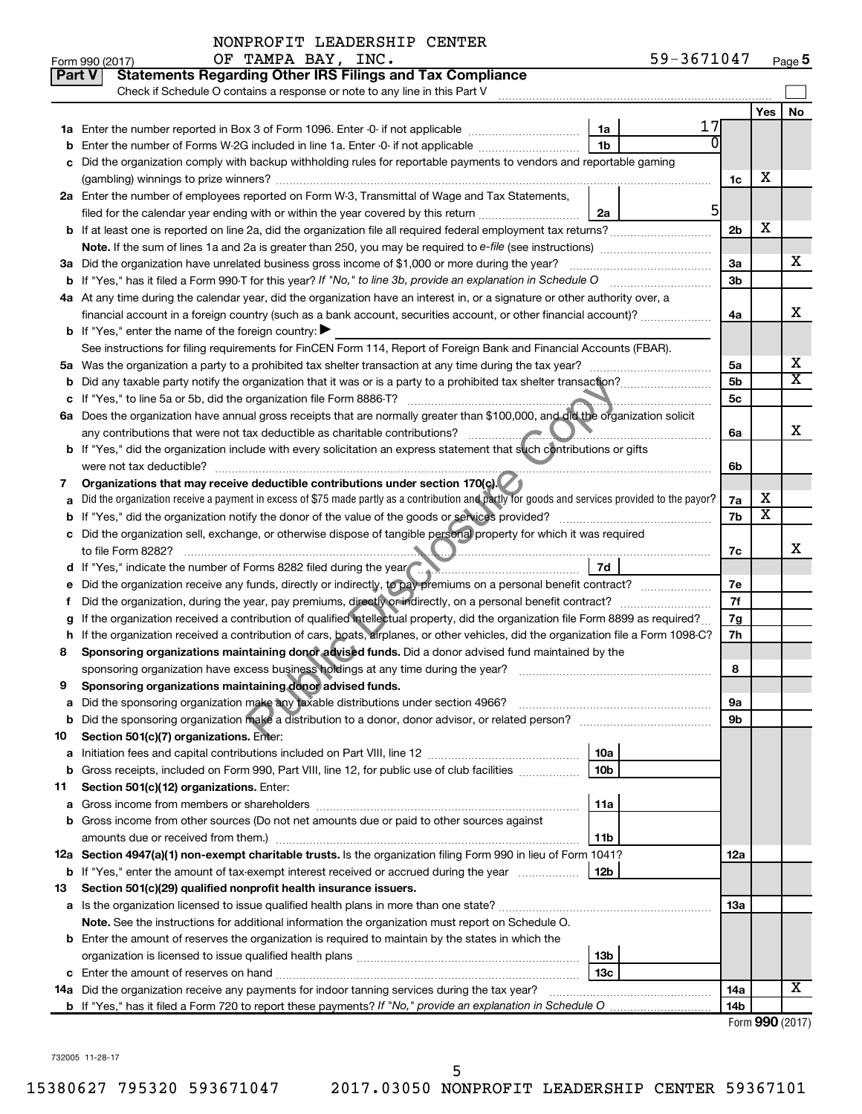|    | Part V<br><b>Statements Regarding Other IRS Filings and Tax Compliance</b><br>Check if Schedule O contains a response or note to any line in this Part V |                        |                |                         |                       |
|----|----------------------------------------------------------------------------------------------------------------------------------------------------------|------------------------|----------------|-------------------------|-----------------------|
|    |                                                                                                                                                          |                        |                | <b>Yes</b>              | No                    |
|    |                                                                                                                                                          | 17<br>1a               |                |                         |                       |
|    | Enter the number of Forms W-2G included in line 1a. Enter -0- if not applicable                                                                          | 1 <sub>b</sub>         |                |                         |                       |
|    | Did the organization comply with backup withholding rules for reportable payments to vendors and reportable gaming                                       |                        |                |                         |                       |
|    |                                                                                                                                                          |                        | 1c             | х                       |                       |
|    | 2a Enter the number of employees reported on Form W-3, Transmittal of Wage and Tax Statements,                                                           |                        |                |                         |                       |
|    | filed for the calendar year ending with or within the year covered by this return                                                                        | 5 <sub>l</sub><br>2a   |                |                         |                       |
|    | <b>b</b> If at least one is reported on line 2a, did the organization file all required federal employment tax returns?                                  |                        | 2 <sub>b</sub> | х                       |                       |
|    |                                                                                                                                                          |                        |                |                         |                       |
|    | 3a Did the organization have unrelated business gross income of \$1,000 or more during the year?                                                         |                        | За             |                         | х                     |
|    | <b>b</b> If "Yes," has it filed a Form 990 T for this year? If "No," to line 3b, provide an explanation in Schedule O                                    |                        | 3 <sub>b</sub> |                         |                       |
|    | 4a At any time during the calendar year, did the organization have an interest in, or a signature or other authority over, a                             |                        |                |                         |                       |
|    | financial account in a foreign country (such as a bank account, securities account, or other financial account)?                                         |                        | 4a             |                         | X                     |
|    | <b>b</b> If "Yes," enter the name of the foreign country: $\blacktriangleright$                                                                          |                        |                |                         |                       |
|    | See instructions for filing requirements for FinCEN Form 114, Report of Foreign Bank and Financial Accounts (FBAR).                                      |                        |                |                         |                       |
| 5а |                                                                                                                                                          |                        | 5a             |                         | х                     |
|    |                                                                                                                                                          |                        | 5b             |                         | $\overline{\text{X}}$ |
| с  |                                                                                                                                                          |                        | 5с             |                         |                       |
|    | 6a Does the organization have annual gross receipts that are normally greater than \$100,000, and did the organization solicit                           |                        |                |                         |                       |
|    |                                                                                                                                                          |                        | 6a             |                         | X                     |
|    | b If "Yes," did the organization include with every solicitation an express statement that such contributions or gifts                                   |                        |                |                         |                       |
|    |                                                                                                                                                          |                        | 6b             |                         |                       |
| 7  | Organizations that may receive deductible contributions under section 170(c).                                                                            |                        |                |                         |                       |
|    | Did the organization receive a payment in excess of \$75 made partly as a contribution and partly for goods and services provided to the payor?          |                        | 7a             | х                       |                       |
|    |                                                                                                                                                          |                        | 7b             | $\overline{\textbf{x}}$ |                       |
|    | Did the organization sell, exchange, or otherwise dispose of tangible personal property for which it was required                                        |                        |                |                         |                       |
|    |                                                                                                                                                          |                        | 7c             |                         | X                     |
|    | If "Yes," indicate the number of Forms 8282 filed during the year manufacture increases and the water of Forms                                           | 7d                     |                |                         |                       |
|    |                                                                                                                                                          |                        | 7е             |                         |                       |
| t  |                                                                                                                                                          |                        | 7f             |                         |                       |
|    | If the organization received a contribution of qualified intellectual property, did the organization file Form 8899 as required?                         |                        | 7g             |                         |                       |
| h  | If the organization received a contribution of cars, boats, airplanes, or other vehicles, did the organization file a Form 1098-C?                       |                        | 7h             |                         |                       |
| 8  | Sponsoring organizations maintaining donor advised funds. Did a donor advised fund maintained by the                                                     |                        |                |                         |                       |
|    |                                                                                                                                                          |                        | 8              |                         |                       |
| 9  | Sponsoring organizations maintaining donor advised funds.                                                                                                |                        |                |                         |                       |
|    |                                                                                                                                                          |                        | эа             |                         |                       |
|    | <b>b</b> Did the sponsoring organization make a distribution to a donor, donor advisor, or related person?                                               |                        | 9b             |                         |                       |
| 10 | Section 501(c)(7) organizations. Enter:                                                                                                                  |                        |                |                         |                       |
| а  | b Gross receipts, included on Form 990, Part VIII, line 12, for public use of club facilities                                                            | 10a<br>10 <sub>b</sub> |                |                         |                       |
|    | Section 501(c)(12) organizations. Enter:                                                                                                                 |                        |                |                         |                       |
| 11 |                                                                                                                                                          | 11a                    |                |                         |                       |
| а  | b Gross income from other sources (Do not net amounts due or paid to other sources against                                                               |                        |                |                         |                       |
|    | amounts due or received from them.)                                                                                                                      | 11b                    |                |                         |                       |
|    | 12a Section 4947(a)(1) non-exempt charitable trusts. Is the organization filing Form 990 in lieu of Form 1041?                                           |                        | 12a            |                         |                       |
|    | b If "Yes," enter the amount of tax-exempt interest received or accrued during the year                                                                  | 12b                    |                |                         |                       |
| 13 | Section 501(c)(29) qualified nonprofit health insurance issuers.                                                                                         |                        |                |                         |                       |
|    | a Is the organization licensed to issue qualified health plans in more than one state?                                                                   |                        | 13a            |                         |                       |
|    | Note. See the instructions for additional information the organization must report on Schedule O.                                                        |                        |                |                         |                       |
|    | <b>b</b> Enter the amount of reserves the organization is required to maintain by the states in which the                                                |                        |                |                         |                       |
|    |                                                                                                                                                          | 13b                    |                |                         |                       |
|    |                                                                                                                                                          | 13c                    |                |                         |                       |
|    | 14a Did the organization receive any payments for indoor tanning services during the tax year?                                                           |                        | 14a            |                         | х                     |
|    |                                                                                                                                                          |                        | 14b            |                         |                       |
|    |                                                                                                                                                          |                        |                |                         |                       |

Form (2017) **990**

732005 11-28-17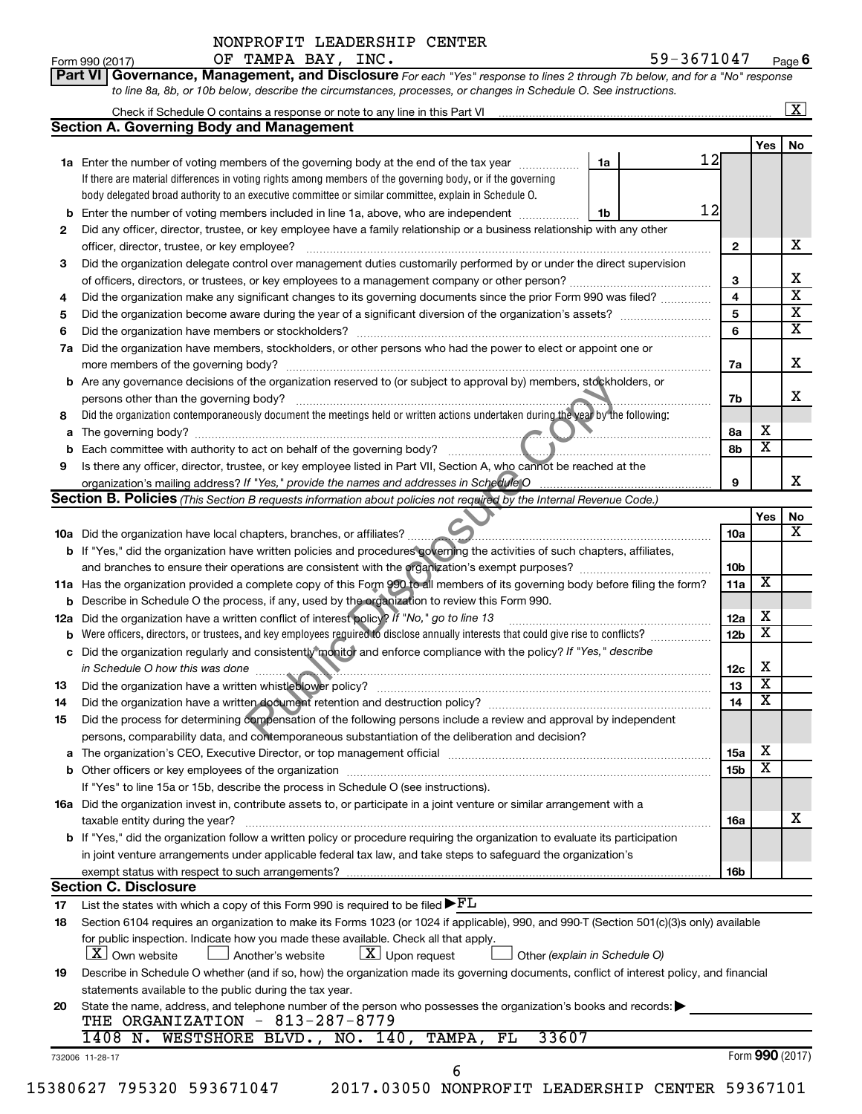Form 990 (2017)  $\qquad \qquad \text{OF}$   $\qquad$   $\qquad$   $\qquad$   $\qquad$   $\qquad$   $\qquad$   $\qquad$   $\qquad$   $\qquad$   $\qquad$   $\qquad$   $\qquad$   $\qquad$   $\qquad$   $\qquad$   $\qquad$   $\qquad$   $\qquad$   $\qquad$   $\qquad$   $\qquad$   $\qquad$   $\qquad$   $\qquad$   $\qquad$   $\qquad$   $\qquad$   $\qquad$   $\qquad$   $\qquad$   $\qquad$   $\qquad$ 59-3671047 Page 6

|     | Governance, Management, and Disclosure For each "Yes" response to lines 2 through 7b below, and for a "No" response<br>Part VI l<br>to line 8a, 8b, or 10b below, describe the circumstances, processes, or changes in Schedule O. See instructions. |    |                 |                         |                         |
|-----|------------------------------------------------------------------------------------------------------------------------------------------------------------------------------------------------------------------------------------------------------|----|-----------------|-------------------------|-------------------------|
|     |                                                                                                                                                                                                                                                      |    |                 |                         |                         |
|     |                                                                                                                                                                                                                                                      |    |                 |                         | $\overline{\mathbf{x}}$ |
|     | <b>Section A. Governing Body and Management</b>                                                                                                                                                                                                      |    |                 |                         |                         |
|     | 1a                                                                                                                                                                                                                                                   | 12 |                 | Yes                     | No                      |
|     | 1a Enter the number of voting members of the governing body at the end of the tax year<br>If there are material differences in voting rights among members of the governing body, or if the governing                                                |    |                 |                         |                         |
|     | body delegated broad authority to an executive committee or similar committee, explain in Schedule O.                                                                                                                                                |    |                 |                         |                         |
|     |                                                                                                                                                                                                                                                      | 12 |                 |                         |                         |
| b   | Enter the number of voting members included in line 1a, above, who are independent<br>1b                                                                                                                                                             |    |                 |                         |                         |
| 2   | Did any officer, director, trustee, or key employee have a family relationship or a business relationship with any other                                                                                                                             |    |                 |                         |                         |
|     | officer, director, trustee, or key employee?                                                                                                                                                                                                         |    | $\mathbf{2}$    |                         |                         |
| 3   | Did the organization delegate control over management duties customarily performed by or under the direct supervision                                                                                                                                |    |                 |                         |                         |
|     |                                                                                                                                                                                                                                                      |    | 3               |                         |                         |
| 4   | Did the organization make any significant changes to its governing documents since the prior Form 990 was filed?                                                                                                                                     |    | $\overline{4}$  |                         |                         |
| 5   |                                                                                                                                                                                                                                                      |    | 5               |                         |                         |
| 6   |                                                                                                                                                                                                                                                      |    | 6               |                         |                         |
| 7a  | Did the organization have members, stockholders, or other persons who had the power to elect or appoint one or                                                                                                                                       |    |                 |                         |                         |
|     |                                                                                                                                                                                                                                                      |    | 7a              |                         |                         |
|     | <b>b</b> Are any governance decisions of the organization reserved to (or subject to approval by) members, stockholders, or                                                                                                                          |    |                 |                         |                         |
|     | persons other than the governing body?                                                                                                                                                                                                               |    | 7b              |                         |                         |
| 8   | Did the organization contemporaneously document the meetings held or written actions undertaken during the year by the following:                                                                                                                    |    |                 |                         |                         |
| а   | <u> 2008 - An American American American American American American American American American American American</u>                                                                                                                                 |    | 8а              | х                       |                         |
|     |                                                                                                                                                                                                                                                      |    | 8b              | $\overline{\textbf{x}}$ |                         |
| 9   | Is there any officer, director, trustee, or key employee listed in Part VII, Section A, who cannot be reached at the                                                                                                                                 |    |                 |                         |                         |
|     | organization's mailing address? If "Yes," provide the names and addresses in Schedule O                                                                                                                                                              |    | 9               |                         |                         |
|     | <b>Section B. Policies</b> (This Section B requests information about policies not required by the Internal Revenue Code.)                                                                                                                           |    |                 |                         |                         |
|     |                                                                                                                                                                                                                                                      |    |                 | Yes                     |                         |
|     | 10a Did the organization have local chapters, branches, or affiliates?                                                                                                                                                                               |    | 10a             |                         |                         |
|     | <b>b</b> If "Yes," did the organization have written policies and procedures governing the activities of such chapters, affiliates,                                                                                                                  |    |                 |                         |                         |
|     | and branches to ensure their operations are consistent with the organization's exempt purposes? www.www.www.www.                                                                                                                                     |    | 10 <sub>b</sub> |                         |                         |
|     | 11a Has the organization provided a complete copy of this Form 990 to all members of its governing body before filing the form?                                                                                                                      |    | 11a             | X                       |                         |
|     | <b>b</b> Describe in Schedule O the process, if any, used by the organization to review this Form 990.                                                                                                                                               |    |                 |                         |                         |
| 12a | Did the organization have a written conflict of interest policy? If "No," go to line 13                                                                                                                                                              |    | 12a             | х                       |                         |
|     | Were officers, directors, or trustees, and key employees required to disclose annually interests that could give rise to conflicts?                                                                                                                  |    | 12 <sub>b</sub> | х                       |                         |
|     | c Did the organization regularly and consistently monitor and enforce compliance with the policy? If "Yes," describe                                                                                                                                 |    |                 |                         |                         |
|     |                                                                                                                                                                                                                                                      |    |                 | х                       |                         |
|     |                                                                                                                                                                                                                                                      |    | 12c             | $\overline{\texttt{x}}$ |                         |
| 13  |                                                                                                                                                                                                                                                      |    | 13              | х                       |                         |
| 14  |                                                                                                                                                                                                                                                      |    | 14              |                         |                         |
| 15  | Did the process for determining compensation of the following persons include a review and approval by independent                                                                                                                                   |    |                 |                         |                         |
|     | persons, comparability data, and contemporaneous substantiation of the deliberation and decision?                                                                                                                                                    |    |                 |                         |                         |
| a   | The organization's CEO, Executive Director, or top management official [111] [12] manuscription or contraction of the organization's CEO, Executive Director, or top management official [12] manuscription or contraction of                        |    | 15a             | X                       |                         |
|     |                                                                                                                                                                                                                                                      |    | 15 <sub>b</sub> | $\overline{\textbf{x}}$ |                         |
|     | If "Yes" to line 15a or 15b, describe the process in Schedule O (see instructions).                                                                                                                                                                  |    |                 |                         |                         |
|     | 16a Did the organization invest in, contribute assets to, or participate in a joint venture or similar arrangement with a                                                                                                                            |    |                 |                         |                         |
|     | taxable entity during the year?                                                                                                                                                                                                                      |    | <b>16a</b>      |                         |                         |
|     | b If "Yes," did the organization follow a written policy or procedure requiring the organization to evaluate its participation                                                                                                                       |    |                 |                         |                         |
|     | in joint venture arrangements under applicable federal tax law, and take steps to safeguard the organization's                                                                                                                                       |    |                 |                         |                         |
|     |                                                                                                                                                                                                                                                      |    | 16b             |                         |                         |
|     | <b>Section C. Disclosure</b>                                                                                                                                                                                                                         |    |                 |                         |                         |
| 17  | List the states with which a copy of this Form 990 is required to be filed $\blacktriangleright$ $FL$                                                                                                                                                |    |                 |                         |                         |
| 18  | Section 6104 requires an organization to make its Forms 1023 (or 1024 if applicable), 990, and 990-T (Section 501(c)(3)s only) available                                                                                                             |    |                 |                         |                         |
|     | for public inspection. Indicate how you made these available. Check all that apply.                                                                                                                                                                  |    |                 |                         |                         |
|     | $\lfloor x \rfloor$ Own website<br>$\lfloor \underline{X} \rfloor$ Upon request<br>$\!\!\!\Box$ Another's website<br>Other (explain in Schedule O)                                                                                                   |    |                 |                         |                         |
| 19  | Describe in Schedule O whether (and if so, how) the organization made its governing documents, conflict of interest policy, and financial                                                                                                            |    |                 |                         |                         |
|     | statements available to the public during the tax year.                                                                                                                                                                                              |    |                 |                         |                         |
| 20  | State the name, address, and telephone number of the person who possesses the organization's books and records:                                                                                                                                      |    |                 |                         |                         |
|     | THE ORGANIZATION - 813-287-8779                                                                                                                                                                                                                      |    |                 |                         |                         |
|     | 33607<br>1408 N. WESTSHORE BLVD., NO. 140, TAMPA, FL                                                                                                                                                                                                 |    |                 |                         |                         |
|     | 732006 11-28-17                                                                                                                                                                                                                                      |    |                 | Form 990 (2017)         |                         |
|     | 6                                                                                                                                                                                                                                                    |    |                 |                         |                         |
|     | 15380627 795320 593671047<br>2017.03050 NONPROFIT LEADERSHIP CENTER 59367101                                                                                                                                                                         |    |                 |                         |                         |
|     |                                                                                                                                                                                                                                                      |    |                 |                         |                         |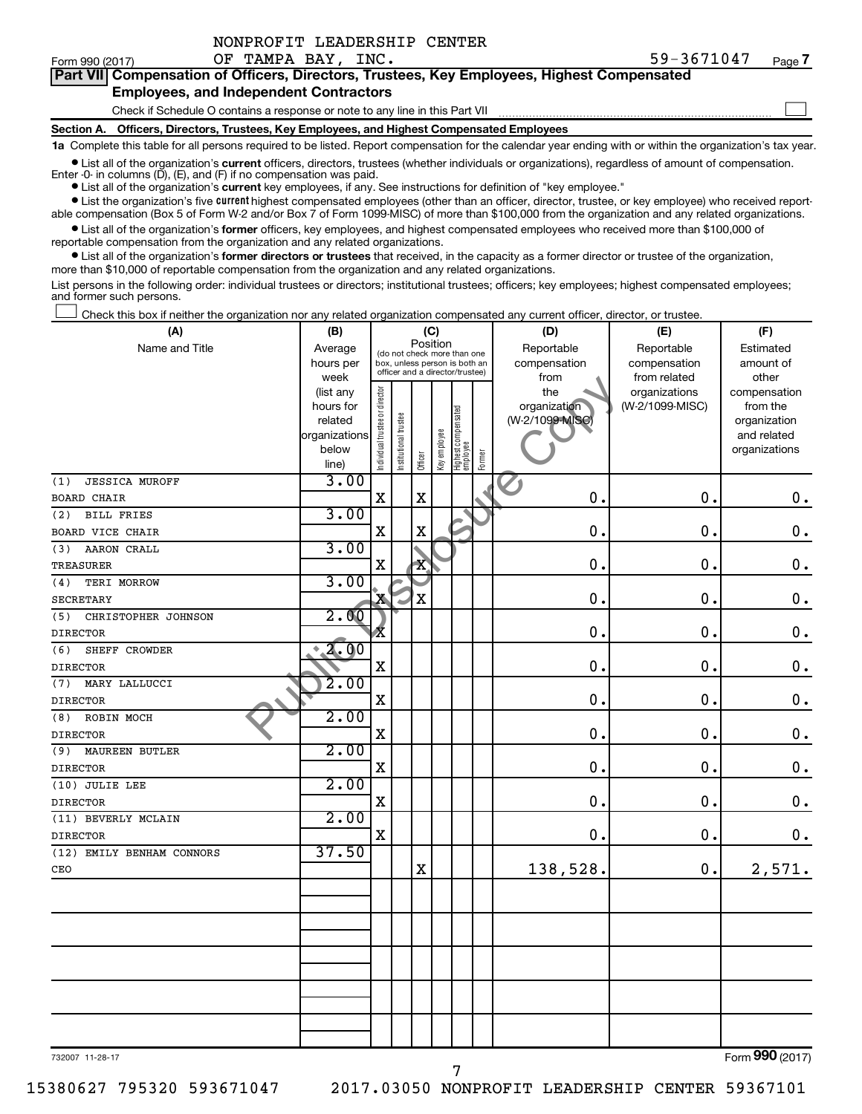| NONPROFIT LEADERSHIP CENTER |  |  |
|-----------------------------|--|--|
|-----------------------------|--|--|

 $\Box$ 

| Part VII Compensation of Officers, Directors, Trustees, Key Employees, Highest Compensated |
|--------------------------------------------------------------------------------------------|
| <b>Employees, and Independent Contractors</b>                                              |

Check if Schedule O contains a response or note to any line in this Part VII

**Section A. Officers, Directors, Trustees, Key Employees, and Highest Compensated Employees**

**1a**  Complete this table for all persons required to be listed. Report compensation for the calendar year ending with or within the organization's tax year.

 $\bullet$  List all of the organization's current officers, directors, trustees (whether individuals or organizations), regardless of amount of compensation. Enter  $-0$ - in columns  $(D)$ ,  $(E)$ , and  $(F)$  if no compensation was paid.

**•** List all of the organization's **current** key employees, if any. See instructions for definition of "key employee."

**•** List the organization's five current highest compensated employees (other than an officer, director, trustee, or key employee) who received reportable compensation (Box 5 of Form W-2 and/or Box 7 of Form 1099-MISC) of more than \$100,000 from the organization and any related organizations.

**•** List all of the organization's former officers, key employees, and highest compensated employees who received more than \$100,000 of reportable compensation from the organization and any related organizations.

**•** List all of the organization's former directors or trustees that received, in the capacity as a former director or trustee of the organization, more than \$10,000 of reportable compensation from the organization and any related organizations.

List persons in the following order: individual trustees or directors; institutional trustees; officers; key employees; highest compensated employees; and former such persons.

Check this box if neither the organization nor any related organization compensated any current officer, director, or trustee.  $\Box$ 

| (A)                          | (B)               | (C)                                     |                       |                                 |              |                                 |            | (D)             | (E)             | (F)           |
|------------------------------|-------------------|-----------------------------------------|-----------------------|---------------------------------|--------------|---------------------------------|------------|-----------------|-----------------|---------------|
| Name and Title               | Average           | Position<br>(do not check more than one |                       |                                 |              | Reportable                      | Reportable | Estimated       |                 |               |
|                              | hours per         |                                         |                       | box, unless person is both an   |              |                                 |            | compensation    | compensation    | amount of     |
|                              | week              |                                         |                       | officer and a director/trustee) |              |                                 |            | from            | from related    | other         |
|                              | (list any         |                                         |                       |                                 |              |                                 |            | the             | organizations   | compensation  |
|                              | hours for         |                                         |                       |                                 |              |                                 |            | organization    | (W-2/1099-MISC) | from the      |
|                              | related           |                                         |                       |                                 |              |                                 |            | (W-2/1099-MISC) |                 | organization  |
|                              | organizations     |                                         |                       |                                 |              |                                 |            |                 |                 | and related   |
|                              | below<br>line)    | Individual trustee or director          | Institutional trustee | Officer                         | Key employee | Highest compensated<br>employee | Former     |                 |                 | organizations |
| <b>JESSICA MUROFF</b><br>(1) | 3.00              |                                         |                       |                                 |              |                                 |            |                 |                 |               |
| <b>BOARD CHAIR</b>           |                   | $\rm X$                                 |                       | $\mathbf X$                     |              |                                 |            | $\mathbf 0$ .   | 0.              | $\mathbf 0$ . |
| <b>BILL FRIES</b><br>(2)     | 3.00              |                                         |                       |                                 |              |                                 |            |                 |                 |               |
| BOARD VICE CHAIR             |                   | $\mathbf X$                             |                       | $\mathbf X$                     |              |                                 |            | $\mathbf 0$ .   | 0.              | $\mathbf 0$ . |
| AARON CRALL<br>(3)           | 3.00              |                                         |                       |                                 |              |                                 |            |                 |                 |               |
| <b>TREASURER</b>             |                   | $\mathbf X$                             |                       | X                               |              |                                 |            | $\mathbf 0$ .   | $\mathbf 0$ .   | $\mathbf 0$ . |
| TERI MORROW<br>(4)           | 3.00              |                                         |                       |                                 |              |                                 |            |                 |                 |               |
| <b>SECRETARY</b>             |                   | $\mathbf{X}$                            |                       | ΙX                              |              |                                 |            | $\mathbf 0$ .   | 0.              | $\mathbf 0$ . |
| CHRISTOPHER JOHNSON<br>(5)   | 2.00              |                                         |                       |                                 |              |                                 |            |                 |                 |               |
| <b>DIRECTOR</b>              |                   | Ā                                       |                       |                                 |              |                                 |            | $\mathbf 0$ .   | 0.              | 0.            |
| (6)<br>SHEFF CROWDER         | 2.00<br>۰         |                                         |                       |                                 |              |                                 |            |                 |                 |               |
| <b>DIRECTOR</b>              |                   | X                                       |                       |                                 |              |                                 |            | $\mathbf 0$ .   | $\mathbf 0$ .   | $\mathbf 0$ . |
| (7)<br>MARY LALLUCCI         | $\overline{2.00}$ |                                         |                       |                                 |              |                                 |            |                 |                 |               |
| <b>DIRECTOR</b>              |                   | $\mathbf X$                             |                       |                                 |              |                                 |            | 0.              | $\mathbf 0$ .   | $\mathbf 0$ . |
| ROBIN MOCH<br>(8)            | 2.00              |                                         |                       |                                 |              |                                 |            |                 |                 |               |
| <b>DIRECTOR</b>              |                   | $\mathbf X$                             |                       |                                 |              |                                 |            | 0.              | $\mathbf 0$ .   | $\mathbf 0$ . |
| MAUREEN BUTLER<br>(9)        | 2.00              |                                         |                       |                                 |              |                                 |            |                 |                 |               |
| <b>DIRECTOR</b>              |                   | X                                       |                       |                                 |              |                                 |            | $\mathbf 0$ .   | $\mathbf 0$ .   | $\mathbf 0$ . |
| (10) JULIE LEE               | 2.00              |                                         |                       |                                 |              |                                 |            |                 |                 |               |
| <b>DIRECTOR</b>              |                   | $\mathbf X$                             |                       |                                 |              |                                 |            | $\mathbf 0$ .   | $\mathbf 0$ .   | $\mathbf 0$ . |
| (11) BEVERLY MCLAIN          | 2.00              | $\mathbf X$                             |                       |                                 |              |                                 |            | 0.              | $\mathbf 0$ .   |               |
| <b>DIRECTOR</b>              | 37.50             |                                         |                       |                                 |              |                                 |            |                 |                 | 0.            |
| (12) EMILY BENHAM CONNORS    |                   |                                         |                       | $\mathbf X$                     |              |                                 |            | 138,528.        | $\mathbf 0$ .   | 2,571.        |
| CEO                          |                   |                                         |                       |                                 |              |                                 |            |                 |                 |               |
|                              |                   |                                         |                       |                                 |              |                                 |            |                 |                 |               |
|                              |                   |                                         |                       |                                 |              |                                 |            |                 |                 |               |
|                              |                   |                                         |                       |                                 |              |                                 |            |                 |                 |               |
|                              |                   |                                         |                       |                                 |              |                                 |            |                 |                 |               |
|                              |                   |                                         |                       |                                 |              |                                 |            |                 |                 |               |
|                              |                   |                                         |                       |                                 |              |                                 |            |                 |                 |               |
|                              |                   |                                         |                       |                                 |              |                                 |            |                 |                 |               |
|                              |                   |                                         |                       |                                 |              |                                 |            |                 |                 |               |
|                              |                   |                                         |                       |                                 |              |                                 |            |                 |                 |               |

732007 11-28-17

Form (2017) **990**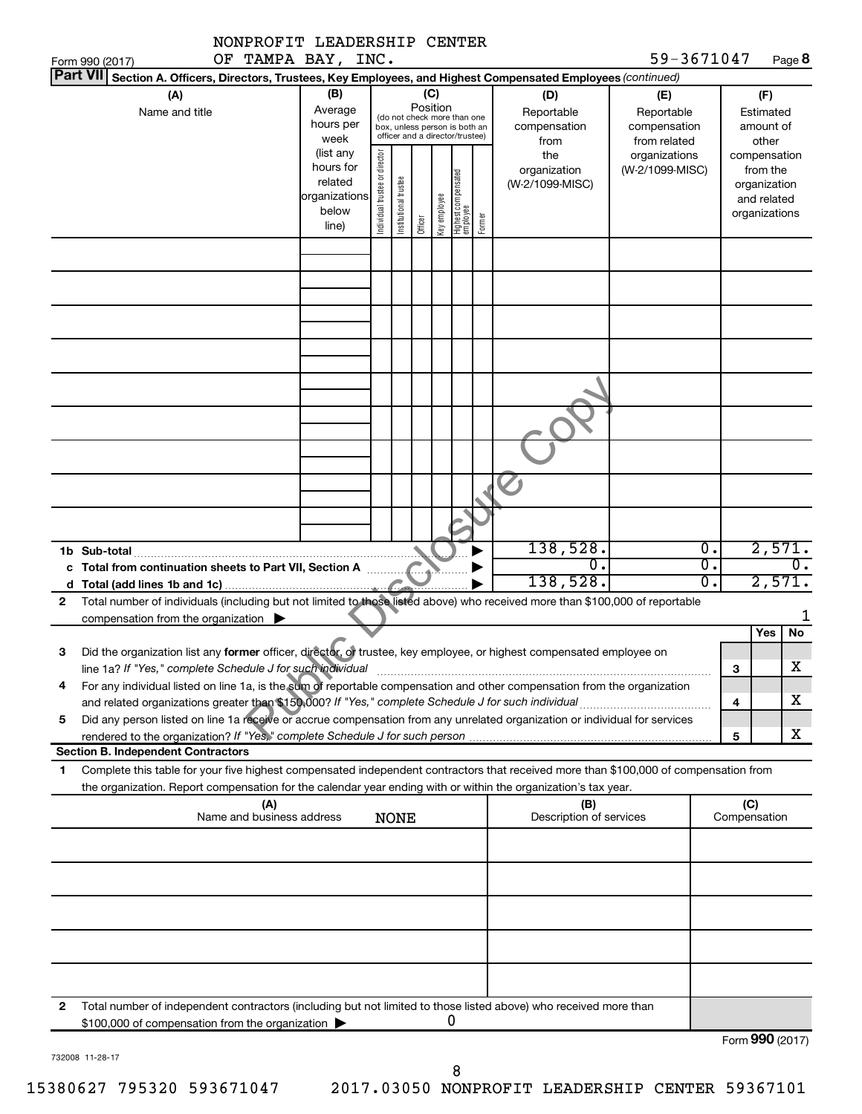|                                           | NONPROFIT LEADERSHIP CENTER                                                                                                                                                                                                            |                                                                      |                                |                       |                 |              |                                                                                                 |        |                                           |                                                   |                  |                     |                                                          |              |
|-------------------------------------------|----------------------------------------------------------------------------------------------------------------------------------------------------------------------------------------------------------------------------------------|----------------------------------------------------------------------|--------------------------------|-----------------------|-----------------|--------------|-------------------------------------------------------------------------------------------------|--------|-------------------------------------------|---------------------------------------------------|------------------|---------------------|----------------------------------------------------------|--------------|
| Form 990 (2017)                           | OF TAMPA BAY, INC.                                                                                                                                                                                                                     |                                                                      |                                |                       |                 |              |                                                                                                 |        |                                           | 59-3671047                                        |                  |                     |                                                          | Page 8       |
| <b>Part VII</b>                           | Section A. Officers, Directors, Trustees, Key Employees, and Highest Compensated Employees (continued)                                                                                                                                 |                                                                      |                                |                       |                 |              |                                                                                                 |        |                                           |                                                   |                  |                     |                                                          |              |
|                                           | (A)<br>Name and title                                                                                                                                                                                                                  | (B)<br>Average<br>hours per<br>week                                  |                                |                       | (C)<br>Position |              | (do not check more than one<br>box, unless person is both an<br>officer and a director/trustee) |        | (D)<br>Reportable<br>compensation<br>from | (E)<br>Reportable<br>compensation<br>from related |                  |                     | (F)<br>Estimated<br>amount of<br>other                   |              |
|                                           |                                                                                                                                                                                                                                        | (list any<br>hours for<br>related<br>organizations<br>below<br>line) | Individual trustee or director | Institutional trustee | Officer         | Key employee | Highest compensated<br>employee                                                                 | Former | the<br>organization<br>(W-2/1099-MISC)    | organizations<br>(W-2/1099-MISC)                  |                  | compensation        | from the<br>organization<br>and related<br>organizations |              |
|                                           |                                                                                                                                                                                                                                        |                                                                      |                                |                       |                 |              |                                                                                                 |        |                                           |                                                   |                  |                     |                                                          |              |
|                                           |                                                                                                                                                                                                                                        |                                                                      |                                |                       |                 |              |                                                                                                 |        |                                           |                                                   |                  |                     |                                                          |              |
|                                           |                                                                                                                                                                                                                                        |                                                                      |                                |                       |                 |              |                                                                                                 |        |                                           |                                                   |                  |                     |                                                          |              |
|                                           |                                                                                                                                                                                                                                        |                                                                      |                                |                       |                 |              |                                                                                                 |        |                                           |                                                   |                  |                     |                                                          |              |
|                                           |                                                                                                                                                                                                                                        |                                                                      |                                |                       |                 |              |                                                                                                 |        |                                           |                                                   |                  |                     |                                                          |              |
|                                           |                                                                                                                                                                                                                                        |                                                                      |                                |                       |                 |              |                                                                                                 |        |                                           |                                                   |                  |                     |                                                          |              |
|                                           |                                                                                                                                                                                                                                        |                                                                      |                                |                       |                 |              |                                                                                                 |        |                                           |                                                   |                  |                     |                                                          |              |
| 1b Sub-total                              |                                                                                                                                                                                                                                        |                                                                      |                                |                       |                 |              |                                                                                                 |        | 138,528.                                  |                                                   | $\overline{0}$ . |                     |                                                          | 2,571.       |
|                                           | c Total from continuation sheets to Part VII, Section A                                                                                                                                                                                |                                                                      |                                |                       |                 |              |                                                                                                 |        | $\Omega$<br>138,528.                      |                                                   | σ.<br>σ.         |                     |                                                          | 0.<br>2,571. |
| $\mathbf{2}$                              | Total number of individuals (including but not limited to those listed above) who received more than \$100,000 of reportable                                                                                                           |                                                                      |                                |                       |                 |              |                                                                                                 |        |                                           |                                                   |                  |                     |                                                          |              |
|                                           | compensation from the organization $\blacktriangleright$                                                                                                                                                                               |                                                                      |                                |                       |                 |              |                                                                                                 |        |                                           |                                                   |                  |                     |                                                          | 1            |
|                                           |                                                                                                                                                                                                                                        |                                                                      |                                |                       |                 |              |                                                                                                 |        |                                           |                                                   |                  |                     | Yes                                                      | No           |
| з                                         | Did the organization list any former officer, director, or trustee, key employee, or highest compensated employee on<br>line 1a? If "Yes," complete Schedule J for such individual manumentation contains and the content of the conte |                                                                      |                                |                       |                 |              |                                                                                                 |        |                                           |                                                   |                  | 3                   |                                                          | X            |
| 4                                         | For any individual listed on line 1a, is the sum of reportable compensation and other compensation from the organization                                                                                                               |                                                                      |                                |                       |                 |              |                                                                                                 |        |                                           |                                                   |                  | 4                   |                                                          | x.           |
| 5                                         | Did any person listed on line 1a receive or accrue compensation from any unrelated organization or individual for services                                                                                                             |                                                                      |                                |                       |                 |              |                                                                                                 |        |                                           |                                                   |                  |                     |                                                          |              |
| <b>Section B. Independent Contractors</b> | rendered to the organization? If "Yes," complete Schedule J for such person manufactured to the organization? If "Yes," complete Schedule J for such person manufactured and the organization?                                         |                                                                      |                                |                       |                 |              |                                                                                                 |        |                                           |                                                   |                  | 5                   |                                                          | x            |
| 1                                         | Complete this table for your five highest compensated independent contractors that received more than \$100,000 of compensation from                                                                                                   |                                                                      |                                |                       |                 |              |                                                                                                 |        |                                           |                                                   |                  |                     |                                                          |              |
|                                           | the organization. Report compensation for the calendar year ending with or within the organization's tax year.                                                                                                                         |                                                                      |                                |                       |                 |              |                                                                                                 |        |                                           |                                                   |                  |                     |                                                          |              |
|                                           | (A)<br>Name and business address                                                                                                                                                                                                       |                                                                      |                                | <b>NONE</b>           |                 |              |                                                                                                 |        | (B)<br>Description of services            |                                                   |                  | (C)<br>Compensation |                                                          |              |
|                                           |                                                                                                                                                                                                                                        |                                                                      |                                |                       |                 |              |                                                                                                 |        |                                           |                                                   |                  |                     |                                                          |              |
|                                           |                                                                                                                                                                                                                                        |                                                                      |                                |                       |                 |              |                                                                                                 |        |                                           |                                                   |                  |                     |                                                          |              |
|                                           |                                                                                                                                                                                                                                        |                                                                      |                                |                       |                 |              |                                                                                                 |        |                                           |                                                   |                  |                     |                                                          |              |
|                                           |                                                                                                                                                                                                                                        |                                                                      |                                |                       |                 |              |                                                                                                 |        |                                           |                                                   |                  |                     |                                                          |              |
| 2                                         | Total number of independent contractors (including but not limited to those listed above) who received more than<br>\$100,000 of compensation from the organization                                                                    |                                                                      |                                |                       |                 |              | 0                                                                                               |        |                                           |                                                   |                  |                     |                                                          |              |
|                                           |                                                                                                                                                                                                                                        |                                                                      |                                |                       |                 |              |                                                                                                 |        |                                           |                                                   |                  | Form 990 (2017)     |                                                          |              |

732008 11-28-17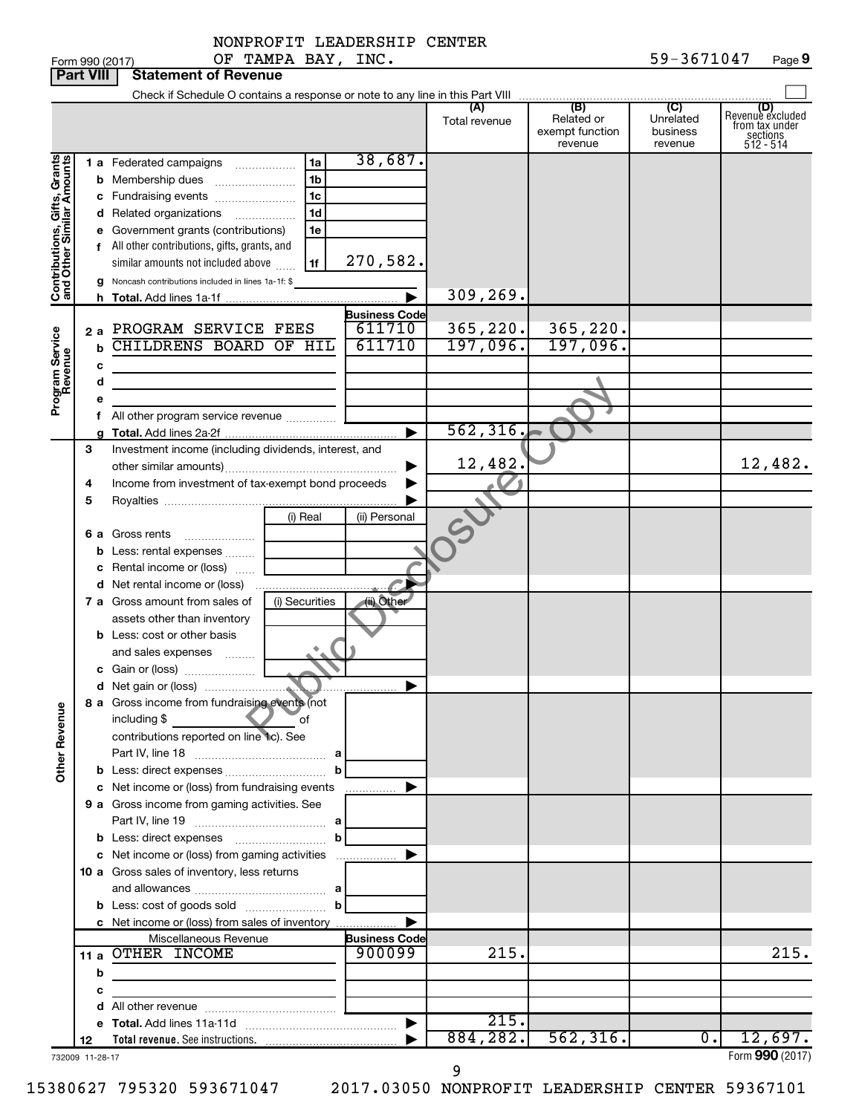**Part 1990 (2017)** 

NONPROFIT LEADERSHIP CENTER

|                                                           | <b>Part VIII</b> | Statement of Revenue                                                                                                                    |                      |                      |                                      |                              |                                                                    |
|-----------------------------------------------------------|------------------|-----------------------------------------------------------------------------------------------------------------------------------------|----------------------|----------------------|--------------------------------------|------------------------------|--------------------------------------------------------------------|
|                                                           |                  |                                                                                                                                         |                      | (A)<br>Total revenue | (B)<br>Related or<br>exempt function | (C)<br>Unrelated<br>business | (D)<br>Revenue excluded<br>from tax under<br>sections<br>512 - 514 |
|                                                           |                  | 1a<br><b>1 a</b> Federated campaigns<br>1 <sub>b</sub><br><b>b</b> Membership dues<br>1c<br>c Fundraising events                        | 38,687.              |                      | revenue                              | revenue                      |                                                                    |
| Contributions, Gifts, Grants<br>and Other Similar Amounts |                  | 1 <sub>d</sub><br>d Related organizations<br>e Government grants (contributions)<br>1e<br>f All other contributions, gifts, grants, and |                      |                      |                                      |                              |                                                                    |
|                                                           |                  | similar amounts not included above<br>1f<br>g Noncash contributions included in lines 1a-1f: \$                                         | 270,582.             | 309, 269.            |                                      |                              |                                                                    |
|                                                           |                  |                                                                                                                                         | <b>Business Code</b> |                      |                                      |                              |                                                                    |
|                                                           |                  | 2 a PROGRAM SERVICE FEES                                                                                                                | 611710               | 365, 220.            | 365, 220.                            |                              |                                                                    |
|                                                           | b                | CHILDRENS BOARD OF HIL                                                                                                                  | 611710               | 197,096.             | 197,096.                             |                              |                                                                    |
| Program Service                                           | c                |                                                                                                                                         |                      |                      |                                      |                              |                                                                    |
|                                                           | d                |                                                                                                                                         |                      |                      |                                      |                              |                                                                    |
|                                                           |                  |                                                                                                                                         |                      |                      |                                      |                              |                                                                    |
|                                                           |                  | f All other program service revenue                                                                                                     |                      |                      |                                      |                              |                                                                    |
|                                                           |                  |                                                                                                                                         |                      | 562, 316.            |                                      |                              |                                                                    |
|                                                           | З                | Investment income (including dividends, interest, and                                                                                   |                      |                      |                                      |                              |                                                                    |
|                                                           |                  |                                                                                                                                         | ▶                    | 12,482.              |                                      |                              | 12,482.                                                            |
|                                                           | 4                | Income from investment of tax-exempt bond proceeds                                                                                      |                      |                      |                                      |                              |                                                                    |
|                                                           | 5                |                                                                                                                                         |                      |                      |                                      |                              |                                                                    |
|                                                           |                  | (i) Real                                                                                                                                | (ii) Personal        |                      |                                      |                              |                                                                    |
|                                                           |                  | <b>6 a</b> Gross rents                                                                                                                  |                      |                      |                                      |                              |                                                                    |
|                                                           |                  | <b>b</b> Less: rental expenses <i></i>                                                                                                  |                      |                      |                                      |                              |                                                                    |
|                                                           |                  | <b>c</b> Rental income or (loss)                                                                                                        |                      |                      |                                      |                              |                                                                    |
|                                                           |                  |                                                                                                                                         |                      |                      |                                      |                              |                                                                    |
|                                                           |                  | 7 a Gross amount from sales of<br>(i) Securities                                                                                        | (ii) Other           |                      |                                      |                              |                                                                    |
|                                                           |                  | assets other than inventory                                                                                                             |                      |                      |                                      |                              |                                                                    |
|                                                           |                  | <b>b</b> Less: cost or other basis                                                                                                      |                      |                      |                                      |                              |                                                                    |
|                                                           |                  | and sales expenses                                                                                                                      |                      |                      |                                      |                              |                                                                    |
|                                                           |                  |                                                                                                                                         |                      |                      |                                      |                              |                                                                    |
|                                                           |                  |                                                                                                                                         |                      |                      |                                      |                              |                                                                    |
|                                                           |                  | <b>8 a</b> Gross income from fundraising events (not                                                                                    |                      |                      |                                      |                              |                                                                    |
| Other Revenue                                             |                  | including \$<br>оf<br>contributions reported on line 1c). See                                                                           |                      |                      |                                      |                              |                                                                    |
|                                                           |                  |                                                                                                                                         |                      |                      |                                      |                              |                                                                    |
|                                                           |                  | b                                                                                                                                       |                      |                      |                                      |                              |                                                                    |
|                                                           |                  | c Net income or (loss) from fundraising events                                                                                          | <u></u> ▶            |                      |                                      |                              |                                                                    |
|                                                           |                  | 9 a Gross income from gaming activities. See                                                                                            |                      |                      |                                      |                              |                                                                    |
|                                                           |                  |                                                                                                                                         |                      |                      |                                      |                              |                                                                    |
|                                                           |                  | b                                                                                                                                       |                      |                      |                                      |                              |                                                                    |
|                                                           |                  |                                                                                                                                         |                      |                      |                                      |                              |                                                                    |
|                                                           |                  | 10 a Gross sales of inventory, less returns                                                                                             |                      |                      |                                      |                              |                                                                    |
|                                                           |                  |                                                                                                                                         |                      |                      |                                      |                              |                                                                    |
|                                                           |                  | b                                                                                                                                       |                      |                      |                                      |                              |                                                                    |
|                                                           |                  | c Net income or (loss) from sales of inventory                                                                                          |                      |                      |                                      |                              |                                                                    |
|                                                           |                  | Miscellaneous Revenue                                                                                                                   | <b>Business Code</b> |                      |                                      |                              |                                                                    |
|                                                           |                  | 11 a OTHER INCOME                                                                                                                       | 900099               | 215.                 |                                      |                              | 215.                                                               |
|                                                           | b                | the control of the control of the control of the control of the control of                                                              |                      |                      |                                      |                              |                                                                    |
|                                                           | с                |                                                                                                                                         |                      |                      |                                      |                              |                                                                    |
|                                                           |                  | <b>d</b> All other revenue $\ldots$ $\ldots$ $\ldots$ $\ldots$ $\ldots$ $\ldots$ $\ldots$                                               |                      |                      |                                      |                              |                                                                    |
|                                                           |                  |                                                                                                                                         |                      | 215.                 |                                      |                              |                                                                    |
|                                                           | 12               |                                                                                                                                         |                      | 884, 282.            | 562,316.                             | $\overline{0}$ .             | 12,697.                                                            |
| 732009 11-28-17                                           |                  |                                                                                                                                         |                      |                      |                                      |                              | Form 990 (2017)                                                    |

732009 11-28-17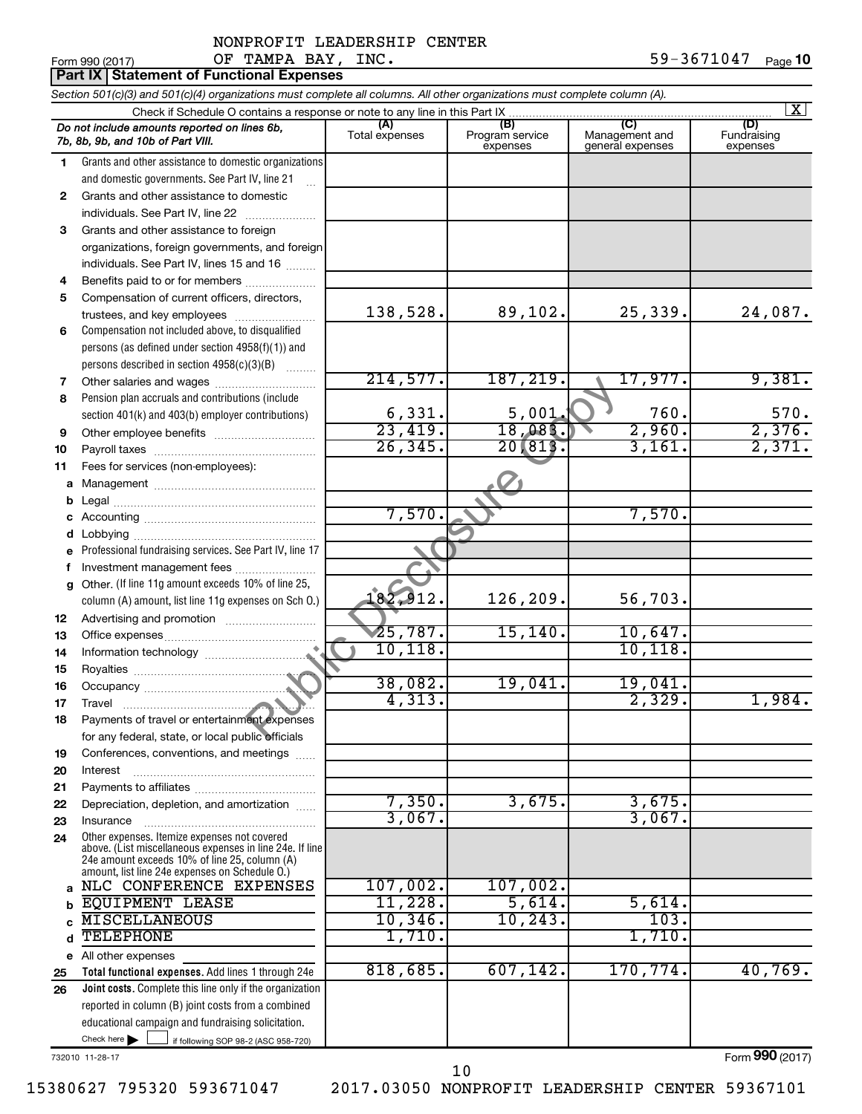|    | OF TAMPA BAY, INC.<br>Form 990 (2017)                                                                                                                                                                       |                        |                                    |                                           | 59-3671047<br>Page 10          |
|----|-------------------------------------------------------------------------------------------------------------------------------------------------------------------------------------------------------------|------------------------|------------------------------------|-------------------------------------------|--------------------------------|
|    | <b>Part IX Statement of Functional Expenses</b>                                                                                                                                                             |                        |                                    |                                           |                                |
|    | Section 501(c)(3) and 501(c)(4) organizations must complete all columns. All other organizations must complete column (A).                                                                                  |                        |                                    |                                           |                                |
|    | Check if Schedule O contains a response or note to any line in this Part IX                                                                                                                                 |                        |                                    |                                           | $\overline{\mathbf{x}}$        |
|    | Do not include amounts reported on lines 6b,<br>7b, 8b, 9b, and 10b of Part VIII.                                                                                                                           | (A)<br>Total expenses  | (B)<br>Program service<br>expenses | (C)<br>Management and<br>general expenses | (D)<br>Fundraising<br>expenses |
| 1. | Grants and other assistance to domestic organizations<br>and domestic governments. See Part IV, line 21                                                                                                     |                        |                                    |                                           |                                |
| 2  | Grants and other assistance to domestic                                                                                                                                                                     |                        |                                    |                                           |                                |
|    | individuals. See Part IV, line 22                                                                                                                                                                           |                        |                                    |                                           |                                |
| 3  | Grants and other assistance to foreign<br>organizations, foreign governments, and foreign<br>individuals. See Part IV, lines 15 and 16                                                                      |                        |                                    |                                           |                                |
| 4  | Benefits paid to or for members                                                                                                                                                                             |                        |                                    |                                           |                                |
| 5  | Compensation of current officers, directors,                                                                                                                                                                |                        |                                    |                                           |                                |
|    | trustees, and key employees                                                                                                                                                                                 | 138,528.               | 89,102.                            | 25,339.                                   | 24,087.                        |
| 6  | Compensation not included above, to disqualified                                                                                                                                                            |                        |                                    |                                           |                                |
|    | persons (as defined under section 4958(f)(1)) and                                                                                                                                                           |                        |                                    |                                           |                                |
|    | persons described in section 4958(c)(3)(B)                                                                                                                                                                  |                        |                                    |                                           |                                |
| 7  | Other salaries and wages                                                                                                                                                                                    | 214,577.               | 187,219                            | 17,977.                                   | 9,381.                         |
| 8  | Pension plan accruals and contributions (include                                                                                                                                                            |                        |                                    |                                           |                                |
|    | section 401(k) and 403(b) employer contributions)                                                                                                                                                           |                        | 5,001                              | 760.                                      | 570.                           |
| 9  | Other employee benefits                                                                                                                                                                                     | $\frac{6,331}{23,419}$ | 18,083.                            | 2,960.                                    | 2,376.                         |
| 10 |                                                                                                                                                                                                             | 26, 345.               | 20,813                             | 3,161.                                    | 2,371.                         |
| 11 | Fees for services (non-employees):                                                                                                                                                                          |                        |                                    |                                           |                                |
| a  |                                                                                                                                                                                                             |                        |                                    |                                           |                                |
| b  |                                                                                                                                                                                                             |                        |                                    |                                           |                                |
|    |                                                                                                                                                                                                             | 7,570.                 |                                    | 7,570.                                    |                                |
| d  |                                                                                                                                                                                                             |                        |                                    |                                           |                                |
|    | Professional fundraising services. See Part IV, line 17                                                                                                                                                     |                        |                                    |                                           |                                |
| f  | Investment management fees                                                                                                                                                                                  |                        |                                    |                                           |                                |
| g  | Other. (If line 11g amount exceeds 10% of line 25,                                                                                                                                                          |                        |                                    |                                           |                                |
|    | column (A) amount, list line 11g expenses on Sch O.)                                                                                                                                                        | 182,912.               | 126,209.                           | 56,703.                                   |                                |
| 12 |                                                                                                                                                                                                             |                        |                                    |                                           |                                |
| 13 |                                                                                                                                                                                                             | 25,787.                | 15, 140.                           | 10,647.                                   |                                |
| 14 |                                                                                                                                                                                                             | 10, 118.               |                                    | 10, 118.                                  |                                |
| 15 | Royalties <b>Constitution</b>                                                                                                                                                                               |                        |                                    |                                           |                                |
| 16 |                                                                                                                                                                                                             | 38,082 <b>.</b>        | 19,041                             | 19,041.                                   |                                |
| 17 | Travel                                                                                                                                                                                                      | 4,313.                 |                                    | 2,329.                                    | 1,984.                         |
| 18 | Payments of travel or entertainment expenses                                                                                                                                                                |                        |                                    |                                           |                                |
|    | for any federal, state, or local public officials                                                                                                                                                           |                        |                                    |                                           |                                |
| 19 | Conferences, conventions, and meetings                                                                                                                                                                      |                        |                                    |                                           |                                |
| 20 | Interest                                                                                                                                                                                                    |                        |                                    |                                           |                                |
| 21 |                                                                                                                                                                                                             |                        |                                    |                                           |                                |
| 22 | Depreciation, depletion, and amortization                                                                                                                                                                   | 7,350.                 | 3,675.                             | 3,675.                                    |                                |
| 23 | Insurance                                                                                                                                                                                                   | 3,067.                 |                                    | 3,067.                                    |                                |
| 24 | Other expenses. Itemize expenses not covered<br>above. (List miscellaneous expenses in line 24e. If line<br>24e amount exceeds 10% of line 25, column (A)<br>amount, list line 24e expenses on Schedule O.) |                        |                                    |                                           |                                |
|    | a NLC CONFERENCE EXPENSES                                                                                                                                                                                   | 107,002.               | 107,002.                           |                                           |                                |
| b  | <b>EQUIPMENT LEASE</b>                                                                                                                                                                                      | 11,228.                | 5,614.                             | 5,614.                                    |                                |
| C  | <b>MISCELLANEOUS</b>                                                                                                                                                                                        | 10, 346.               | 10, 243.                           | 103.                                      |                                |
| d  | <b>TELEPHONE</b>                                                                                                                                                                                            | 1,710.                 |                                    | 1,710.                                    |                                |
|    | e All other expenses                                                                                                                                                                                        |                        |                                    |                                           |                                |
| 25 | Total functional expenses. Add lines 1 through 24e                                                                                                                                                          | 818,685.               | 607, 142.                          | 170,774.                                  | 40,769.                        |
| 26 | <b>Joint costs.</b> Complete this line only if the organization                                                                                                                                             |                        |                                    |                                           |                                |
|    | reported in column (B) joint costs from a combined                                                                                                                                                          |                        |                                    |                                           |                                |
|    | educational campaign and fundraising solicitation.                                                                                                                                                          |                        |                                    |                                           |                                |
|    | Check here $\blacktriangleright$<br>if following SOP 98-2 (ASC 958-720)                                                                                                                                     |                        |                                    |                                           |                                |

732010 11-28-17

Form (2017) **990**

15380627 795320 593671047 2017.03050 NONPROFIT LEADERSHIP CENTER 59367101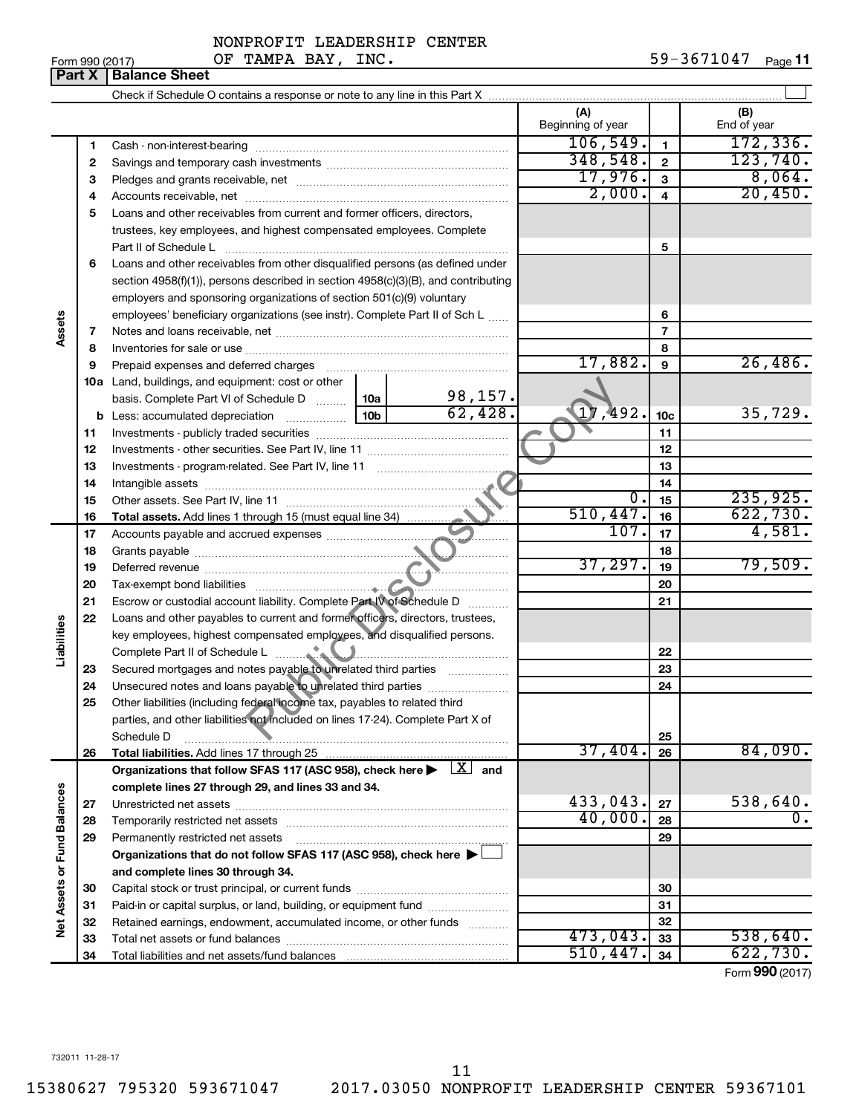#### 732011 11-28-17

15380627 795320 593671047 2017.03050 NONPROFIT LEADERSHIP CENTER 59367101 11

NONPROFIT LEADERSHIP CENTER

Form 990 (2017)  $OF$  TAMPA BAY, INC.  $59-3671047$  Page 59-3671047 Page 11

|                             | <b>Fail A</b> | Dalallue Sileet                                                                                                              |         |                          |                         |                    |
|-----------------------------|---------------|------------------------------------------------------------------------------------------------------------------------------|---------|--------------------------|-------------------------|--------------------|
|                             |               |                                                                                                                              |         |                          |                         |                    |
|                             |               |                                                                                                                              |         | (A)<br>Beginning of year |                         | (B)<br>End of year |
|                             | 1             |                                                                                                                              |         | 106,549.                 | $\mathbf{1}$            | 172, 336.          |
|                             | 2             |                                                                                                                              |         | 348,548.                 | $\mathbf{2}$            | 123,740.           |
|                             | 3             |                                                                                                                              |         | 17,976.                  | 3                       | 8,064.             |
|                             | 4             |                                                                                                                              |         | 2,000.                   | $\overline{\mathbf{4}}$ | 20,450.            |
|                             | 5             | Loans and other receivables from current and former officers, directors,                                                     |         |                          |                         |                    |
|                             |               | trustees, key employees, and highest compensated employees. Complete<br>Part II of Schedule L                                |         |                          | 5                       |                    |
|                             | 6             | Loans and other receivables from other disqualified persons (as defined under                                                |         |                          |                         |                    |
|                             |               | section 4958(f)(1)), persons described in section 4958(c)(3)(B), and contributing                                            |         |                          |                         |                    |
|                             |               | employers and sponsoring organizations of section 501(c)(9) voluntary                                                        |         |                          |                         |                    |
|                             |               | employees' beneficiary organizations (see instr). Complete Part II of Sch L                                                  |         |                          | 6                       |                    |
| Assets                      | 7             |                                                                                                                              |         |                          | $\overline{7}$          |                    |
|                             | 8             |                                                                                                                              |         |                          | 8                       |                    |
|                             | 9             | Prepaid expenses and deferred charges                                                                                        |         | 17,882.                  | 9                       | 26,486.            |
|                             |               | 10a Land, buildings, and equipment: cost or other                                                                            |         |                          |                         |                    |
|                             |               | basis. Complete Part VI of Schedule D  10a 98, 157.                                                                          |         |                          |                         |                    |
|                             |               |                                                                                                                              | 62,428. | 17,492.                  | 10 <sub>c</sub>         | 35,729.            |
|                             | 11            |                                                                                                                              |         |                          | 11                      |                    |
|                             | 12            |                                                                                                                              |         |                          | 12                      |                    |
|                             | 13            |                                                                                                                              |         |                          | 13                      |                    |
|                             | 14            |                                                                                                                              |         |                          | 14                      |                    |
|                             | 15            |                                                                                                                              |         | $\overline{0}$ .         | 15                      | 235,925.           |
|                             | 16            |                                                                                                                              |         | 510,447.                 | 16                      | 622,730.           |
|                             | 17            |                                                                                                                              |         | 107.                     | 17                      | 4,581.             |
|                             | 18            |                                                                                                                              |         |                          | 18                      |                    |
|                             | 19            |                                                                                                                              |         | 37,297.                  | 19                      | 79,509.            |
|                             | 20            |                                                                                                                              |         |                          | 20                      |                    |
|                             | 21            | Escrow or custodial account liability. Complete Part IV of Schedule D                                                        |         |                          | 21                      |                    |
|                             | 22            | Loans and other payables to current and former officers, directors, trustees,                                                |         |                          |                         |                    |
| Liabilities                 |               | key employees, highest compensated employees, and disqualified persons.                                                      |         |                          |                         |                    |
|                             |               |                                                                                                                              |         |                          | 22                      |                    |
|                             | 23            | Secured mortgages and notes payable to unrelated third parties                                                               |         |                          | 23                      |                    |
|                             | 24            |                                                                                                                              |         |                          | 24                      |                    |
|                             | 25            | Other liabilities (including federal income tax, payables to related third                                                   |         |                          |                         |                    |
|                             |               | parties, and other liabilities not included on lines 17-24). Complete Part X of                                              |         |                          |                         |                    |
|                             |               | Schedule D                                                                                                                   |         |                          | 25                      |                    |
|                             | 26            | Total liabilities. Add lines 17 through 25                                                                                   |         | 37,404.                  | 26                      | 84,090.            |
|                             |               | Organizations that follow SFAS 117 (ASC 958), check here $\blacktriangleright \begin{array}{c} \boxed{X} \\ \end{array}$ and |         |                          |                         |                    |
|                             |               | complete lines 27 through 29, and lines 33 and 34.                                                                           |         |                          |                         |                    |
|                             | 27            |                                                                                                                              |         | 433,043.                 | 27                      | 538,640.           |
|                             | 28            | Temporarily restricted net assets                                                                                            |         | 40,000.                  | 28                      | 0.                 |
|                             | 29            | Permanently restricted net assets                                                                                            |         |                          | 29                      |                    |
|                             |               | Organizations that do not follow SFAS 117 (ASC 958), check here $\blacktriangleright$                                        |         |                          |                         |                    |
|                             |               | and complete lines 30 through 34.                                                                                            |         |                          |                         |                    |
| Net Assets or Fund Balances | 30            |                                                                                                                              |         |                          | 30                      |                    |
|                             | 31            | Paid-in or capital surplus, or land, building, or equipment fund                                                             |         |                          | 31                      |                    |
|                             | 32            | Retained earnings, endowment, accumulated income, or other funds                                                             |         |                          | 32                      |                    |
|                             | 33            |                                                                                                                              |         | 473,043.                 | 33                      | 538,640.           |
|                             | 34            |                                                                                                                              |         | 510, 447.                | 34                      | 622,730.           |
|                             |               |                                                                                                                              |         |                          |                         | Form 990 (2017)    |

**Porm 990 (2017)**<br>**Part X Balance Shee**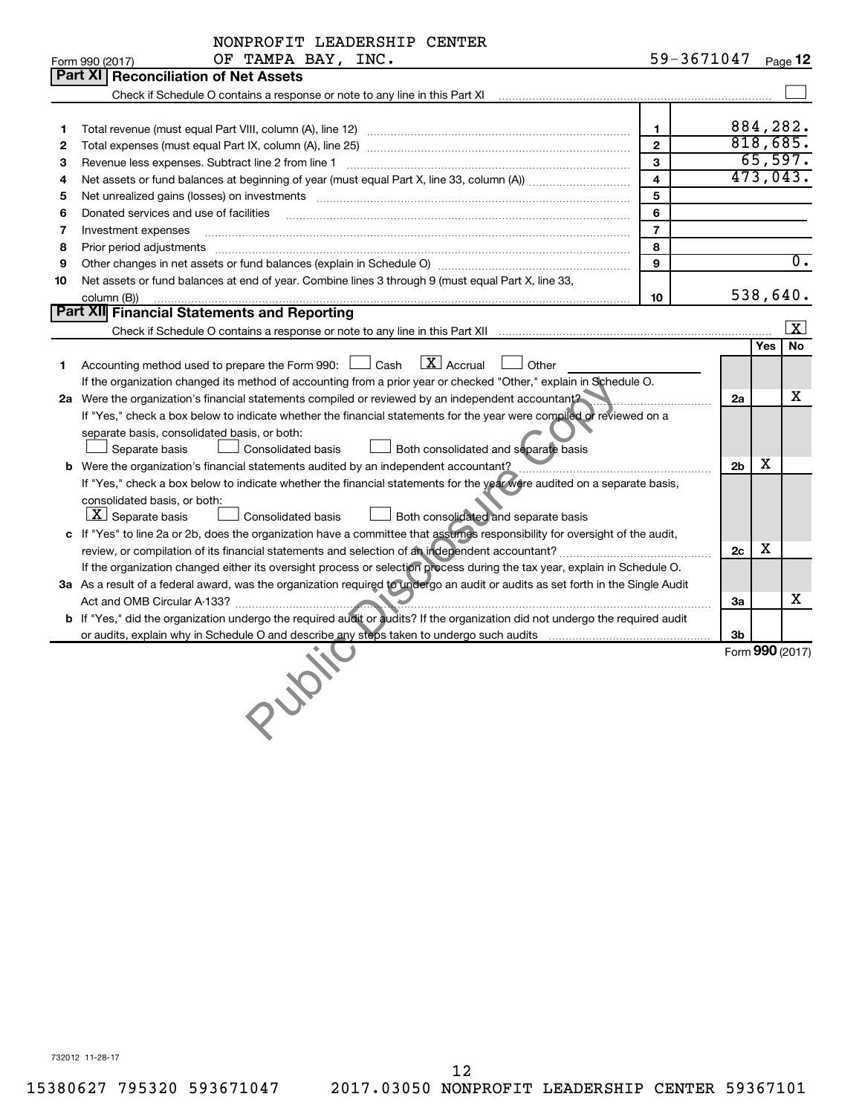|                | NONPROFIT LEADERSHIP CENTER                                                                                                     |                    |                |            |                         |
|----------------|---------------------------------------------------------------------------------------------------------------------------------|--------------------|----------------|------------|-------------------------|
|                | OF TAMPA BAY, INC.<br>Form 990 (2017)                                                                                           | 59-3671047 Page 12 |                |            |                         |
|                | Part XI<br><b>Reconciliation of Net Assets</b>                                                                                  |                    |                |            |                         |
|                |                                                                                                                                 |                    |                |            |                         |
|                |                                                                                                                                 |                    |                |            |                         |
| 1              |                                                                                                                                 | $\mathbf{1}$       |                |            | 884,282.                |
| $\mathbf{2}$   |                                                                                                                                 | $\overline{2}$     |                |            | 818,685.                |
| З              |                                                                                                                                 | 3                  |                |            | 65,597.                 |
| 4              |                                                                                                                                 | $\overline{4}$     |                |            | 473,043.                |
| 5              | Net unrealized gains (losses) on investments [11] matter continuum matter is a set of the set of the set of the                 | 5                  |                |            |                         |
| 6              | Donated services and use of facilities                                                                                          | 6                  |                |            |                         |
| $\overline{7}$ | Investment expenses                                                                                                             | $\overline{7}$     |                |            |                         |
| 8              | Prior period adjustments www.communication.communication.com/news/communications/communications/communications                  | 8                  |                |            |                         |
| 9              | Other changes in net assets or fund balances (explain in Schedule O) manufactured controller than general controller            | 9                  |                |            | $\overline{0}$ .        |
| 10             | Net assets or fund balances at end of year. Combine lines 3 through 9 (must equal Part X, line 33,                              |                    |                |            |                         |
|                | column (B))                                                                                                                     | 10                 |                |            | 538,640.                |
|                | Part XII Financial Statements and Reporting                                                                                     |                    |                |            |                         |
|                |                                                                                                                                 |                    |                |            | $\overline{\mathbf{x}}$ |
|                |                                                                                                                                 |                    |                | <b>Yes</b> | No                      |
| 1.             | Accounting method used to prepare the Form 990: $\Box$ Cash $\Box$ Accrual $\Box$ Other                                         |                    |                |            |                         |
|                | If the organization changed its method of accounting from a prior year or checked "Other," explain in Schedule O.               |                    |                |            |                         |
|                | 2a Were the organization's financial statements compiled or reviewed by an independent accountant?                              |                    | 2a             |            | x.                      |
|                | If "Yes," check a box below to indicate whether the financial statements for the year were compiled or reviewed on a            |                    |                |            |                         |
|                | separate basis, consolidated basis, or both:                                                                                    |                    |                |            |                         |
|                | Both consolidated and separate basis<br>Separate basis<br>Consolidated basis                                                    |                    |                |            |                         |
|                | b Were the organization's financial statements audited by an independent accountant?                                            |                    | 2 <sub>b</sub> | x          |                         |
|                | If "Yes," check a box below to indicate whether the financial statements for the year were audited on a separate basis,         |                    |                |            |                         |
|                | consolidated basis, or both:                                                                                                    |                    |                |            |                         |
|                | $\boxed{\textbf{X}}$ Separate basis<br>Both consolidated and separate basis<br><b>Consolidated basis</b>                        |                    |                |            |                         |
|                | c If "Yes" to line 2a or 2b, does the organization have a committee that assumes responsibility for oversight of the audit,     |                    | 2c             | x          |                         |
|                | If the organization changed either its oversight process or selection process during the tax year, explain in Schedule O.       |                    |                |            |                         |
|                | 3a As a result of a federal award, was the organization required to undergo an audit or audits as set forth in the Single Audit |                    |                |            |                         |
|                | پ                                                                                                                               |                    | За             |            | x                       |
|                | b If "Yes," did the organization undergo the required audit or audits? If the organization did not undergo the required audit   |                    |                |            |                         |
|                |                                                                                                                                 |                    | 3b             |            |                         |
|                |                                                                                                                                 |                    |                |            | Form 990 (2017)         |
|                |                                                                                                                                 |                    |                |            |                         |
|                |                                                                                                                                 |                    |                |            |                         |
|                |                                                                                                                                 |                    |                |            |                         |
|                |                                                                                                                                 |                    |                |            |                         |
|                |                                                                                                                                 |                    |                |            |                         |

732012 11-28-17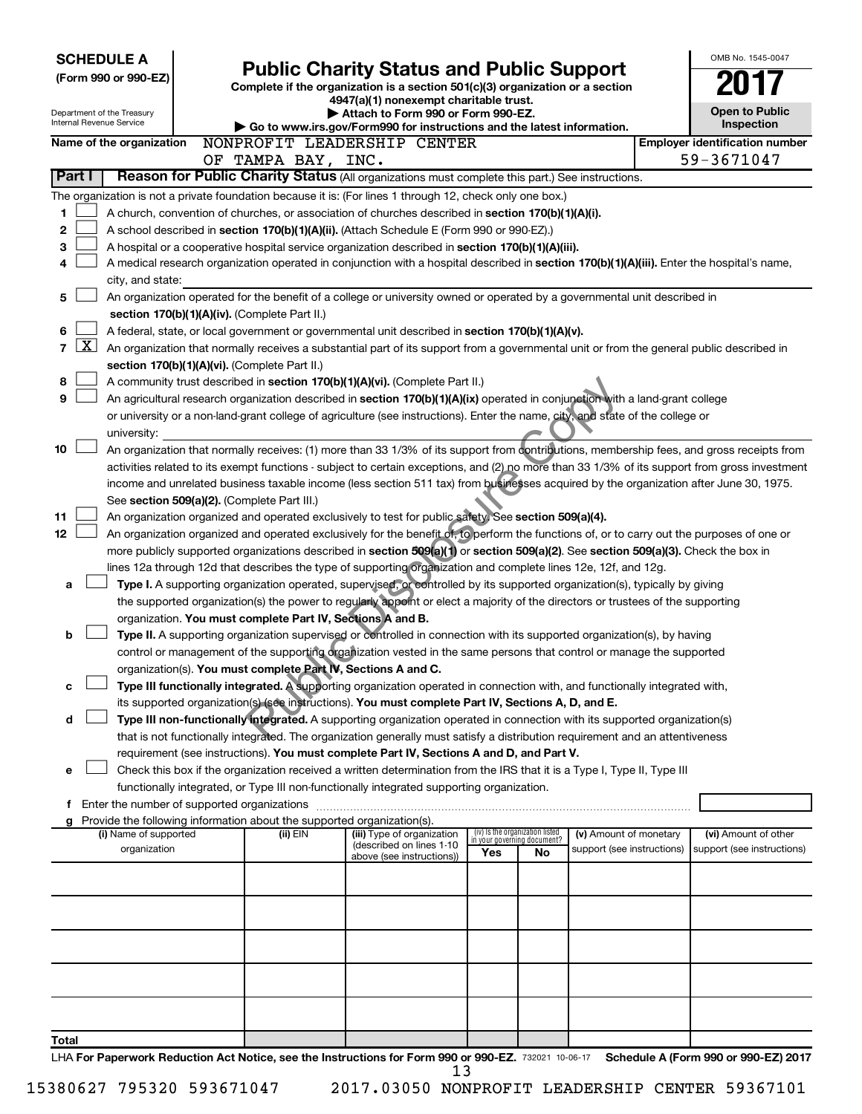| <b>SCHEDULE A</b><br>(Form 990 or 990-EZ)<br>Department of the Treasury<br>Internal Revenue Service                                                                                                                                                                              |                    | <b>Public Charity Status and Public Support</b><br>Complete if the organization is a section 501(c)(3) organization or a section<br>4947(a)(1) nonexempt charitable trust.<br>Attach to Form 990 or Form 990-EZ. |                                 |                             |                                                      | OMB No. 1545-0047<br><b>Open to Public</b><br><b>Inspection</b> |
|----------------------------------------------------------------------------------------------------------------------------------------------------------------------------------------------------------------------------------------------------------------------------------|--------------------|------------------------------------------------------------------------------------------------------------------------------------------------------------------------------------------------------------------|---------------------------------|-----------------------------|------------------------------------------------------|-----------------------------------------------------------------|
| Name of the organization                                                                                                                                                                                                                                                         |                    | Go to www.irs.gov/Form990 for instructions and the latest information.<br>NONPROFIT LEADERSHIP CENTER                                                                                                            |                                 |                             |                                                      | <b>Employer identification number</b>                           |
|                                                                                                                                                                                                                                                                                  | OF TAMPA BAY, INC. |                                                                                                                                                                                                                  |                                 |                             |                                                      | 59-3671047                                                      |
| Reason for Public Charity Status (All organizations must complete this part.) See instructions.<br>Part I                                                                                                                                                                        |                    |                                                                                                                                                                                                                  |                                 |                             |                                                      |                                                                 |
| The organization is not a private foundation because it is: (For lines 1 through 12, check only one box.)                                                                                                                                                                        |                    |                                                                                                                                                                                                                  |                                 |                             |                                                      |                                                                 |
| A church, convention of churches, or association of churches described in section 170(b)(1)(A)(i).<br>1                                                                                                                                                                          |                    |                                                                                                                                                                                                                  |                                 |                             |                                                      |                                                                 |
| 2<br>A school described in section 170(b)(1)(A)(ii). (Attach Schedule E (Form 990 or 990-EZ).)                                                                                                                                                                                   |                    |                                                                                                                                                                                                                  |                                 |                             |                                                      |                                                                 |
| 3<br>A hospital or a cooperative hospital service organization described in section 170(b)(1)(A)(iii).                                                                                                                                                                           |                    |                                                                                                                                                                                                                  |                                 |                             |                                                      |                                                                 |
| A medical research organization operated in conjunction with a hospital described in section 170(b)(1)(A)(iii). Enter the hospital's name,<br>4                                                                                                                                  |                    |                                                                                                                                                                                                                  |                                 |                             |                                                      |                                                                 |
| city, and state:                                                                                                                                                                                                                                                                 |                    |                                                                                                                                                                                                                  |                                 |                             |                                                      |                                                                 |
| 5<br>An organization operated for the benefit of a college or university owned or operated by a governmental unit described in                                                                                                                                                   |                    |                                                                                                                                                                                                                  |                                 |                             |                                                      |                                                                 |
| section 170(b)(1)(A)(iv). (Complete Part II.)                                                                                                                                                                                                                                    |                    |                                                                                                                                                                                                                  |                                 |                             |                                                      |                                                                 |
| 6<br>A federal, state, or local government or governmental unit described in section 170(b)(1)(A)(v).<br>$\mathbf{X}$<br>7<br>An organization that normally receives a substantial part of its support from a governmental unit or from the general public described in          |                    |                                                                                                                                                                                                                  |                                 |                             |                                                      |                                                                 |
| section 170(b)(1)(A)(vi). (Complete Part II.)                                                                                                                                                                                                                                    |                    |                                                                                                                                                                                                                  |                                 |                             |                                                      |                                                                 |
| 8<br>A community trust described in section 170(b)(1)(A)(vi). (Complete Part II.)                                                                                                                                                                                                |                    |                                                                                                                                                                                                                  |                                 |                             |                                                      |                                                                 |
| 9<br>An agricultural research organization described in section 170(b)(1)(A)(ix) operated in conjunction with a land grant college                                                                                                                                               |                    |                                                                                                                                                                                                                  |                                 |                             |                                                      |                                                                 |
| or university or a non-land-grant college of agriculture (see instructions). Enter the name, city, and state of the college or                                                                                                                                                   |                    |                                                                                                                                                                                                                  |                                 |                             |                                                      |                                                                 |
| university:                                                                                                                                                                                                                                                                      |                    |                                                                                                                                                                                                                  |                                 |                             |                                                      |                                                                 |
| 10<br>An organization that normally receives: (1) more than 33 1/3% of its support from contributions, membership fees, and gross receipts from                                                                                                                                  |                    |                                                                                                                                                                                                                  |                                 |                             |                                                      |                                                                 |
| activities related to its exempt functions - subject to certain exceptions, and (2) no more than 33 1/3% of its support from gross investment                                                                                                                                    |                    |                                                                                                                                                                                                                  |                                 |                             |                                                      |                                                                 |
| income and unrelated business taxable income (less section 511 tax) from businesses acquired by the organization after June 30, 1975.                                                                                                                                            |                    |                                                                                                                                                                                                                  |                                 |                             |                                                      |                                                                 |
| See section 509(a)(2). (Complete Part III.)                                                                                                                                                                                                                                      |                    |                                                                                                                                                                                                                  |                                 |                             |                                                      |                                                                 |
| An organization organized and operated exclusively to test for public safety. See section 509(a)(4).<br>11<br>12                                                                                                                                                                 |                    |                                                                                                                                                                                                                  |                                 |                             |                                                      |                                                                 |
| An organization organized and operated exclusively for the benefit of, to perform the functions of, or to carry out the purposes of one or<br>more publicly supported organizations described in section 509(a)(1) or section 509(a)(2). See section 509(a)(3). Check the box in |                    |                                                                                                                                                                                                                  |                                 |                             |                                                      |                                                                 |
| lines 12a through 12d that describes the type of supporting organization and complete lines 12e, 12f, and 12g.                                                                                                                                                                   |                    |                                                                                                                                                                                                                  |                                 |                             |                                                      |                                                                 |
| Type I. A supporting organization operated, supervised, or controlled by its supported organization(s), typically by giving<br>а                                                                                                                                                 |                    |                                                                                                                                                                                                                  |                                 |                             |                                                      |                                                                 |
| the supported organization(s) the power to regularly appoint or elect a majority of the directors or trustees of the supporting                                                                                                                                                  |                    |                                                                                                                                                                                                                  |                                 |                             |                                                      |                                                                 |
| organization. You must complete Part IV, Sections A and B.                                                                                                                                                                                                                       |                    |                                                                                                                                                                                                                  |                                 |                             |                                                      |                                                                 |
| Type II. A supporting organization supervised or controlled in connection with its supported organization(s), by having<br>b                                                                                                                                                     |                    |                                                                                                                                                                                                                  |                                 |                             |                                                      |                                                                 |
| control or management of the supporting organization vested in the same persons that control or manage the supported                                                                                                                                                             |                    |                                                                                                                                                                                                                  |                                 |                             |                                                      |                                                                 |
| organization(s). You must complete Part IV, Sections A and C.                                                                                                                                                                                                                    |                    |                                                                                                                                                                                                                  |                                 |                             |                                                      |                                                                 |
| Type III functionally integrated. A supporting organization operated in connection with, and functionally integrated with,<br>c                                                                                                                                                  |                    |                                                                                                                                                                                                                  |                                 |                             |                                                      |                                                                 |
| its supported organization(s) (see instructions). You must complete Part IV, Sections A, D, and E.<br>Type III non-functionally integrated. A supporting organization operated in connection with its supported organization(s)<br>d                                             |                    |                                                                                                                                                                                                                  |                                 |                             |                                                      |                                                                 |
| that is not functionally integrated. The organization generally must satisfy a distribution requirement and an attentiveness                                                                                                                                                     |                    |                                                                                                                                                                                                                  |                                 |                             |                                                      |                                                                 |
| requirement (see instructions). You must complete Part IV, Sections A and D, and Part V.                                                                                                                                                                                         |                    |                                                                                                                                                                                                                  |                                 |                             |                                                      |                                                                 |
| Check this box if the organization received a written determination from the IRS that it is a Type I, Type II, Type III<br>е                                                                                                                                                     |                    |                                                                                                                                                                                                                  |                                 |                             |                                                      |                                                                 |
| functionally integrated, or Type III non-functionally integrated supporting organization.                                                                                                                                                                                        |                    |                                                                                                                                                                                                                  |                                 |                             |                                                      |                                                                 |
| f Enter the number of supported organizations                                                                                                                                                                                                                                    |                    |                                                                                                                                                                                                                  |                                 |                             |                                                      |                                                                 |
| g Provide the following information about the supported organization(s).                                                                                                                                                                                                         |                    |                                                                                                                                                                                                                  | (iv) Is the organization listed |                             |                                                      |                                                                 |
| (i) Name of supported<br>organization                                                                                                                                                                                                                                            | (ii) EIN           | (iii) Type of organization<br>(described on lines 1-10                                                                                                                                                           |                                 | in your governing document? | (v) Amount of monetary<br>support (see instructions) | (vi) Amount of other<br>support (see instructions)              |
|                                                                                                                                                                                                                                                                                  |                    | above (see instructions))                                                                                                                                                                                        | Yes                             | No                          |                                                      |                                                                 |
|                                                                                                                                                                                                                                                                                  |                    |                                                                                                                                                                                                                  |                                 |                             |                                                      |                                                                 |
|                                                                                                                                                                                                                                                                                  |                    |                                                                                                                                                                                                                  |                                 |                             |                                                      |                                                                 |
|                                                                                                                                                                                                                                                                                  |                    |                                                                                                                                                                                                                  |                                 |                             |                                                      |                                                                 |
|                                                                                                                                                                                                                                                                                  |                    |                                                                                                                                                                                                                  |                                 |                             |                                                      |                                                                 |
|                                                                                                                                                                                                                                                                                  |                    |                                                                                                                                                                                                                  |                                 |                             |                                                      |                                                                 |
|                                                                                                                                                                                                                                                                                  |                    |                                                                                                                                                                                                                  |                                 |                             |                                                      |                                                                 |
|                                                                                                                                                                                                                                                                                  |                    |                                                                                                                                                                                                                  |                                 |                             |                                                      |                                                                 |
|                                                                                                                                                                                                                                                                                  |                    |                                                                                                                                                                                                                  |                                 |                             |                                                      |                                                                 |
|                                                                                                                                                                                                                                                                                  |                    |                                                                                                                                                                                                                  |                                 |                             |                                                      |                                                                 |
| Total<br>LHA For Paperwork Reduction Act Notice, see the Instructions for Form 990 or 990-EZ. 732021 10-06-17                                                                                                                                                                    |                    |                                                                                                                                                                                                                  |                                 |                             |                                                      | Schedule A (Form 990 or 990-EZ) 2017                            |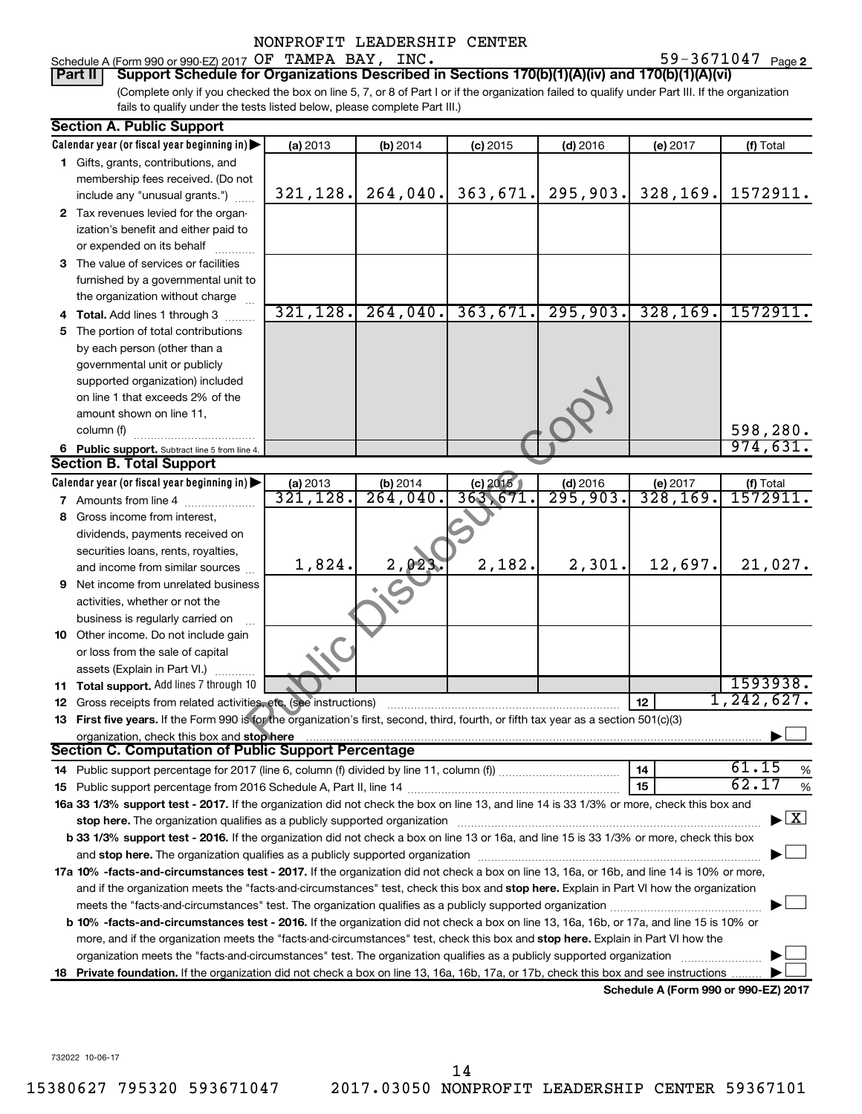#### Schedule A (Form 990 or 990-EZ) 2017  $OF$   $TAMPA$   $BAY$ ,  $INC$ .  $250$   $1000$   $1000$   $1000$   $1000$   $1000$   $1000$   $1000$

59-3671047 Page 2

(Complete only if you checked the box on line 5, 7, or 8 of Part I or if the organization failed to qualify under Part III. If the organization fails to qualify under the tests listed below, please complete Part III.) **Part II** | Support Schedule for Organizations Described in Sections 170(b)(1)(A)(iv) and 170(b)(1)(A)(vi)

|    | <b>Section A. Public Support</b>                                                                                                                                                                                               |                                |          |            |                        |                                      |                         |
|----|--------------------------------------------------------------------------------------------------------------------------------------------------------------------------------------------------------------------------------|--------------------------------|----------|------------|------------------------|--------------------------------------|-------------------------|
|    | Calendar year (or fiscal year beginning in)                                                                                                                                                                                    | (a) 2013                       | (b) 2014 | $(c)$ 2015 | $(d)$ 2016             | (e) 2017                             | (f) Total               |
|    | 1 Gifts, grants, contributions, and                                                                                                                                                                                            |                                |          |            |                        |                                      |                         |
|    | membership fees received. (Do not                                                                                                                                                                                              |                                |          |            |                        |                                      |                         |
|    | include any "unusual grants.")                                                                                                                                                                                                 | 321, 128.                      | 264,040. | 363,671.   | 295,903.               | 328, 169.                            | 1572911.                |
|    | 2 Tax revenues levied for the organ-                                                                                                                                                                                           |                                |          |            |                        |                                      |                         |
|    | ization's benefit and either paid to                                                                                                                                                                                           |                                |          |            |                        |                                      |                         |
|    | or expended on its behalf                                                                                                                                                                                                      |                                |          |            |                        |                                      |                         |
|    | 3 The value of services or facilities                                                                                                                                                                                          |                                |          |            |                        |                                      |                         |
|    | furnished by a governmental unit to                                                                                                                                                                                            |                                |          |            |                        |                                      |                         |
|    | the organization without charge                                                                                                                                                                                                |                                |          |            |                        |                                      |                         |
|    | 4 Total. Add lines 1 through 3                                                                                                                                                                                                 | 321, 128.                      | 264,040. | 363,671.   | 295,903.               | 328, 169.                            | 1572911.                |
|    | 5 The portion of total contributions                                                                                                                                                                                           |                                |          |            |                        |                                      |                         |
|    | by each person (other than a                                                                                                                                                                                                   |                                |          |            |                        |                                      |                         |
|    | governmental unit or publicly                                                                                                                                                                                                  |                                |          |            |                        |                                      |                         |
|    | supported organization) included                                                                                                                                                                                               |                                |          |            |                        |                                      |                         |
|    | on line 1 that exceeds 2% of the                                                                                                                                                                                               |                                |          |            |                        |                                      |                         |
|    | amount shown on line 11,                                                                                                                                                                                                       |                                |          |            |                        |                                      |                         |
|    | column (f)                                                                                                                                                                                                                     |                                |          |            |                        |                                      | 598,280.                |
|    | 6 Public support. Subtract line 5 from line 4.                                                                                                                                                                                 |                                |          |            |                        |                                      | 974,631.                |
|    | <b>Section B. Total Support</b>                                                                                                                                                                                                |                                |          |            |                        |                                      |                         |
|    | Calendar year (or fiscal year beginning in)                                                                                                                                                                                    | $\frac{$ (a) 2013<br>321, 128. | (b) 2014 | (c) 2015   | $(d)$ 2016             | (e) 2017                             | $(t)$ Total<br>1572911  |
|    | <b>7</b> Amounts from line 4                                                                                                                                                                                                   |                                | 264,040. | 363,671    | $\overline{295,903}$ , | 328,169.                             |                         |
| 8  | Gross income from interest,                                                                                                                                                                                                    |                                |          |            |                        |                                      |                         |
|    | dividends, payments received on                                                                                                                                                                                                |                                |          |            |                        |                                      |                         |
|    | securities loans, rents, royalties,                                                                                                                                                                                            |                                |          |            |                        |                                      |                         |
|    | and income from similar sources                                                                                                                                                                                                | 1,824.                         | 2,02.    | 2,182.     | 2,301.                 | 12,697.                              | 21,027.                 |
|    | <b>9</b> Net income from unrelated business                                                                                                                                                                                    |                                |          |            |                        |                                      |                         |
|    | activities, whether or not the                                                                                                                                                                                                 |                                |          |            |                        |                                      |                         |
|    | business is regularly carried on                                                                                                                                                                                               |                                |          |            |                        |                                      |                         |
|    | 10 Other income. Do not include gain                                                                                                                                                                                           |                                |          |            |                        |                                      |                         |
|    | or loss from the sale of capital                                                                                                                                                                                               |                                |          |            |                        |                                      |                         |
|    | assets (Explain in Part VI.)                                                                                                                                                                                                   |                                |          |            |                        |                                      | 1593938.                |
|    | 11 Total support. Add lines 7 through 10                                                                                                                                                                                       |                                |          |            |                        |                                      | 1, 242, 627.            |
|    | 12 Gross receipts from related activities, etc. (see instructions)                                                                                                                                                             |                                |          |            |                        | 12                                   |                         |
|    | 13 First five years. If the Form 990 is for the organization's first, second, third, fourth, or fifth tax year as a section 501(c)(3)                                                                                          |                                |          |            |                        |                                      |                         |
|    | organization, check this box and stop here<br>Section C. Computation of Public Support Percentage                                                                                                                              |                                |          |            |                        |                                      |                         |
|    | 14 Public support percentage for 2017 (line 6, column (f) divided by line 11, column (f) <i>mummumumum</i>                                                                                                                     |                                |          |            |                        | 14                                   | 61.15<br>%              |
|    |                                                                                                                                                                                                                                |                                |          |            |                        | 15                                   | 62.17<br>$\%$           |
|    | 16a 33 1/3% support test - 2017. If the organization did not check the box on line 13, and line 14 is 33 1/3% or more, check this box and                                                                                      |                                |          |            |                        |                                      |                         |
|    | stop here. The organization qualifies as a publicly supported organization manufactured content and the organization of the state of the state of the state of the state of the state of the state of the state of the state o |                                |          |            |                        |                                      | $\overline{\mathbf{X}}$ |
|    | b 33 1/3% support test - 2016. If the organization did not check a box on line 13 or 16a, and line 15 is 33 1/3% or more, check this box                                                                                       |                                |          |            |                        |                                      |                         |
|    |                                                                                                                                                                                                                                |                                |          |            |                        |                                      |                         |
|    | 17a 10% -facts-and-circumstances test - 2017. If the organization did not check a box on line 13, 16a, or 16b, and line 14 is 10% or more,                                                                                     |                                |          |            |                        |                                      |                         |
|    | and if the organization meets the "facts-and-circumstances" test, check this box and stop here. Explain in Part VI how the organization                                                                                        |                                |          |            |                        |                                      |                         |
|    |                                                                                                                                                                                                                                |                                |          |            |                        |                                      |                         |
|    | b 10% -facts-and-circumstances test - 2016. If the organization did not check a box on line 13, 16a, 16b, or 17a, and line 15 is 10% or                                                                                        |                                |          |            |                        |                                      |                         |
|    | more, and if the organization meets the "facts-and-circumstances" test, check this box and stop here. Explain in Part VI how the                                                                                               |                                |          |            |                        |                                      |                         |
|    | organization meets the "facts-and-circumstances" test. The organization qualifies as a publicly supported organization                                                                                                         |                                |          |            |                        |                                      |                         |
| 18 | Private foundation. If the organization did not check a box on line 13, 16a, 16b, 17a, or 17b, check this box and see instructions                                                                                             |                                |          |            |                        |                                      |                         |
|    |                                                                                                                                                                                                                                |                                |          |            |                        | Schedule A (Form 990 or 990-EZ) 2017 |                         |

732022 10-06-17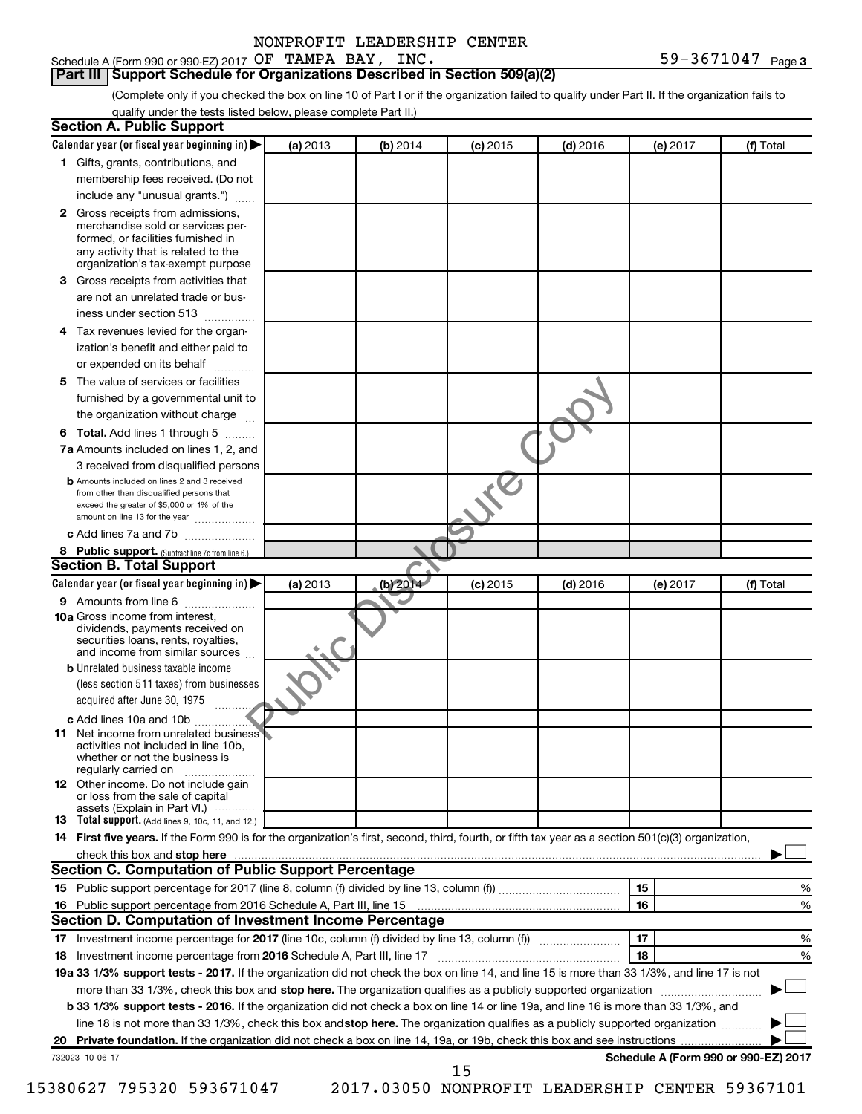#### Schedule A (Form 990 or 990-EZ) 2017  $OF$   $TAMPA$   $BAY$ ,  $INC$ .  $250$   $1000$   $1000$   $1000$   $1000$   $1000$   $1000$   $1000$ **Part III | Support Schedule for Organizations Described in Section 509(a)(2)**

(Complete only if you checked the box on line 10 of Part I or if the organization failed to qualify under Part II. If the organization fails to qualify under the tests listed below, please complete Part II.)

|   | <b>Section A. Public Support</b>                                                                                                                    |          |          |            |                 |          |                                      |
|---|-----------------------------------------------------------------------------------------------------------------------------------------------------|----------|----------|------------|-----------------|----------|--------------------------------------|
|   | Calendar year (or fiscal year beginning in)                                                                                                         | (a) 2013 | (b) 2014 | $(c)$ 2015 | <b>(d)</b> 2016 | (e) 2017 | (f) Total                            |
|   | 1 Gifts, grants, contributions, and                                                                                                                 |          |          |            |                 |          |                                      |
|   | membership fees received. (Do not                                                                                                                   |          |          |            |                 |          |                                      |
|   | include any "unusual grants.")                                                                                                                      |          |          |            |                 |          |                                      |
|   | <b>2</b> Gross receipts from admissions,                                                                                                            |          |          |            |                 |          |                                      |
|   | merchandise sold or services per-                                                                                                                   |          |          |            |                 |          |                                      |
|   | formed, or facilities furnished in<br>any activity that is related to the                                                                           |          |          |            |                 |          |                                      |
|   | organization's tax-exempt purpose                                                                                                                   |          |          |            |                 |          |                                      |
| З | Gross receipts from activities that                                                                                                                 |          |          |            |                 |          |                                      |
|   | are not an unrelated trade or bus-                                                                                                                  |          |          |            |                 |          |                                      |
|   | iness under section 513                                                                                                                             |          |          |            |                 |          |                                      |
|   | 4 Tax revenues levied for the organ-                                                                                                                |          |          |            |                 |          |                                      |
|   | ization's benefit and either paid to                                                                                                                |          |          |            |                 |          |                                      |
|   | or expended on its behalf                                                                                                                           |          |          |            |                 |          |                                      |
|   | 5 The value of services or facilities                                                                                                               |          |          |            |                 |          |                                      |
|   | furnished by a governmental unit to                                                                                                                 |          |          |            |                 |          |                                      |
|   | the organization without charge                                                                                                                     |          |          |            |                 |          |                                      |
|   | 6 Total. Add lines 1 through 5                                                                                                                      |          |          |            |                 |          |                                      |
|   | 7a Amounts included on lines 1, 2, and                                                                                                              |          |          |            |                 |          |                                      |
|   | 3 received from disqualified persons                                                                                                                |          |          |            |                 |          |                                      |
|   | <b>b</b> Amounts included on lines 2 and 3 received                                                                                                 |          |          |            |                 |          |                                      |
|   | from other than disqualified persons that                                                                                                           |          |          |            |                 |          |                                      |
|   | exceed the greater of \$5,000 or 1% of the<br>amount on line 13 for the year                                                                        |          |          |            |                 |          |                                      |
|   | c Add lines 7a and 7b                                                                                                                               |          |          |            |                 |          |                                      |
|   | 8 Public support. (Subtract line 7c from line 6.)                                                                                                   |          |          |            |                 |          |                                      |
|   | <b>Section B. Total Support</b>                                                                                                                     |          |          |            |                 |          |                                      |
|   | Calendar year (or fiscal year beginning in)                                                                                                         | (a) 2013 | (b) 2014 | $(c)$ 2015 | $(d)$ 2016      | (e) 2017 | (f) Total                            |
|   | 9 Amounts from line 6                                                                                                                               |          |          |            |                 |          |                                      |
|   | <b>10a</b> Gross income from interest,                                                                                                              |          |          |            |                 |          |                                      |
|   | dividends, payments received on                                                                                                                     |          |          |            |                 |          |                                      |
|   | securities loans, rents, royalties,<br>and income from similar sources                                                                              |          |          |            |                 |          |                                      |
|   | <b>b</b> Unrelated business taxable income                                                                                                          |          |          |            |                 |          |                                      |
|   | (less section 511 taxes) from businesses                                                                                                            |          |          |            |                 |          |                                      |
|   | acquired after June 30, 1975                                                                                                                        |          |          |            |                 |          |                                      |
|   | c Add lines 10a and 10b                                                                                                                             |          |          |            |                 |          |                                      |
|   | 11 Net income from unrelated business                                                                                                               |          |          |            |                 |          |                                      |
|   | activities not included in line 10b.                                                                                                                |          |          |            |                 |          |                                      |
|   | whether or not the business is<br>regularly carried on                                                                                              |          |          |            |                 |          |                                      |
|   | 12 Other income. Do not include gain                                                                                                                |          |          |            |                 |          |                                      |
|   | or loss from the sale of capital                                                                                                                    |          |          |            |                 |          |                                      |
|   | assets (Explain in Part VI.)<br><b>13</b> Total support. (Add lines 9, 10c, 11, and 12.)                                                            |          |          |            |                 |          |                                      |
|   | 14 First five years. If the Form 990 is for the organization's first, second, third, fourth, or fifth tax year as a section 501(c)(3) organization, |          |          |            |                 |          |                                      |
|   | check this box and stop here                                                                                                                        |          |          |            |                 |          |                                      |
|   | <b>Section C. Computation of Public Support Percentage</b>                                                                                          |          |          |            |                 |          |                                      |
|   |                                                                                                                                                     |          |          |            |                 | 15       | %                                    |
|   |                                                                                                                                                     |          |          |            |                 | 16       | %                                    |
|   | Section D. Computation of Investment Income Percentage                                                                                              |          |          |            |                 |          |                                      |
|   |                                                                                                                                                     |          |          |            |                 | 17       | %                                    |
|   |                                                                                                                                                     |          |          |            |                 | 18       | %                                    |
|   | 19a 33 1/3% support tests - 2017. If the organization did not check the box on line 14, and line 15 is more than 33 1/3%, and line 17 is not        |          |          |            |                 |          |                                      |
|   | more than 33 1/3%, check this box and stop here. The organization qualifies as a publicly supported organization                                    |          |          |            |                 |          |                                      |
|   | b 33 1/3% support tests - 2016. If the organization did not check a box on line 14 or line 19a, and line 16 is more than 33 1/3%, and               |          |          |            |                 |          |                                      |
|   | line 18 is not more than 33 1/3%, check this box and stop here. The organization qualifies as a publicly supported organization                     |          |          |            |                 |          |                                      |
|   |                                                                                                                                                     |          |          |            |                 |          |                                      |
|   | 732023 10-06-17                                                                                                                                     |          |          |            |                 |          | Schedule A (Form 990 or 990-EZ) 2017 |
|   |                                                                                                                                                     |          |          | 15         |                 |          |                                      |

15380627 795320 593671047 2017.03050 NONPROFIT LEADERSHIP CENTER 59367101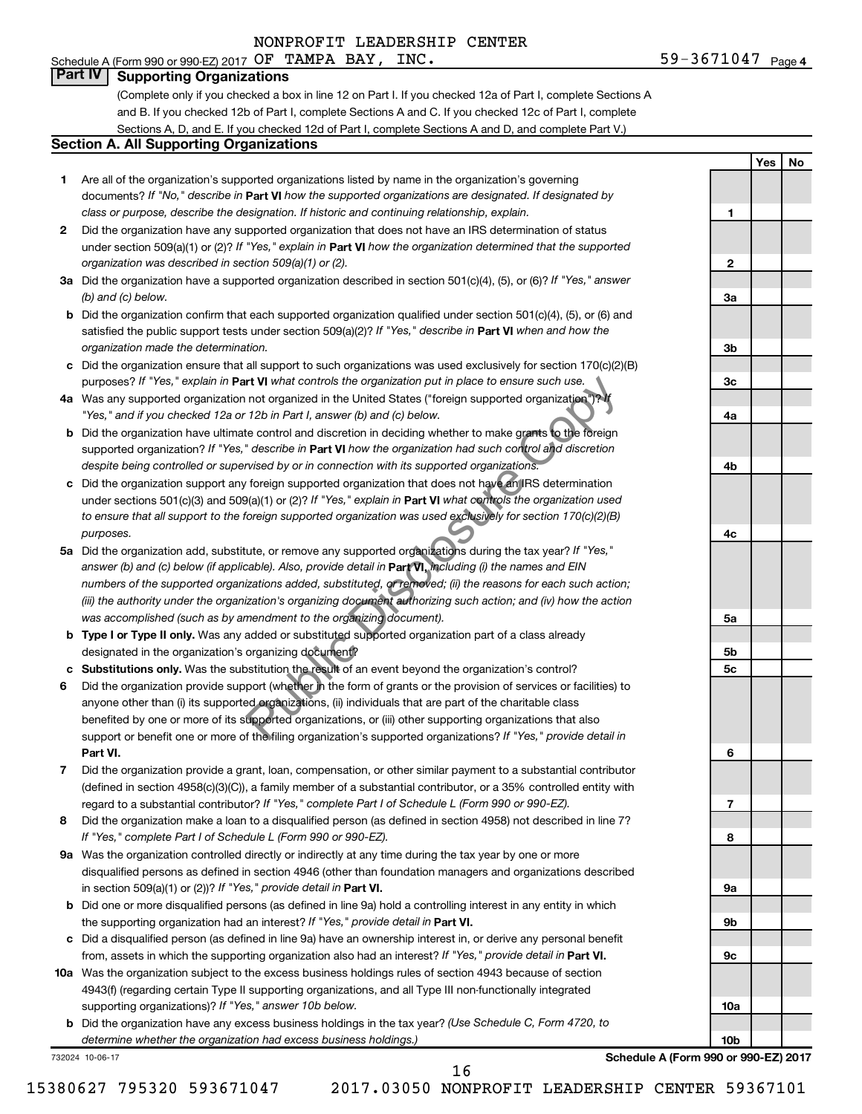Schedule A (Form 990 or 990-EZ) 2017  $OF$   $TAMPA$   $BAY$ ,  $INC$ .  $250$   $1000$   $1000$   $1000$   $1000$   $1000$   $1000$   $1000$ 

**1**

**2**

**3a**

**3b**

**3c**

**4a**

**4b**

**4c**

**5a**

**5b 5c**

**6**

**7**

**8**

**9a**

**9b**

**9c**

**10a**

**10b**

**Yes No**

#### **Part IV Supporting Organizations**

(Complete only if you checked a box in line 12 on Part I. If you checked 12a of Part I, complete Sections A and B. If you checked 12b of Part I, complete Sections A and C. If you checked 12c of Part I, complete Sections A, D, and E. If you checked 12d of Part I, complete Sections A and D, and complete Part V.)

#### **Section A. All Supporting Organizations**

- **1** Are all of the organization's supported organizations listed by name in the organization's governing documents? If "No," describe in Part VI how the supported organizations are designated. If designated by *class or purpose, describe the designation. If historic and continuing relationship, explain.*
- **2** Did the organization have any supported organization that does not have an IRS determination of status under section 509(a)(1) or (2)? If "Yes," explain in Part **VI** how the organization determined that the supported *organization was described in section 509(a)(1) or (2).*
- **3a** Did the organization have a supported organization described in section 501(c)(4), (5), or (6)? If "Yes," answer *(b) and (c) below.*
- **b** Did the organization confirm that each supported organization qualified under section 501(c)(4), (5), or (6) and satisfied the public support tests under section 509(a)(2)? If "Yes," describe in Part VI when and how the *organization made the determination.*
- **c** Did the organization ensure that all support to such organizations was used exclusively for section 170(c)(2)(B) purposes? If "Yes," explain in Part VI what controls the organization put in place to ensure such use.
- **4 a** *If* Was any supported organization not organized in the United States ("foreign supported organization")? *"Yes," and if you checked 12a or 12b in Part I, answer (b) and (c) below.*
- **b** Did the organization have ultimate control and discretion in deciding whether to make grants to the foreign supported organization? If "Yes," describe in Part VI how the organization had such control and discretion *despite being controlled or supervised by or in connection with its supported organizations.*
- **c** Did the organization support any foreign supported organization that does not have an IRS determination under sections 501(c)(3) and 509(a)(1) or (2)? If "Yes," explain in Part VI what controls the organization used *to ensure that all support to the foreign supported organization was used exclusively for section 170(c)(2)(B) purposes.*
- **5a** Did the organization add, substitute, or remove any supported organizations during the tax year? If "Yes," answer (b) and (c) below (if applicable). Also, provide detail in **Part VI,** including (i) the names and EIN *numbers of the supported organizations added, substituted, or removed; (ii) the reasons for each such action; (iii) the authority under the organization's organizing document authorizing such action; and (iv) how the action was accomplished (such as by amendment to the organizing document).* **rt VI** what controls the organization put in place to ensure such use.<br>
not organizate in the United States ("foreign supported organization")?<br>
12 to in Part I, answer (b) and (c) below.<br>
te control and discretion in de
- **b** Type I or Type II only. Was any added or substituted supported organization part of a class already designated in the organization's organizing document?
- **c Substitutions only.**  Was the substitution the result of an event beyond the organization's control?
- **6** Did the organization provide support (whether in the form of grants or the provision of services or facilities) to **Part VI.** support or benefit one or more of the filing organization's supported organizations? If "Yes," provide detail in anyone other than (i) its supported organizations, (ii) individuals that are part of the charitable class benefited by one or more of its supported organizations, or (iii) other supporting organizations that also
- **7** Did the organization provide a grant, loan, compensation, or other similar payment to a substantial contributor regard to a substantial contributor? If "Yes," complete Part I of Schedule L (Form 990 or 990-EZ). (defined in section 4958(c)(3)(C)), a family member of a substantial contributor, or a 35% controlled entity with
- **8** Did the organization make a loan to a disqualified person (as defined in section 4958) not described in line 7? *If "Yes," complete Part I of Schedule L (Form 990 or 990-EZ).*
- **9 a** Was the organization controlled directly or indirectly at any time during the tax year by one or more in section 509(a)(1) or (2))? If "Yes," provide detail in **Part VI.** disqualified persons as defined in section 4946 (other than foundation managers and organizations described
- **b** Did one or more disqualified persons (as defined in line 9a) hold a controlling interest in any entity in which the supporting organization had an interest? If "Yes," provide detail in Part VI.
- **c** Did a disqualified person (as defined in line 9a) have an ownership interest in, or derive any personal benefit from, assets in which the supporting organization also had an interest? If "Yes," provide detail in Part VI.
- **10 a** Was the organization subject to the excess business holdings rules of section 4943 because of section supporting organizations)? If "Yes," answer 10b below. 4943(f) (regarding certain Type II supporting organizations, and all Type III non-functionally integrated
	- **b** Did the organization have any excess business holdings in the tax year? (Use Schedule C, Form 4720, to *determine whether the organization had excess business holdings.)*

732024 10-06-17

**Schedule A (Form 990 or 990-EZ) 2017**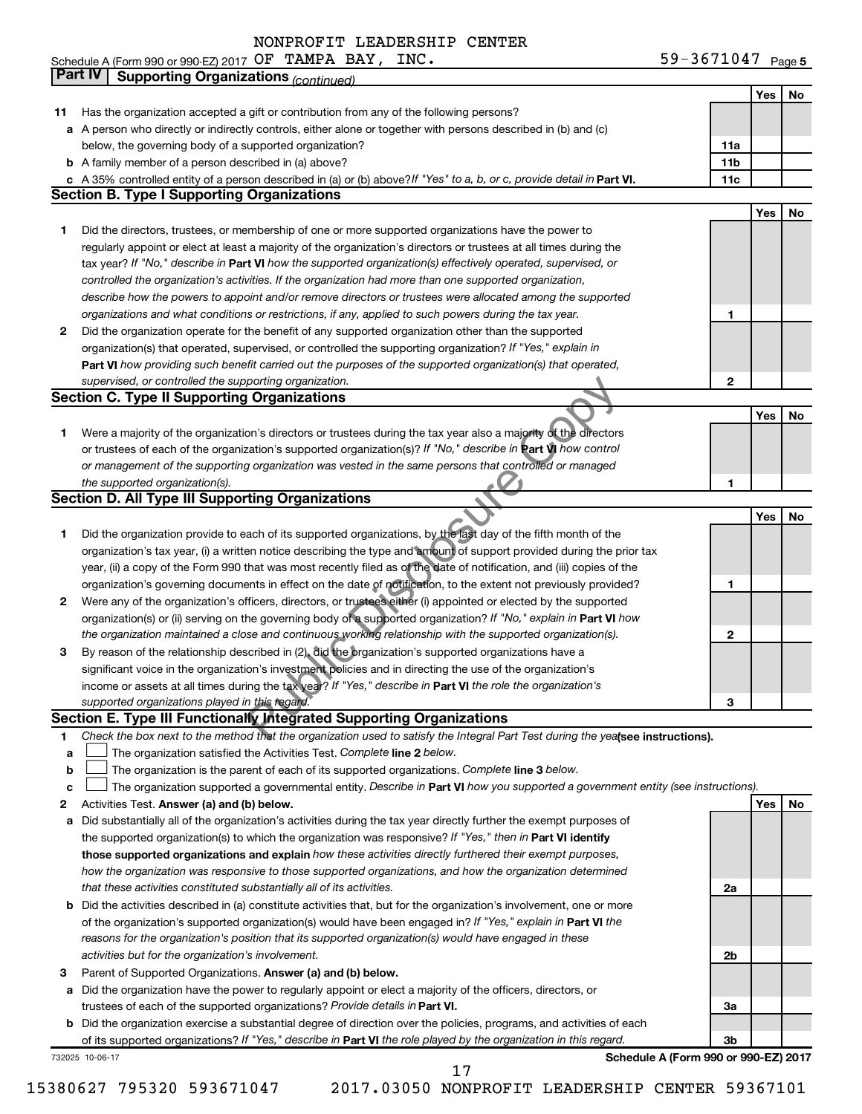| Schedule A (Form 990 or 990-EZ) 2017 $\,\mathrm{OF}$ |  | TAMPA BAY, |  | INC. | 59-3671047 | Page 5 |
|------------------------------------------------------|--|------------|--|------|------------|--------|
|------------------------------------------------------|--|------------|--|------|------------|--------|

|    | Part IV<br><b>Supporting Organizations (continued)</b>                                                                                                                                                                                            |                 |     |    |
|----|---------------------------------------------------------------------------------------------------------------------------------------------------------------------------------------------------------------------------------------------------|-----------------|-----|----|
|    |                                                                                                                                                                                                                                                   |                 | Yes | No |
| 11 | Has the organization accepted a gift or contribution from any of the following persons?                                                                                                                                                           |                 |     |    |
|    | a A person who directly or indirectly controls, either alone or together with persons described in (b) and (c)                                                                                                                                    |                 |     |    |
|    | below, the governing body of a supported organization?                                                                                                                                                                                            | 11a             |     |    |
|    | <b>b</b> A family member of a person described in (a) above?                                                                                                                                                                                      | 11 <sub>b</sub> |     |    |
|    | c A 35% controlled entity of a person described in (a) or (b) above? If "Yes" to a, b, or c, provide detail in Part VI.                                                                                                                           | 11c             |     |    |
|    | <b>Section B. Type I Supporting Organizations</b>                                                                                                                                                                                                 |                 |     |    |
|    |                                                                                                                                                                                                                                                   |                 | Yes | No |
| 1  | Did the directors, trustees, or membership of one or more supported organizations have the power to                                                                                                                                               |                 |     |    |
|    | regularly appoint or elect at least a majority of the organization's directors or trustees at all times during the                                                                                                                                |                 |     |    |
|    | tax year? If "No," describe in Part VI how the supported organization(s) effectively operated, supervised, or                                                                                                                                     |                 |     |    |
|    | controlled the organization's activities. If the organization had more than one supported organization,                                                                                                                                           |                 |     |    |
|    | describe how the powers to appoint and/or remove directors or trustees were allocated among the supported                                                                                                                                         |                 |     |    |
|    | organizations and what conditions or restrictions, if any, applied to such powers during the tax year.                                                                                                                                            | 1               |     |    |
| 2  | Did the organization operate for the benefit of any supported organization other than the supported                                                                                                                                               |                 |     |    |
|    | organization(s) that operated, supervised, or controlled the supporting organization? If "Yes," explain in                                                                                                                                        |                 |     |    |
|    | Part VI how providing such benefit carried out the purposes of the supported organization(s) that operated,                                                                                                                                       |                 |     |    |
|    | supervised, or controlled the supporting organization.                                                                                                                                                                                            | 2               |     |    |
|    | <b>Section C. Type II Supporting Organizations</b>                                                                                                                                                                                                |                 |     |    |
|    |                                                                                                                                                                                                                                                   |                 | Yes | No |
| 1  | Were a majority of the organization's directors or trustees during the tax year also a majority of the directors                                                                                                                                  |                 |     |    |
|    | or trustees of each of the organization's supported organization(s)? If "No," describe in Part VI how control                                                                                                                                     |                 |     |    |
|    | or management of the supporting organization was vested in the same persons that controlled or managed                                                                                                                                            |                 |     |    |
|    | the supported organization(s).                                                                                                                                                                                                                    | 1               |     |    |
|    | <b>Section D. All Type III Supporting Organizations</b>                                                                                                                                                                                           |                 |     |    |
|    |                                                                                                                                                                                                                                                   |                 | Yes | No |
| 1  | Did the organization provide to each of its supported organizations, by the last day of the fifth month of the                                                                                                                                    |                 |     |    |
|    | organization's tax year, (i) a written notice describing the type and amount of support provided during the prior tax                                                                                                                             |                 |     |    |
|    | year, (ii) a copy of the Form 990 that was most recently filed as of the date of notification, and (iii) copies of the                                                                                                                            |                 |     |    |
|    | organization's governing documents in effect on the date of notification, to the extent not previously provided?                                                                                                                                  | 1               |     |    |
| 2  | Were any of the organization's officers, directors, or trustees either (i) appointed or elected by the supported                                                                                                                                  |                 |     |    |
|    | organization(s) or (ii) serving on the governing body of a supported organization? If "No," explain in Part VI how                                                                                                                                |                 |     |    |
|    | the organization maintained a close and continuous working relationship with the supported organization(s).                                                                                                                                       | 2               |     |    |
| 3  | By reason of the relationship described in (2), did the organization's supported organizations have a                                                                                                                                             |                 |     |    |
|    | significant voice in the organization's investment policies and in directing the use of the organization's                                                                                                                                        |                 |     |    |
|    | income or assets at all times during the tax year? If "Yes," describe in Part VI the role the organization's                                                                                                                                      |                 |     |    |
|    | supported organizations played in this regard.                                                                                                                                                                                                    | з               |     |    |
|    | Section E. Type III Functionally Integrated Supporting Organizations                                                                                                                                                                              |                 |     |    |
| 1  | Check the box next to the method that the organization used to satisfy the Integral Part Test during the yealsee instructions).                                                                                                                   |                 |     |    |
| a  | The organization satisfied the Activities Test. Complete line 2 below.                                                                                                                                                                            |                 |     |    |
| b  | The organization is the parent of each of its supported organizations. Complete line 3 below.                                                                                                                                                     |                 |     |    |
| с  | The organization supported a governmental entity. Describe in Part VI how you supported a government entity (see instructions).                                                                                                                   |                 |     |    |
| 2  | Activities Test. Answer (a) and (b) below.                                                                                                                                                                                                        |                 | Yes | No |
| а  | Did substantially all of the organization's activities during the tax year directly further the exempt purposes of                                                                                                                                |                 |     |    |
|    | the supported organization(s) to which the organization was responsive? If "Yes," then in Part VI identify                                                                                                                                        |                 |     |    |
|    | those supported organizations and explain how these activities directly furthered their exempt purposes,                                                                                                                                          |                 |     |    |
|    | how the organization was responsive to those supported organizations, and how the organization determined                                                                                                                                         |                 |     |    |
|    | that these activities constituted substantially all of its activities.                                                                                                                                                                            | 2a              |     |    |
|    | b Did the activities described in (a) constitute activities that, but for the organization's involvement, one or more                                                                                                                             |                 |     |    |
|    | of the organization's supported organization(s) would have been engaged in? If "Yes," explain in Part VI the                                                                                                                                      |                 |     |    |
|    | reasons for the organization's position that its supported organization(s) would have engaged in these                                                                                                                                            |                 |     |    |
|    | activities but for the organization's involvement.                                                                                                                                                                                                | 2b              |     |    |
| з  | Parent of Supported Organizations. Answer (a) and (b) below.                                                                                                                                                                                      |                 |     |    |
| а  | Did the organization have the power to regularly appoint or elect a majority of the officers, directors, or                                                                                                                                       |                 |     |    |
|    | trustees of each of the supported organizations? Provide details in Part VI.                                                                                                                                                                      | За              |     |    |
|    | <b>b</b> Did the organization exercise a substantial degree of direction over the policies, programs, and activities of each<br>of its supported organizations? If "Yes," describe in Part VI the role played by the organization in this regard. | 3b              |     |    |
|    | Schedule A (Form 990 or 990-EZ) 2017<br>732025 10-06-17                                                                                                                                                                                           |                 |     |    |
|    | 17                                                                                                                                                                                                                                                |                 |     |    |

<sup>15380627 795320 593671047 2017.03050</sup> NONPROFIT LEADERSHIP CENTER 59367101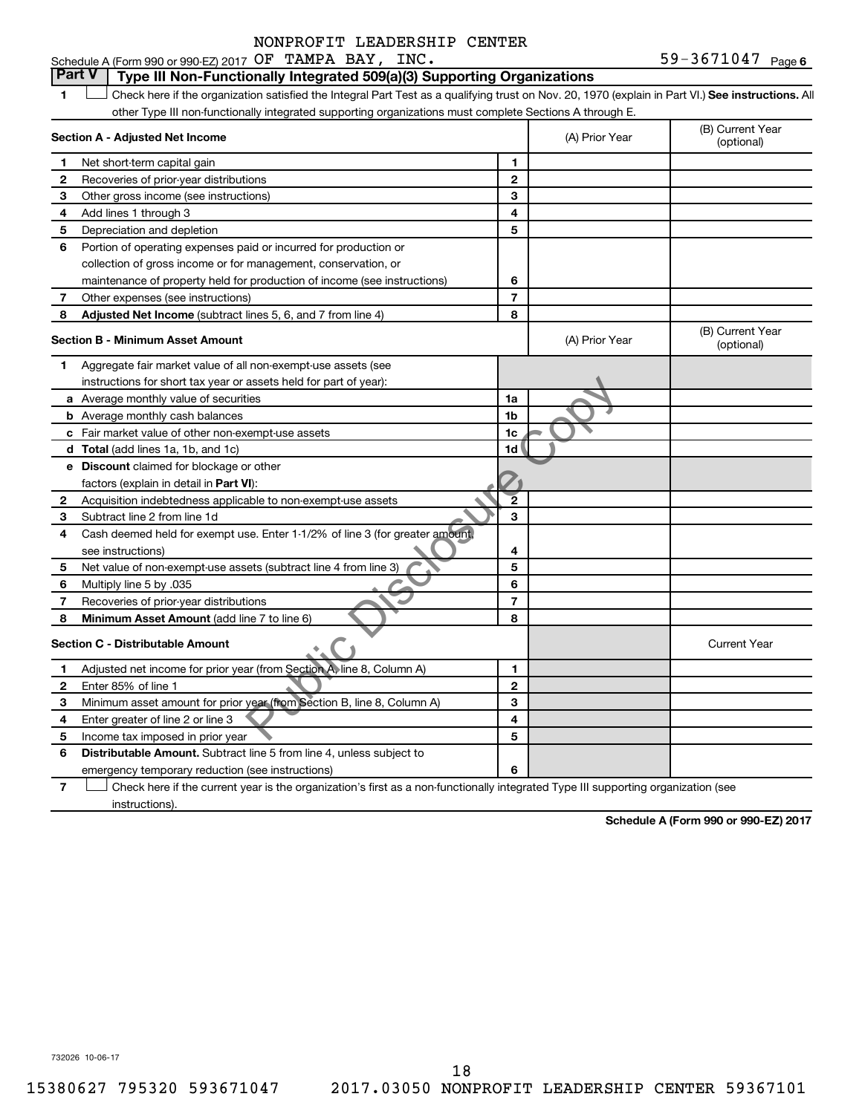#### **1 Letter or if the organization satisfied the Integral Part Test as a qualifying trust on Nov. 20, 1970 (explain in Part VI.) See instructions. All Section A - Adjusted Net Income 1 2 3 4 5 6 7 8 1 2 3 4 5 6 7 Adjusted Net Income** (subtract lines 5, 6, and 7 from line 4) **8 8 Section B - Minimum Asset Amount 1 2 3 4 5 6 7 8 a** Average monthly value of securities **b** Average monthly cash balances **c** Fair market value of other non-exempt-use assets **d Total**  (add lines 1a, 1b, and 1c) **e Discount** claimed for blockage or other **1a 1b 1c 1d 2 3 4 5 6 7 8** factors (explain in detail in Part VI): **Minimum Asset Amount**  (add line 7 to line 6) **Section C - Distributable Amount 1 2 3 4 5 6 1 2 3 4 5 6** Distributable Amount. Subtract line 5 from line 4, unless subject to Schedule A (Form 990 or 990-EZ) 2017  $OF$   $TAMPA$   $BAY$ ,  $INC$ .  $250$   $1000$   $1000$   $1000$   $1000$   $1000$   $1000$   $1000$ other Type III non-functionally integrated supporting organizations must complete Sections A through E. (B) Current Year (A) Prior Year Net short-term capital gain Recoveries of prior-year distributions Other gross income (see instructions) Add lines 1 through 3 Depreciation and depletion Portion of operating expenses paid or incurred for production or collection of gross income or for management, conservation, or maintenance of property held for production of income (see instructions) Other expenses (see instructions) (B) Current Year  $(A)$  Prior Year  $\left\{\n\begin{array}{ccc}\n\end{array}\n\right\}$  (optional) Aggregate fair market value of all non-exempt-use assets (see instructions for short tax year or assets held for part of year): Acquisition indebtedness applicable to non-exempt-use assets Subtract line 2 from line 1d Cash deemed held for exempt use. Enter 1-1/2% of line 3 (for greater amount, see instructions) Net value of non-exempt-use assets (subtract line 4 from line 3) Multiply line 5 by .035 Recoveries of prior-year distributions Current Year Adjusted net income for prior year (from Section A, line 8, Column A) Enter 85% of line 1 Minimum asset amount for prior year (from Section B, line 8, Column A) Enter greater of line 2 or line 3 Income tax imposed in prior year emergency temporary reduction (see instructions) **Part V Type III Non-Functionally Integrated 509(a)(3) Supporting Organizations**   $\Box$ assets held for part of year):<br>
The temptuse assets<br>
The temptuse assets<br>
The temptuse assets<br>
The temptuse assets<br>
The Temptuse assets<br>
The Temptuse assets<br>
Se. Enter 1-1/2% of line 3 (for greater amount)<br>
The Test (subtr

**7** Check here if the current year is the organization's first as a non-functionally integrated Type III supporting organization (see † instructions).

**Schedule A (Form 990 or 990-EZ) 2017**

732026 10-06-17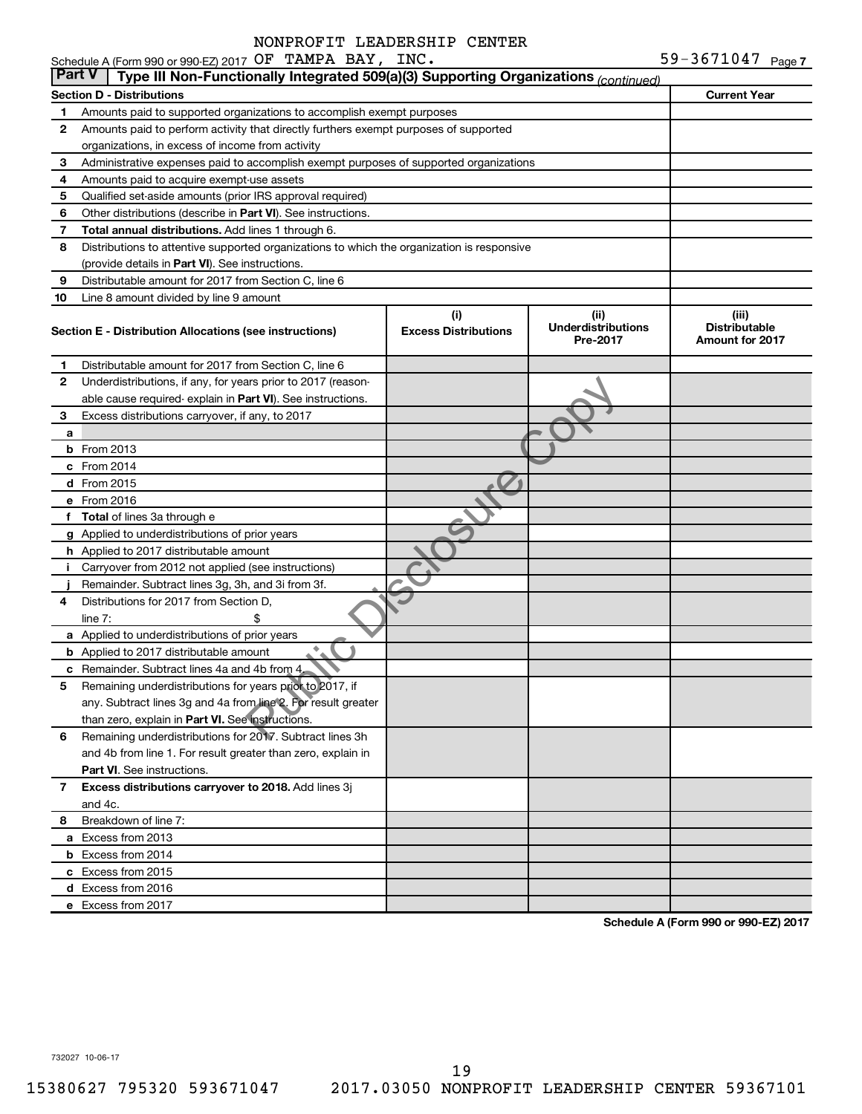|               | Schedule A (Form 990 or 990-EZ) 2017 OF TAMPA BAY, INC.                                    |                                    |                                               | $59 - 3671047$ Page 7                                   |
|---------------|--------------------------------------------------------------------------------------------|------------------------------------|-----------------------------------------------|---------------------------------------------------------|
| <b>Part V</b> | Type III Non-Functionally Integrated 509(a)(3) Supporting Organizations (continued)        |                                    |                                               |                                                         |
|               | Section D - Distributions                                                                  |                                    |                                               | <b>Current Year</b>                                     |
| 1             | Amounts paid to supported organizations to accomplish exempt purposes                      |                                    |                                               |                                                         |
| 2             | Amounts paid to perform activity that directly furthers exempt purposes of supported       |                                    |                                               |                                                         |
|               | organizations, in excess of income from activity                                           |                                    |                                               |                                                         |
| 3             | Administrative expenses paid to accomplish exempt purposes of supported organizations      |                                    |                                               |                                                         |
| 4             | Amounts paid to acquire exempt-use assets                                                  |                                    |                                               |                                                         |
| 5             | Qualified set-aside amounts (prior IRS approval required)                                  |                                    |                                               |                                                         |
| 6             | Other distributions (describe in Part VI). See instructions.                               |                                    |                                               |                                                         |
| 7             | Total annual distributions. Add lines 1 through 6.                                         |                                    |                                               |                                                         |
| 8             | Distributions to attentive supported organizations to which the organization is responsive |                                    |                                               |                                                         |
|               | (provide details in Part VI). See instructions.                                            |                                    |                                               |                                                         |
| 9             | Distributable amount for 2017 from Section C, line 6                                       |                                    |                                               |                                                         |
| 10            | Line 8 amount divided by line 9 amount                                                     |                                    |                                               |                                                         |
|               | Section E - Distribution Allocations (see instructions)                                    | (i)<br><b>Excess Distributions</b> | (ii)<br><b>Underdistributions</b><br>Pre-2017 | (iii)<br><b>Distributable</b><br><b>Amount for 2017</b> |
| 1             | Distributable amount for 2017 from Section C, line 6                                       |                                    |                                               |                                                         |
| 2             | Underdistributions, if any, for years prior to 2017 (reason-                               |                                    |                                               |                                                         |
|               | able cause required-explain in Part VI). See instructions.                                 |                                    |                                               |                                                         |
| 3             | Excess distributions carryover, if any, to 2017                                            |                                    |                                               |                                                         |
| a             |                                                                                            |                                    |                                               |                                                         |
|               | $b$ From 2013                                                                              |                                    |                                               |                                                         |
| с             | From 2014                                                                                  |                                    |                                               |                                                         |
|               | d From 2015                                                                                |                                    |                                               |                                                         |
|               | e From 2016                                                                                |                                    |                                               |                                                         |
|               | f Total of lines 3a through e                                                              |                                    |                                               |                                                         |
|               | g Applied to underdistributions of prior years                                             |                                    |                                               |                                                         |
|               | h Applied to 2017 distributable amount                                                     |                                    |                                               |                                                         |
| Ť.            | Carryover from 2012 not applied (see instructions)                                         |                                    |                                               |                                                         |
|               | Remainder. Subtract lines 3g, 3h, and 3i from 3f.                                          |                                    |                                               |                                                         |
| 4             | Distributions for 2017 from Section D,                                                     |                                    |                                               |                                                         |
|               | line $7:$                                                                                  |                                    |                                               |                                                         |
|               | a Applied to underdistributions of prior years                                             |                                    |                                               |                                                         |
|               | <b>b</b> Applied to 2017 distributable amount                                              |                                    |                                               |                                                         |
|               | c Remainder. Subtract lines 4a and 4b from 4                                               |                                    |                                               |                                                         |
|               | Remaining underdistributions for years prior to 2017, if                                   |                                    |                                               |                                                         |
|               | any. Subtract lines 3g and 4a from line 2. For result greater                              |                                    |                                               |                                                         |
|               | than zero, explain in Part VI. See instructions.                                           |                                    |                                               |                                                         |
| 6             | Remaining underdistributions for 2017. Subtract lines 3h                                   |                                    |                                               |                                                         |
|               | and 4b from line 1. For result greater than zero, explain in                               |                                    |                                               |                                                         |
|               | <b>Part VI.</b> See instructions.                                                          |                                    |                                               |                                                         |
| 7             | Excess distributions carryover to 2018. Add lines 3j                                       |                                    |                                               |                                                         |
|               | and 4c.                                                                                    |                                    |                                               |                                                         |
| 8             | Breakdown of line 7:                                                                       |                                    |                                               |                                                         |
|               | a Excess from 2013                                                                         |                                    |                                               |                                                         |
|               | <b>b</b> Excess from 2014                                                                  |                                    |                                               |                                                         |
|               | c Excess from 2015                                                                         |                                    |                                               |                                                         |
|               | d Excess from 2016                                                                         |                                    |                                               |                                                         |
|               | e Excess from 2017                                                                         |                                    |                                               |                                                         |
|               |                                                                                            |                                    |                                               |                                                         |

**Schedule A (Form 990 or 990-EZ) 2017**

732027 10-06-17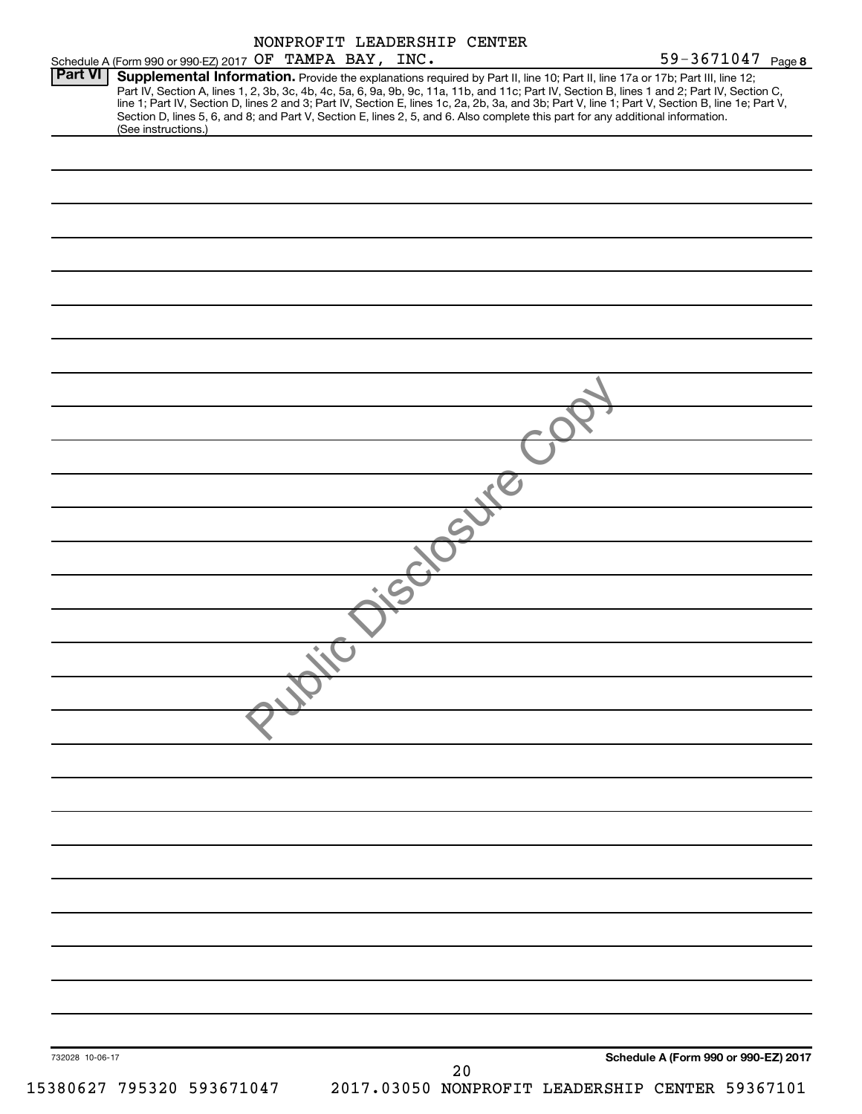| <b>Part VI</b>  | Schedule A (Form 990 or 990-EZ) 2017 OF TAMPA BAY, INC.<br>Supplemental Information. Provide the explanations required by Part II, line 10; Part II, line 17a or 17b; Part III, line 12; |                                                       |  |  | 59-3671047 Page 8                                                                                                                                                                                                                                                                                |
|-----------------|------------------------------------------------------------------------------------------------------------------------------------------------------------------------------------------|-------------------------------------------------------|--|--|--------------------------------------------------------------------------------------------------------------------------------------------------------------------------------------------------------------------------------------------------------------------------------------------------|
|                 | Section D, lines 5, 6, and 8; and Part V, Section E, lines 2, 5, and 6. Also complete this part for any additional information.<br>(See instructions.)                                   |                                                       |  |  | Part IV, Section A, lines 1, 2, 3b, 3c, 4b, 4c, 5a, 6, 9a, 9b, 9c, 11a, 11b, and 11c; Part IV, Section B, lines 1 and 2; Part IV, Section C,<br>line 1; Part IV, Section D, lines 2 and 3; Part IV, Section E, lines 1c, 2a, 2b, 3a, and 3b; Part V, line 1; Part V, Section B, line 1e; Part V, |
|                 |                                                                                                                                                                                          |                                                       |  |  |                                                                                                                                                                                                                                                                                                  |
|                 |                                                                                                                                                                                          |                                                       |  |  |                                                                                                                                                                                                                                                                                                  |
|                 |                                                                                                                                                                                          |                                                       |  |  |                                                                                                                                                                                                                                                                                                  |
|                 |                                                                                                                                                                                          |                                                       |  |  |                                                                                                                                                                                                                                                                                                  |
|                 |                                                                                                                                                                                          |                                                       |  |  |                                                                                                                                                                                                                                                                                                  |
|                 |                                                                                                                                                                                          |                                                       |  |  |                                                                                                                                                                                                                                                                                                  |
|                 |                                                                                                                                                                                          |                                                       |  |  |                                                                                                                                                                                                                                                                                                  |
|                 |                                                                                                                                                                                          |                                                       |  |  |                                                                                                                                                                                                                                                                                                  |
|                 |                                                                                                                                                                                          |                                                       |  |  |                                                                                                                                                                                                                                                                                                  |
|                 |                                                                                                                                                                                          |                                                       |  |  |                                                                                                                                                                                                                                                                                                  |
|                 |                                                                                                                                                                                          |                                                       |  |  |                                                                                                                                                                                                                                                                                                  |
|                 |                                                                                                                                                                                          |                                                       |  |  |                                                                                                                                                                                                                                                                                                  |
|                 |                                                                                                                                                                                          | $\mathbb{Z}_{\mathbb{Z}}$<br>$\overline{\phantom{0}}$ |  |  |                                                                                                                                                                                                                                                                                                  |
|                 |                                                                                                                                                                                          |                                                       |  |  |                                                                                                                                                                                                                                                                                                  |
|                 |                                                                                                                                                                                          |                                                       |  |  |                                                                                                                                                                                                                                                                                                  |
|                 |                                                                                                                                                                                          |                                                       |  |  |                                                                                                                                                                                                                                                                                                  |
|                 |                                                                                                                                                                                          |                                                       |  |  |                                                                                                                                                                                                                                                                                                  |
|                 |                                                                                                                                                                                          |                                                       |  |  |                                                                                                                                                                                                                                                                                                  |
|                 |                                                                                                                                                                                          |                                                       |  |  |                                                                                                                                                                                                                                                                                                  |
|                 |                                                                                                                                                                                          |                                                       |  |  |                                                                                                                                                                                                                                                                                                  |
|                 |                                                                                                                                                                                          |                                                       |  |  |                                                                                                                                                                                                                                                                                                  |
|                 |                                                                                                                                                                                          |                                                       |  |  |                                                                                                                                                                                                                                                                                                  |
| 732028 10-06-17 |                                                                                                                                                                                          |                                                       |  |  | Schedule A (Form 990 or 990-EZ) 2017                                                                                                                                                                                                                                                             |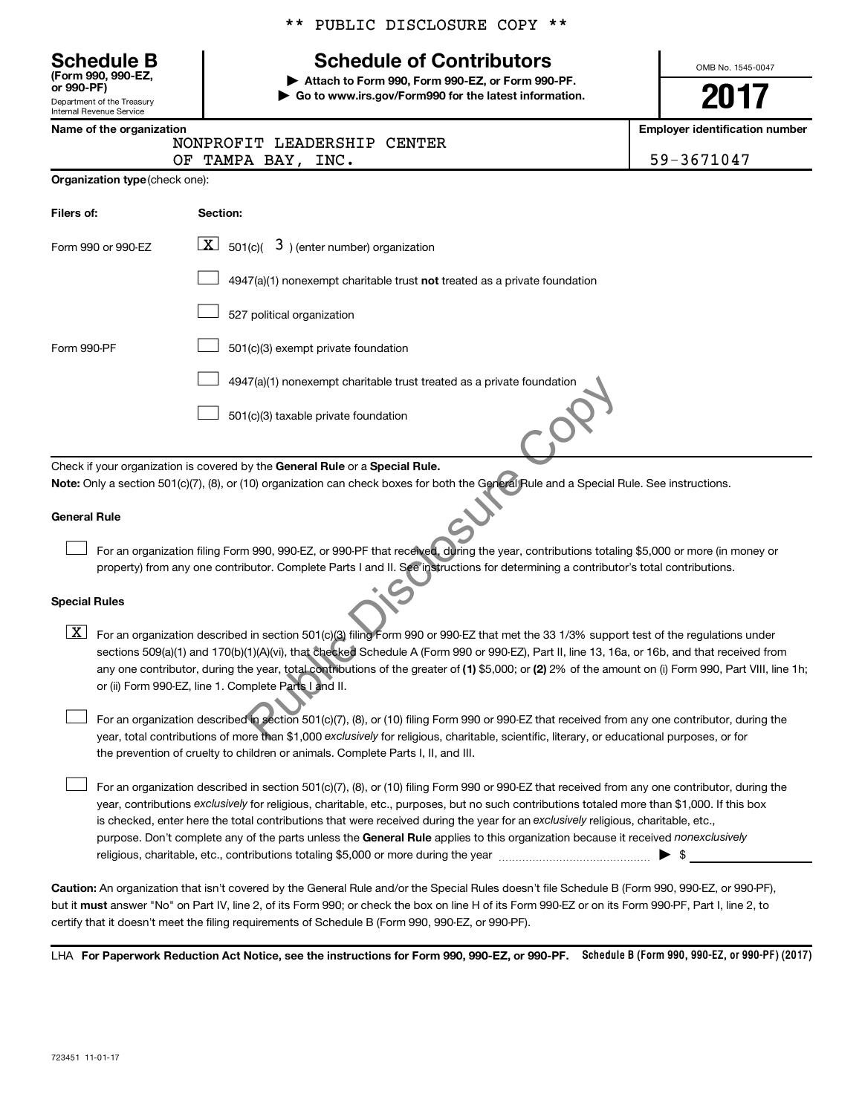Department of the Treasury **(Form 990, 990-EZ,**

# Internal Revenue Service

#### \*\* PUBLIC DISCLOSURE COPY \*\*

# **Schedule B Schedule of Contributors**

**or 990-PF) | Attach to Form 990, Form 990-EZ, or Form 990-PF. | Go to www.irs.gov/Form990 for the latest information.** OMB No. 1545-0047

# **2017**

**Name of the organization Employer identification number**

|  | vame or the organization |
|--|--------------------------|
|  | <b>ATOATT</b>            |

| NONPROFIT LEADERSHIP CENTER |  |  |
|-----------------------------|--|--|
| $\alpha$ mains $\alpha$     |  |  |

OF TAMPA BAY, INC. 5

|  |  | 9-3671047 |  |  |
|--|--|-----------|--|--|
|  |  |           |  |  |

| Organization type (check one): |  |                                                                                                                                                                                                                                                                                                                                                                                                                                                                                                                                                                                                                                                            |  |  |  |  |  |
|--------------------------------|--|------------------------------------------------------------------------------------------------------------------------------------------------------------------------------------------------------------------------------------------------------------------------------------------------------------------------------------------------------------------------------------------------------------------------------------------------------------------------------------------------------------------------------------------------------------------------------------------------------------------------------------------------------------|--|--|--|--|--|
| Filers of:                     |  | Section:                                                                                                                                                                                                                                                                                                                                                                                                                                                                                                                                                                                                                                                   |  |  |  |  |  |
| Form 990 or 990-EZ             |  | $\mathbf{X}$<br>501(c)( $\overline{3}$ ) (enter number) organization                                                                                                                                                                                                                                                                                                                                                                                                                                                                                                                                                                                       |  |  |  |  |  |
|                                |  | 4947(a)(1) nonexempt charitable trust not treated as a private foundation                                                                                                                                                                                                                                                                                                                                                                                                                                                                                                                                                                                  |  |  |  |  |  |
|                                |  | 527 political organization                                                                                                                                                                                                                                                                                                                                                                                                                                                                                                                                                                                                                                 |  |  |  |  |  |
| Form 990-PF                    |  | 501(c)(3) exempt private foundation                                                                                                                                                                                                                                                                                                                                                                                                                                                                                                                                                                                                                        |  |  |  |  |  |
|                                |  | 4947(a)(1) nonexempt charitable trust treated as a private foundation                                                                                                                                                                                                                                                                                                                                                                                                                                                                                                                                                                                      |  |  |  |  |  |
|                                |  | 501(c)(3) taxable private foundation                                                                                                                                                                                                                                                                                                                                                                                                                                                                                                                                                                                                                       |  |  |  |  |  |
|                                |  |                                                                                                                                                                                                                                                                                                                                                                                                                                                                                                                                                                                                                                                            |  |  |  |  |  |
|                                |  | Check if your organization is covered by the General Rule or a Special Rule.<br>Note: Only a section 501(c)(7), (8), or (10) organization can check boxes for both the General Rule and a Special Rule. See instructions.                                                                                                                                                                                                                                                                                                                                                                                                                                  |  |  |  |  |  |
| <b>General Rule</b>            |  |                                                                                                                                                                                                                                                                                                                                                                                                                                                                                                                                                                                                                                                            |  |  |  |  |  |
|                                |  | For an organization filing Form 990, 990-EZ, or 990-PF that received, during the year, contributions totaling \$5,000 or more (in money or<br>property) from any one contributor. Complete Parts I and II. See instructions for determining a contributor's total contributions.                                                                                                                                                                                                                                                                                                                                                                           |  |  |  |  |  |
| <b>Special Rules</b>           |  |                                                                                                                                                                                                                                                                                                                                                                                                                                                                                                                                                                                                                                                            |  |  |  |  |  |
| $\lfloor x \rfloor$            |  | For an organization described in section 501(c)(3) filing Form 990 or 990-EZ that met the 33 1/3% support test of the regulations under<br>sections 509(a)(1) and 170(b)(1)(A)(vi), that checked Schedule A (Form 990 or 990-EZ), Part II, line 13, 16a, or 16b, and that received from<br>any one contributor, during the year, total contributions of the greater of (1) \$5,000; or (2) 2% of the amount on (i) Form 990, Part VIII, line 1h;<br>or (ii) Form 990-EZ, line 1. Complete Parts I and II.<br>For an organization described in section 501(c)(7), (8), or (10) filing Form 990 or 990-EZ that received from any one contributor, during the |  |  |  |  |  |
|                                |  | year, total contributions of more than \$1,000 exclusively for religious, charitable, scientific, literary, or educational purposes, or for<br>the prevention of cruelty to children or animals. Complete Parts I, II, and III.                                                                                                                                                                                                                                                                                                                                                                                                                            |  |  |  |  |  |

purpose. Don't complete any of the parts unless the General Rule applies to this organization because it received nonexclusively year, contributions exclusively for religious, charitable, etc., purposes, but no such contributions totaled more than \$1,000. If this box is checked, enter here the total contributions that were received during the year for an exclusively religious, charitable, etc., For an organization described in section 501(c)(7), (8), or (10) filing Form 990 or 990-EZ that received from any one contributor, during the religious, charitable, etc., contributions totaling \$5,000 or more during the year  $\ldots$  $\ldots$  $\ldots$  $\ldots$  $\ldots$  $\ldots$ 

**Caution:**  An organization that isn't covered by the General Rule and/or the Special Rules doesn't file Schedule B (Form 990, 990-EZ, or 990-PF),  **must** but it answer "No" on Part IV, line 2, of its Form 990; or check the box on line H of its Form 990-EZ or on its Form 990-PF, Part I, line 2, to certify that it doesn't meet the filing requirements of Schedule B (Form 990, 990-EZ, or 990-PF).

LHA For Paperwork Reduction Act Notice, see the instructions for Form 990, 990-EZ, or 990-PF. Schedule B (Form 990, 990-EZ, or 990-PF) (2017)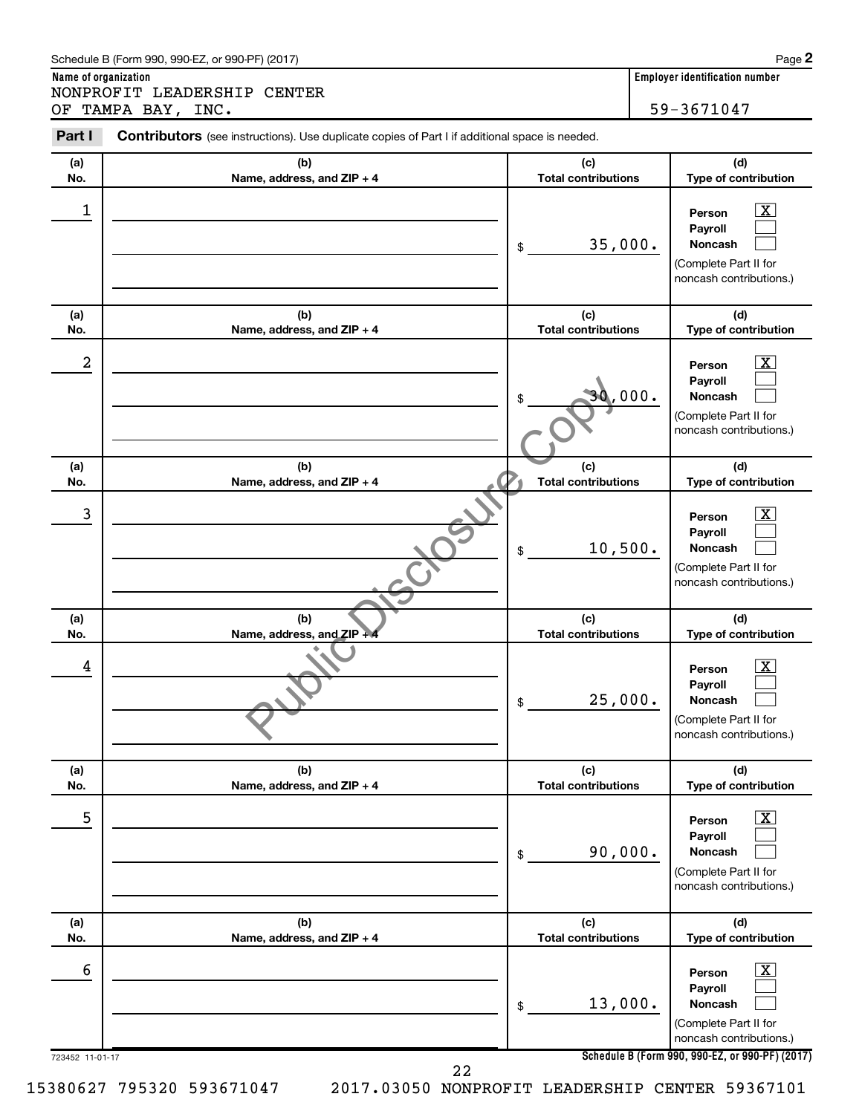| Schedule B (Form 990, 990-EZ, or 990-PF) (2017) | Page |  |
|-------------------------------------------------|------|--|
|-------------------------------------------------|------|--|

**Name of organization Employer identification number** NONPROFIT LEADERSHIP CENTER OF TAMPA BAY, INC. 59-3671047

**(d) Type of contribution**

 $\boxed{\text{X}}$ 

**Person**

**(c)**

**(a) No. (b) Name, address, and ZIP + 4 Total contributions (a) No. (b) Name, address, and ZIP + 4** Part I Contributors (see instructions). Use duplicate copies of Part I if additional space is needed. \$  $\begin{array}{|c|c|c|c|c|}\hline \ \text{1} & \text{Person} & \text{X} \ \hline \end{array}$ 

| (b)<br>Name, address, and ZIP + 4<br>(b)<br>Name, address, and ZIP + 4<br>(b) | \$<br>\$ | (c)<br><b>Total contributions</b><br>30,000.<br>(c)<br><b>Total contributions</b> | (d)<br>Type of contribution<br>X<br>Person<br>Payroll<br>Noncash<br>(Complete Part II for<br>noncash contributions.)<br>(d)<br>Type of contribution |
|-------------------------------------------------------------------------------|----------|-----------------------------------------------------------------------------------|-----------------------------------------------------------------------------------------------------------------------------------------------------|
|                                                                               |          |                                                                                   |                                                                                                                                                     |
|                                                                               |          |                                                                                   |                                                                                                                                                     |
|                                                                               |          |                                                                                   |                                                                                                                                                     |
|                                                                               |          | 10,500.                                                                           | X<br>Person<br>Payroll<br><b>Noncash</b><br>(Complete Part II for<br>noncash contributions.)                                                        |
| Name, address, and ZIP +                                                      |          | (c)<br><b>Total contributions</b>                                                 | (d)<br>Type of contribution                                                                                                                         |
|                                                                               | \$       | 25,000.                                                                           | x<br>Person<br>Payroll<br><b>Noncash</b><br>(Complete Part II for<br>noncash contributions.)                                                        |
| (b)<br>Name, address, and ZIP + 4                                             |          | (c)<br><b>Total contributions</b>                                                 | (d)<br>Type of contribution                                                                                                                         |
|                                                                               | \$       | 90,000.                                                                           | х<br>Person<br>Payroll<br>Noncash<br>$\Box$<br>(Complete Part II for<br>noncash contributions.)                                                     |
| (b)<br>Name, address, and ZIP + 4                                             |          | (c)<br><b>Total contributions</b>                                                 | (d)<br>Type of contribution                                                                                                                         |
|                                                                               | \$       | 13,000.                                                                           | $\boxed{\text{X}}$<br>Person<br>Payroll<br>Noncash<br>(Complete Part II for<br>noncash contributions.)                                              |
|                                                                               |          |                                                                                   | Schedule B (Form 990, 990-EZ, or 990-PF) (2017)                                                                                                     |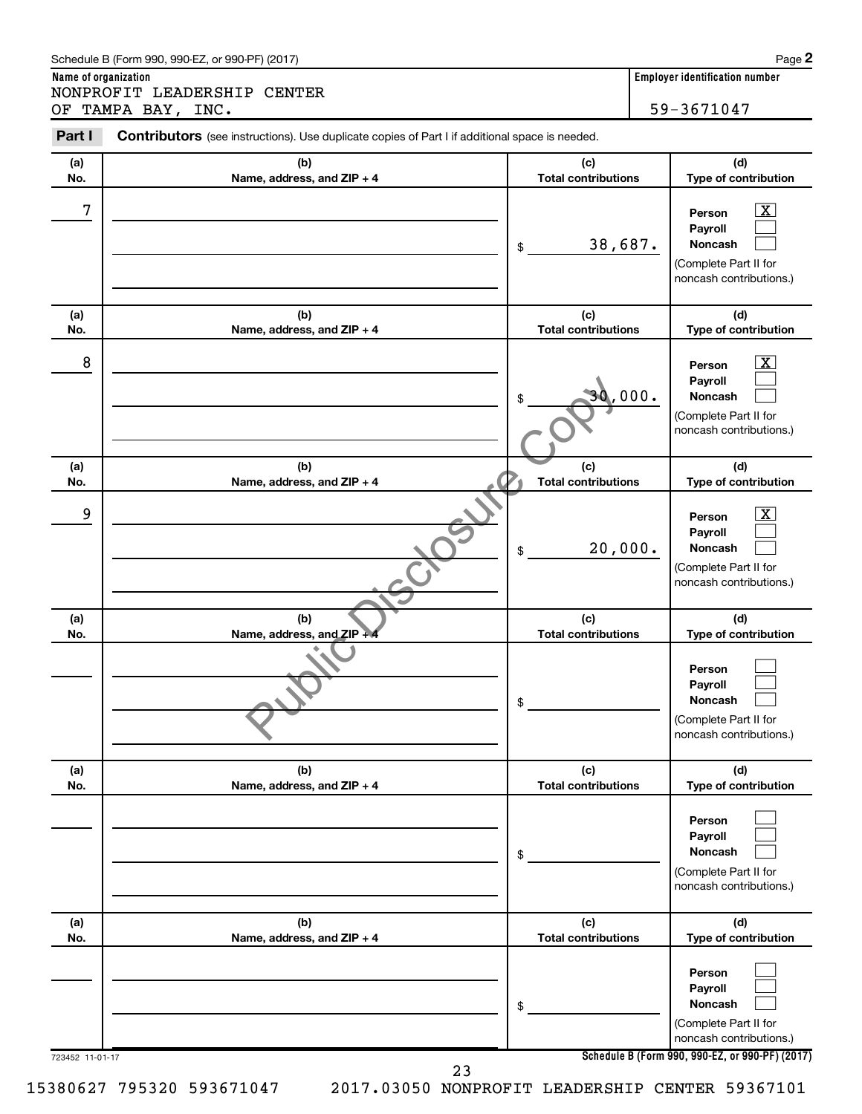| Schedule B (Form 990, 990-EZ, or 990-PF) (2017) | Page |
|-------------------------------------------------|------|
|-------------------------------------------------|------|

**Name of organization Employer identification number** NONPROFIT LEADERSHIP CENTER OF TAMPA BAY, INC. 59-3671047

**(d)**

**(c)**

**(a) No. (b)** Name, address, and  $ZID + A$ Part I Contributors (see instructions). Use duplicate copies of Part I if additional space is needed.

| No.             | Name, address, and ZIP + 4        | <b>Total contributions</b>        | Type of contribution                                                                                                                |
|-----------------|-----------------------------------|-----------------------------------|-------------------------------------------------------------------------------------------------------------------------------------|
| 7               |                                   | 38,687.<br>\$                     | $\overline{\text{X}}$<br>Person<br>Payroll<br>Noncash<br>(Complete Part II for<br>noncash contributions.)                           |
| (a)<br>No.      | (b)<br>Name, address, and ZIP + 4 | (c)<br><b>Total contributions</b> | (d)<br>Type of contribution                                                                                                         |
| 8               |                                   | 30,000.<br>\$                     | $\mathbf{X}$<br>Person<br>Payroll<br>Noncash<br>(Complete Part II for<br>noncash contributions.)                                    |
| (a)<br>No.      | (b)<br>Name, address, and ZIP + 4 | (c)<br><b>Total contributions</b> | (d)<br>Type of contribution                                                                                                         |
| 9               |                                   | 20,000.<br>\$                     | x<br>Person<br>Payroll<br>Noncash<br>(Complete Part II for<br>noncash contributions.)                                               |
| (a)<br>No.      | (b)<br>Name, address, and ZIP +   | (c)<br><b>Total contributions</b> | (d)<br>Type of contribution                                                                                                         |
|                 |                                   | \$                                | Person<br>Payroll<br>Noncash<br>(Complete Part II for<br>noncash contributions.)                                                    |
| (a)<br>No.      | (b)<br>Name, address, and ZIP + 4 | (c)<br><b>Total contributions</b> | (d)<br>Type of contribution                                                                                                         |
|                 |                                   | \$                                | Person<br>Payroll<br>Noncash<br>(Complete Part II for<br>noncash contributions.)                                                    |
| (a)<br>No.      | (b)<br>Name, address, and ZIP + 4 | (c)<br><b>Total contributions</b> | (d)<br>Type of contribution                                                                                                         |
|                 |                                   | \$                                | Person<br>Payroll<br>Noncash<br>(Complete Part II for<br>noncash contributions.)<br>Schedule B (Form 990, 990-EZ, or 990-PF) (2017) |
| 723452 11-01-17 |                                   |                                   |                                                                                                                                     |

15380627 795320 593671047 2017.03050 NONPROFIT LEADERSHIP CENTER 59367101 23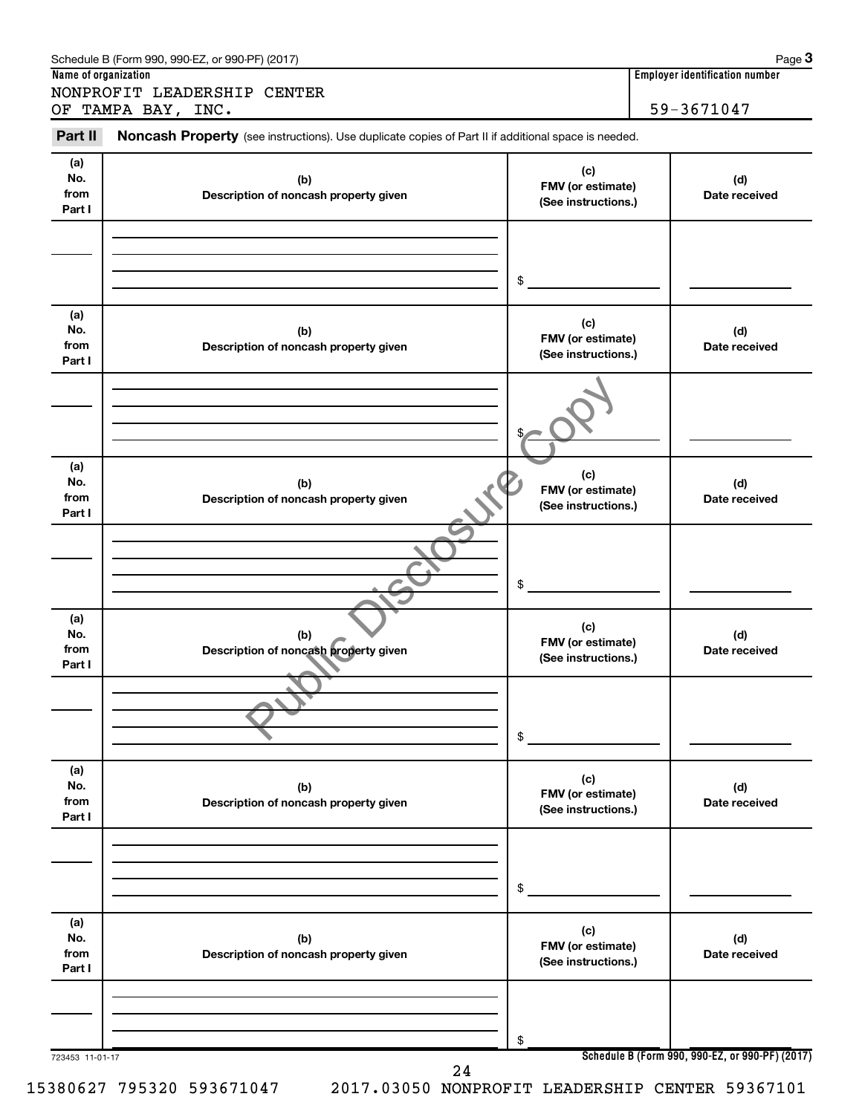| Name of organization         | Schedule B (Form 990, 990-EZ, or 990-PF) (2017)                                                     |                                                 | Page 3<br><b>Employer identification number</b> |
|------------------------------|-----------------------------------------------------------------------------------------------------|-------------------------------------------------|-------------------------------------------------|
|                              | NONPROFIT LEADERSHIP CENTER                                                                         |                                                 |                                                 |
|                              | OF TAMPA BAY, INC.                                                                                  |                                                 | 59-3671047                                      |
| Part II                      | Noncash Property (see instructions). Use duplicate copies of Part II if additional space is needed. |                                                 |                                                 |
| (a)<br>No.<br>from<br>Part I | (b)<br>Description of noncash property given                                                        | (c)<br>FMV (or estimate)<br>(See instructions.) | (d)<br>Date received                            |
|                              |                                                                                                     | \$                                              |                                                 |
| (a)<br>No.<br>from<br>Part I | (b)<br>Description of noncash property given                                                        | (c)<br>FMV (or estimate)<br>(See instructions.) | (d)<br>Date received                            |
|                              |                                                                                                     | \$.                                             |                                                 |
| (a)<br>No.<br>from<br>Part I | (b)<br>Description of noncash property given                                                        | (c)<br>FMV (or estimate)<br>(See instructions.) | (d)<br>Date received                            |
|                              |                                                                                                     | \$                                              |                                                 |
| (a)<br>No.<br>from<br>Part I | (b)<br>Description of noncash property given                                                        | (c)<br>FMV (or estimate)<br>(See instructions.) | (d)<br>Date received                            |
|                              |                                                                                                     | \$                                              |                                                 |
| (a)<br>No.<br>from<br>Part I | (b)<br>Description of noncash property given                                                        | (c)<br>FMV (or estimate)<br>(See instructions.) | (d)<br>Date received                            |
|                              |                                                                                                     | \$                                              |                                                 |
| (a)<br>No.<br>from<br>Part I | (b)<br>Description of noncash property given                                                        | (c)<br>FMV (or estimate)<br>(See instructions.) | (d)<br>Date received                            |
|                              |                                                                                                     | \$                                              |                                                 |
| 723453 11-01-17              | 24                                                                                                  |                                                 | Schedule B (Form 990, 990-EZ, or 990-PF) (2017) |

15380627 795320 593671047 2017.03050 NONPROFIT LEADERSHIP CENTER 59367101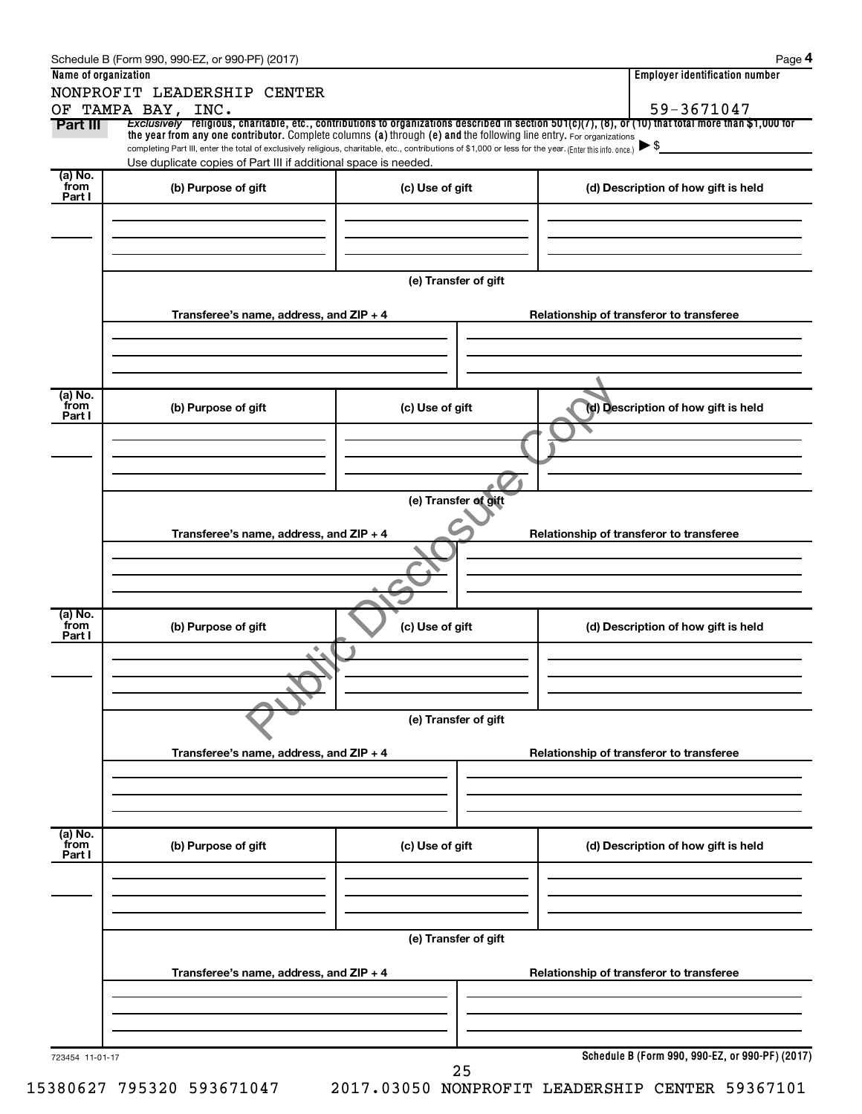| Name of organization       | NONPROFIT LEADERSHIP CENTER                                                                                                                                                                                                 |                      | <b>Employer identification number</b>                                                                                                                                  |  |  |  |  |  |
|----------------------------|-----------------------------------------------------------------------------------------------------------------------------------------------------------------------------------------------------------------------------|----------------------|------------------------------------------------------------------------------------------------------------------------------------------------------------------------|--|--|--|--|--|
|                            | OF TAMPA BAY, INC.                                                                                                                                                                                                          |                      | 59-3671047<br>Exclusively religious, charitable, etc., contributions to organizations described in section $501(c)(7)$ , (8), or (10) that total more than \$1,000 for |  |  |  |  |  |
| Part III                   | the year from any one contributor. Complete columns (a) through (e) and the following line entry. For organizations                                                                                                         |                      | $\blacktriangleright$ \$                                                                                                                                               |  |  |  |  |  |
|                            | completing Part III, enter the total of exclusively religious, charitable, etc., contributions of \$1,000 or less for the year. (Enter this info. once.)<br>Use duplicate copies of Part III if additional space is needed. |                      |                                                                                                                                                                        |  |  |  |  |  |
| (a) No.<br>from            |                                                                                                                                                                                                                             |                      |                                                                                                                                                                        |  |  |  |  |  |
| Part I                     | (b) Purpose of gift                                                                                                                                                                                                         | (c) Use of gift      | (d) Description of how gift is held                                                                                                                                    |  |  |  |  |  |
|                            |                                                                                                                                                                                                                             |                      |                                                                                                                                                                        |  |  |  |  |  |
|                            |                                                                                                                                                                                                                             |                      |                                                                                                                                                                        |  |  |  |  |  |
|                            |                                                                                                                                                                                                                             |                      |                                                                                                                                                                        |  |  |  |  |  |
|                            |                                                                                                                                                                                                                             | (e) Transfer of gift |                                                                                                                                                                        |  |  |  |  |  |
|                            | Transferee's name, address, and ZIP + 4                                                                                                                                                                                     |                      | Relationship of transferor to transferee                                                                                                                               |  |  |  |  |  |
|                            |                                                                                                                                                                                                                             |                      |                                                                                                                                                                        |  |  |  |  |  |
|                            |                                                                                                                                                                                                                             |                      |                                                                                                                                                                        |  |  |  |  |  |
|                            |                                                                                                                                                                                                                             |                      |                                                                                                                                                                        |  |  |  |  |  |
| (a) No.<br>`from<br>Part I | (b) Purpose of gift                                                                                                                                                                                                         | (c) Use of gift      | (d) Description of how gift is held                                                                                                                                    |  |  |  |  |  |
|                            |                                                                                                                                                                                                                             |                      |                                                                                                                                                                        |  |  |  |  |  |
|                            |                                                                                                                                                                                                                             |                      |                                                                                                                                                                        |  |  |  |  |  |
|                            |                                                                                                                                                                                                                             |                      |                                                                                                                                                                        |  |  |  |  |  |
|                            |                                                                                                                                                                                                                             | (e) Transfer of gift |                                                                                                                                                                        |  |  |  |  |  |
|                            |                                                                                                                                                                                                                             |                      |                                                                                                                                                                        |  |  |  |  |  |
|                            | Transferee's name, address, and ZIP + 4                                                                                                                                                                                     |                      | Relationship of transferor to transferee                                                                                                                               |  |  |  |  |  |
|                            |                                                                                                                                                                                                                             |                      |                                                                                                                                                                        |  |  |  |  |  |
|                            |                                                                                                                                                                                                                             |                      |                                                                                                                                                                        |  |  |  |  |  |
| (a) No.                    |                                                                                                                                                                                                                             |                      |                                                                                                                                                                        |  |  |  |  |  |
| `from<br>Part I            | (b) Purpose of gift                                                                                                                                                                                                         | (c) Use of gift      | (d) Description of how gift is held                                                                                                                                    |  |  |  |  |  |
|                            | ۰<br>չ                                                                                                                                                                                                                      |                      |                                                                                                                                                                        |  |  |  |  |  |
|                            |                                                                                                                                                                                                                             |                      |                                                                                                                                                                        |  |  |  |  |  |
|                            |                                                                                                                                                                                                                             |                      |                                                                                                                                                                        |  |  |  |  |  |
|                            |                                                                                                                                                                                                                             | (e) Transfer of gift |                                                                                                                                                                        |  |  |  |  |  |
|                            | Transferee's name, address, and ZIP + 4                                                                                                                                                                                     |                      | Relationship of transferor to transferee                                                                                                                               |  |  |  |  |  |
|                            |                                                                                                                                                                                                                             |                      |                                                                                                                                                                        |  |  |  |  |  |
|                            |                                                                                                                                                                                                                             |                      |                                                                                                                                                                        |  |  |  |  |  |
|                            |                                                                                                                                                                                                                             |                      |                                                                                                                                                                        |  |  |  |  |  |
| (a) No.<br>from            | (b) Purpose of gift                                                                                                                                                                                                         | (c) Use of gift      | (d) Description of how gift is held                                                                                                                                    |  |  |  |  |  |
| Part I                     |                                                                                                                                                                                                                             |                      |                                                                                                                                                                        |  |  |  |  |  |
|                            |                                                                                                                                                                                                                             |                      |                                                                                                                                                                        |  |  |  |  |  |
|                            |                                                                                                                                                                                                                             |                      |                                                                                                                                                                        |  |  |  |  |  |
|                            |                                                                                                                                                                                                                             | (e) Transfer of gift |                                                                                                                                                                        |  |  |  |  |  |
|                            |                                                                                                                                                                                                                             |                      |                                                                                                                                                                        |  |  |  |  |  |
|                            | Transferee's name, address, and ZIP + 4                                                                                                                                                                                     |                      | Relationship of transferor to transferee                                                                                                                               |  |  |  |  |  |
|                            |                                                                                                                                                                                                                             |                      |                                                                                                                                                                        |  |  |  |  |  |
|                            |                                                                                                                                                                                                                             |                      |                                                                                                                                                                        |  |  |  |  |  |
|                            |                                                                                                                                                                                                                             |                      | Schedule B (Form 990, 990-EZ, or 990-PF) (2017)                                                                                                                        |  |  |  |  |  |
| 723454 11-01-17            |                                                                                                                                                                                                                             | 25                   |                                                                                                                                                                        |  |  |  |  |  |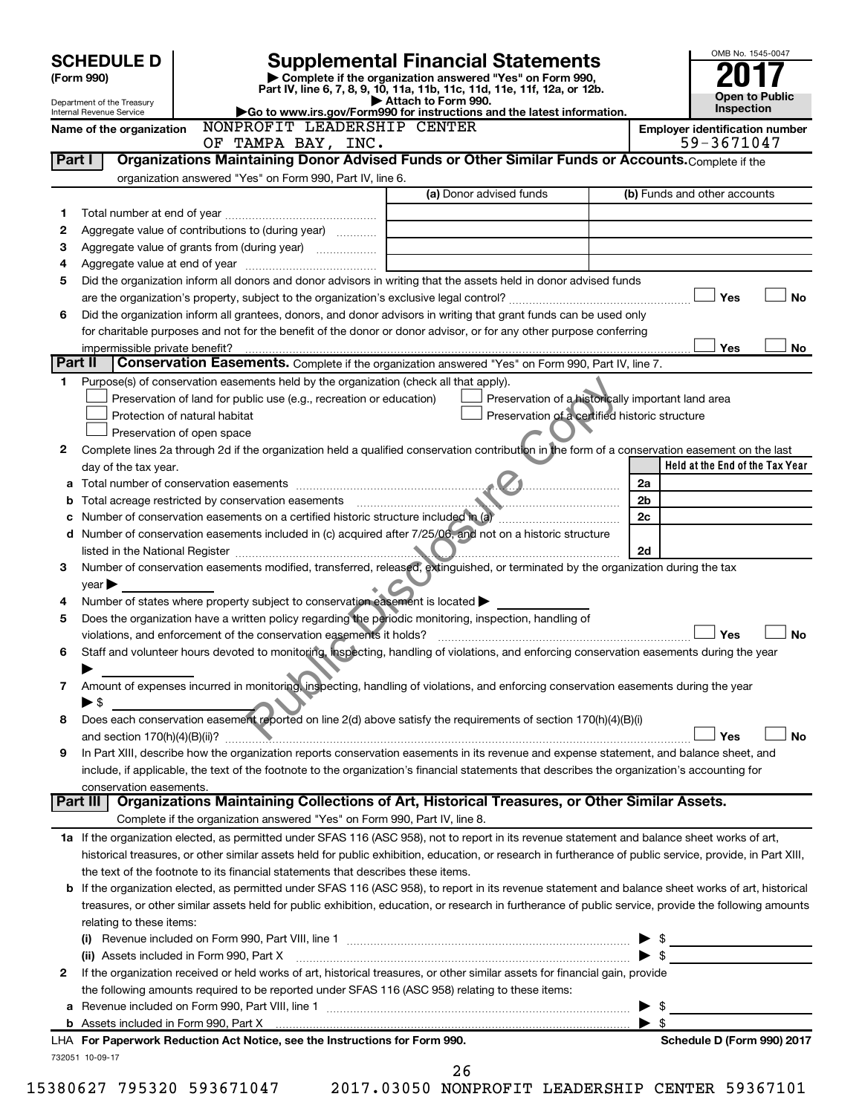|        | <b>SCHEDULE D</b>                                      |                                                                                                                                                                                                                                                                                         |                     | <b>Supplemental Financial Statements</b>                                                                                             |                          | OMB No. 1545-0047                     |
|--------|--------------------------------------------------------|-----------------------------------------------------------------------------------------------------------------------------------------------------------------------------------------------------------------------------------------------------------------------------------------|---------------------|--------------------------------------------------------------------------------------------------------------------------------------|--------------------------|---------------------------------------|
|        | (Form 990)                                             |                                                                                                                                                                                                                                                                                         |                     | Complete if the organization answered "Yes" on Form 990,<br>Part IV, line 6, 7, 8, 9, 10, 11a, 11b, 11c, 11d, 11e, 11f, 12a, or 12b. |                          |                                       |
|        | Department of the Treasury<br>Internal Revenue Service | Go to www.irs.gov/Form990 for instructions and the latest information.                                                                                                                                                                                                                  | Attach to Form 990. |                                                                                                                                      |                          | <b>Open to Public</b><br>Inspection   |
|        | Name of the organization                               | NONPROFIT LEADERSHIP CENTER                                                                                                                                                                                                                                                             |                     |                                                                                                                                      |                          | <b>Employer identification number</b> |
|        |                                                        | OF TAMPA BAY, INC.                                                                                                                                                                                                                                                                      |                     |                                                                                                                                      |                          | 59-3671047                            |
| Part I |                                                        | Organizations Maintaining Donor Advised Funds or Other Similar Funds or Accounts. Complete if the                                                                                                                                                                                       |                     |                                                                                                                                      |                          |                                       |
|        |                                                        | organization answered "Yes" on Form 990, Part IV, line 6.                                                                                                                                                                                                                               |                     | (a) Donor advised funds                                                                                                              |                          | (b) Funds and other accounts          |
| 1      |                                                        |                                                                                                                                                                                                                                                                                         |                     |                                                                                                                                      |                          |                                       |
| 2      |                                                        | Aggregate value of contributions to (during year)                                                                                                                                                                                                                                       |                     |                                                                                                                                      |                          |                                       |
| З      |                                                        |                                                                                                                                                                                                                                                                                         |                     | the control of the control of the control of the control of the control of                                                           |                          |                                       |
| 4      |                                                        |                                                                                                                                                                                                                                                                                         |                     |                                                                                                                                      |                          |                                       |
| 5      |                                                        | Did the organization inform all donors and donor advisors in writing that the assets held in donor advised funds                                                                                                                                                                        |                     |                                                                                                                                      |                          |                                       |
|        |                                                        | are the organization's property, subject to the organization's exclusive legal control?                                                                                                                                                                                                 |                     |                                                                                                                                      |                          | Yes<br><b>No</b>                      |
| 6      |                                                        | Did the organization inform all grantees, donors, and donor advisors in writing that grant funds can be used only                                                                                                                                                                       |                     |                                                                                                                                      |                          |                                       |
|        |                                                        | for charitable purposes and not for the benefit of the donor or donor advisor, or for any other purpose conferring                                                                                                                                                                      |                     |                                                                                                                                      |                          |                                       |
|        | impermissible private benefit?<br>Part II              | Conservation Easements. Complete if the organization answered "Yes" on Form 990, Part IV, line 7.                                                                                                                                                                                       |                     |                                                                                                                                      |                          | Yes<br>No                             |
| 1      |                                                        | Purpose(s) of conservation easements held by the organization (check all that apply).                                                                                                                                                                                                   |                     |                                                                                                                                      |                          |                                       |
|        |                                                        | Preservation of land for public use (e.g., recreation or education)                                                                                                                                                                                                                     |                     | Preservation of a historically important land area                                                                                   |                          |                                       |
|        |                                                        | Protection of natural habitat                                                                                                                                                                                                                                                           |                     | Preservation of a certified historic structure                                                                                       |                          |                                       |
|        |                                                        | Preservation of open space                                                                                                                                                                                                                                                              |                     |                                                                                                                                      |                          |                                       |
| 2      |                                                        | Complete lines 2a through 2d if the organization held a qualified conservation contribution in the form of a conservation easement on the last                                                                                                                                          |                     |                                                                                                                                      |                          |                                       |
|        | day of the tax year.                                   |                                                                                                                                                                                                                                                                                         |                     |                                                                                                                                      |                          | Held at the End of the Tax Year       |
| а      |                                                        |                                                                                                                                                                                                                                                                                         |                     |                                                                                                                                      | 2a                       |                                       |
| b      |                                                        |                                                                                                                                                                                                                                                                                         |                     |                                                                                                                                      | 2b                       |                                       |
| с      |                                                        | Number of conservation easements on a certified historic structure included in (a)                                                                                                                                                                                                      |                     |                                                                                                                                      | 2c                       |                                       |
|        |                                                        | d Number of conservation easements included in (c) acquired after 7/25/06, and not on a historic structure                                                                                                                                                                              |                     |                                                                                                                                      |                          |                                       |
|        |                                                        |                                                                                                                                                                                                                                                                                         |                     |                                                                                                                                      | 2d                       |                                       |
| 3      |                                                        | Number of conservation easements modified, transferred, released, extinguished, or terminated by the organization during the tax                                                                                                                                                        |                     |                                                                                                                                      |                          |                                       |
| 4      | $year \triangleright$                                  | Number of states where property subject to conservation easement is located                                                                                                                                                                                                             |                     |                                                                                                                                      |                          |                                       |
| 5      |                                                        | Does the organization have a written policy regarding the periodic monitoring, inspection, handling of                                                                                                                                                                                  |                     |                                                                                                                                      |                          |                                       |
|        |                                                        | violations, and enforcement of the conservation easements it holds?                                                                                                                                                                                                                     |                     |                                                                                                                                      |                          | <b>No</b><br>Yes                      |
| 6      |                                                        | Staff and volunteer hours devoted to monitoring, inspecting, handling of violations, and enforcing conservation easements during the year                                                                                                                                               |                     |                                                                                                                                      |                          |                                       |
|        |                                                        |                                                                                                                                                                                                                                                                                         |                     |                                                                                                                                      |                          |                                       |
| 7      |                                                        | Amount of expenses incurred in monitoring, inspecting, handling of violations, and enforcing conservation easements during the year                                                                                                                                                     |                     |                                                                                                                                      |                          |                                       |
|        | $\blacktriangleright$ \$                               |                                                                                                                                                                                                                                                                                         |                     |                                                                                                                                      |                          |                                       |
| 8      |                                                        | Does each conservation easement reported on line 2(d) above satisfy the requirements of section 170(h)(4)(B)(i)                                                                                                                                                                         |                     |                                                                                                                                      |                          |                                       |
|        |                                                        |                                                                                                                                                                                                                                                                                         |                     |                                                                                                                                      |                          | <b>No</b><br>Yes                      |
| 9      |                                                        | In Part XIII, describe how the organization reports conservation easements in its revenue and expense statement, and balance sheet, and<br>include, if applicable, the text of the footnote to the organization's financial statements that describes the organization's accounting for |                     |                                                                                                                                      |                          |                                       |
|        | conservation easements.                                |                                                                                                                                                                                                                                                                                         |                     |                                                                                                                                      |                          |                                       |
|        |                                                        | Part III   Organizations Maintaining Collections of Art, Historical Treasures, or Other Similar Assets.                                                                                                                                                                                 |                     |                                                                                                                                      |                          |                                       |
|        |                                                        | Complete if the organization answered "Yes" on Form 990, Part IV, line 8.                                                                                                                                                                                                               |                     |                                                                                                                                      |                          |                                       |
|        |                                                        | 1a If the organization elected, as permitted under SFAS 116 (ASC 958), not to report in its revenue statement and balance sheet works of art,                                                                                                                                           |                     |                                                                                                                                      |                          |                                       |
|        |                                                        | historical treasures, or other similar assets held for public exhibition, education, or research in furtherance of public service, provide, in Part XIII,                                                                                                                               |                     |                                                                                                                                      |                          |                                       |
|        |                                                        | the text of the footnote to its financial statements that describes these items.                                                                                                                                                                                                        |                     |                                                                                                                                      |                          |                                       |
| b      |                                                        | If the organization elected, as permitted under SFAS 116 (ASC 958), to report in its revenue statement and balance sheet works of art, historical                                                                                                                                       |                     |                                                                                                                                      |                          |                                       |
|        |                                                        | treasures, or other similar assets held for public exhibition, education, or research in furtherance of public service, provide the following amounts                                                                                                                                   |                     |                                                                                                                                      |                          |                                       |
|        | relating to these items:                               |                                                                                                                                                                                                                                                                                         |                     |                                                                                                                                      |                          |                                       |
|        |                                                        | (ii) Assets included in Form 990, Part X                                                                                                                                                                                                                                                |                     |                                                                                                                                      | \$                       |                                       |
| 2      |                                                        | If the organization received or held works of art, historical treasures, or other similar assets for financial gain, provide                                                                                                                                                            |                     |                                                                                                                                      |                          |                                       |
|        |                                                        | the following amounts required to be reported under SFAS 116 (ASC 958) relating to these items:                                                                                                                                                                                         |                     |                                                                                                                                      |                          |                                       |
|        |                                                        |                                                                                                                                                                                                                                                                                         |                     |                                                                                                                                      | $\blacktriangleright$ \$ |                                       |
|        |                                                        |                                                                                                                                                                                                                                                                                         |                     |                                                                                                                                      | $\blacktriangleright$ s  |                                       |
|        |                                                        | LHA For Paperwork Reduction Act Notice, see the Instructions for Form 990.                                                                                                                                                                                                              |                     |                                                                                                                                      |                          | Schedule D (Form 990) 2017            |
|        | 732051 10-09-17                                        |                                                                                                                                                                                                                                                                                         |                     |                                                                                                                                      |                          |                                       |
|        |                                                        |                                                                                                                                                                                                                                                                                         | 26                  |                                                                                                                                      |                          |                                       |

15380627 795320 593671047 2017.03050 NONPROFIT LEADERSHIP CENTER 59367101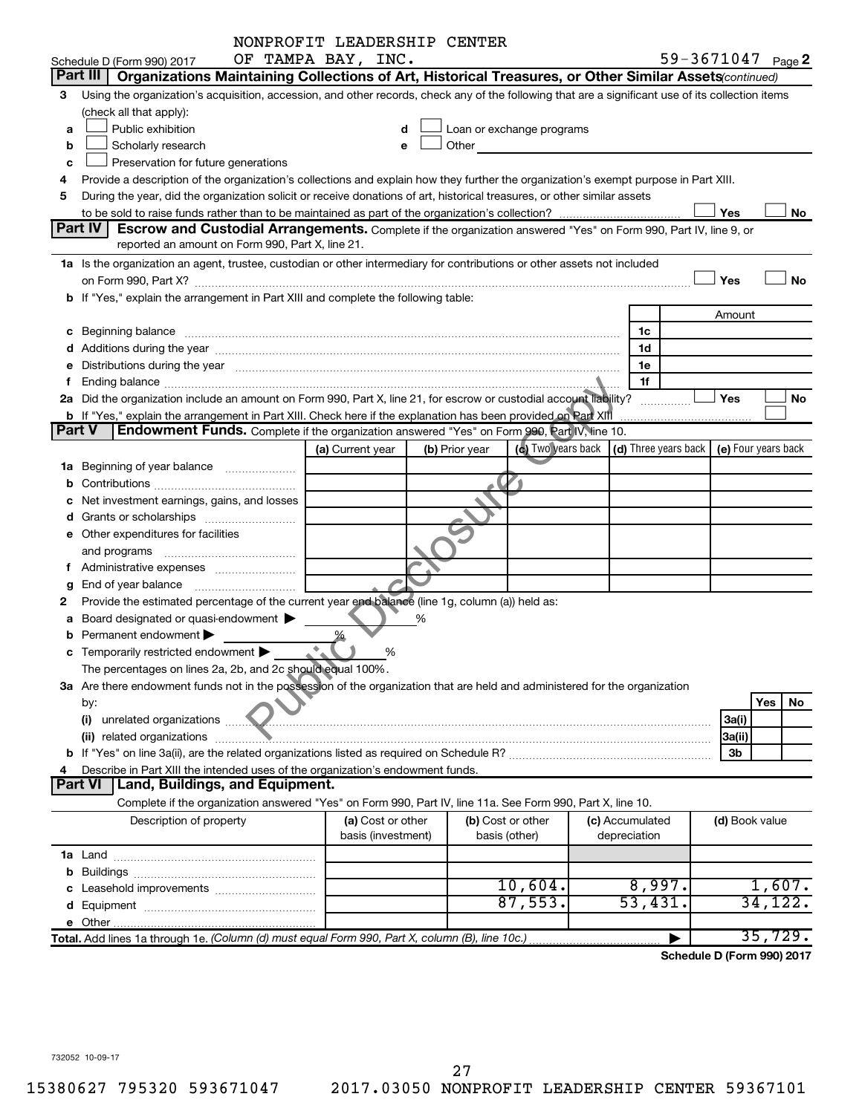| 59-3671047 Page 2<br>OF TAMPA BAY, INC.<br>Schedule D (Form 990) 2017<br>Part III<br>Organizations Maintaining Collections of Art, Historical Treasures, or Other Similar Assets (continued)<br>Using the organization's acquisition, accession, and other records, check any of the following that are a significant use of its collection items<br>З<br>(check all that apply):<br>Public exhibition<br>Loan or exchange programs<br>d<br>a<br>Other and the control of the control of the control of the control of the control of the control of the control of the control of the control of the control of the control of the control of the control of the control of th<br>Scholarly research<br>b<br>е<br>Preservation for future generations<br>C<br>Provide a description of the organization's collections and explain how they further the organization's exempt purpose in Part XIII.<br>4<br>During the year, did the organization solicit or receive donations of art, historical treasures, or other similar assets<br>5<br>Yes<br>No<br>Part IV<br><b>Escrow and Custodial Arrangements.</b> Complete if the organization answered "Yes" on Form 990, Part IV, line 9, or<br>reported an amount on Form 990, Part X, line 21.<br>1a Is the organization an agent, trustee, custodian or other intermediary for contributions or other assets not included<br>Yes<br><b>No</b><br>b If "Yes," explain the arrangement in Part XIII and complete the following table:<br>Amount<br>1c<br>c Beginning balance measurements and the contract of the contract of the contract of the contract of the contract of the contract of the contract of the contract of the contract of the contract of the contract of the contr<br>1d<br>1e<br>e Distributions during the year manufactured and an extraordinary of the year manufactured and all the year manufactured and all the statements of the statement of the statement of the statement of the statement of the sta<br>1f<br>f<br>Yes<br>2a Did the organization include an amount on Form 990, Part X, line 21, for escrow or custodial account liability?<br>No<br>b If "Yes," explain the arrangement in Part XIII. Check here if the explanation has been provided on Part XIII<br>Part V<br><b>Endowment Funds.</b> Complete if the organization answered "Yes" on Form 990, Part IV, line 10.<br>(c) Two years back<br>$(d)$ Three years back $\mid$ (e) Four years back<br>(a) Current year<br>(b) Prior year<br>b<br>Net investment earnings, gains, and losses<br>d<br>e Other expenditures for facilities<br>and programs<br>t.<br>End of year balance<br>g<br>Provide the estimated percentage of the current year end balance (line 1g, column (a)) held as:<br>2<br>Board designated or quasi-endowment<br>℅<br>а<br>Permanent endowment<br>b<br>c Temporarily restricted endowment $\blacktriangleright$<br>The percentages on lines 2a, 2b, and 2c should equal 100%.<br>3a Are there endowment funds not in the possession of the organization that are held and administered for the organization<br>Yes<br>No<br>by:<br>unrelated organizations<br>3a(i)<br>(i)<br>(ii) related organizations<br>3a(ii)<br>3 <sub>b</sub><br>Describe in Part XIII the intended uses of the organization's endowment funds.<br>Part VI<br>Land, Buildings, and Equipment.<br>Complete if the organization answered "Yes" on Form 990, Part IV, line 11a. See Form 990, Part X, line 10.<br>(a) Cost or other<br>(b) Cost or other<br>(d) Book value<br>Description of property<br>(c) Accumulated<br>basis (investment)<br>basis (other)<br>depreciation<br>10,604.<br>8,997.<br>1,607.<br>87,553.<br>34, 122.<br>53,431.<br>35,729.<br>Total. Add lines 1a through 1e. (Column (d) must equal Form 990, Part X, column (B), line 10c.) |  | NONPROFIT LEADERSHIP CENTER |  |  |  |
|-------------------------------------------------------------------------------------------------------------------------------------------------------------------------------------------------------------------------------------------------------------------------------------------------------------------------------------------------------------------------------------------------------------------------------------------------------------------------------------------------------------------------------------------------------------------------------------------------------------------------------------------------------------------------------------------------------------------------------------------------------------------------------------------------------------------------------------------------------------------------------------------------------------------------------------------------------------------------------------------------------------------------------------------------------------------------------------------------------------------------------------------------------------------------------------------------------------------------------------------------------------------------------------------------------------------------------------------------------------------------------------------------------------------------------------------------------------------------------------------------------------------------------------------------------------------------------------------------------------------------------------------------------------------------------------------------------------------------------------------------------------------------------------------------------------------------------------------------------------------------------------------------------------------------------------------------------------------------------------------------------------------------------------------------------------------------------------------------------------------------------------------------------------------------------------------------------------------------------------------------------------------------------------------------------------------------------------------------------------------------------------------------------------------------------------------------------------------------------------------------------------------------------------------------------------------------------------------------------------------------------------------------------------------------------------------------------------------------------------------------------------------------------------------------------------------------------------------------------------------------------------------------------------------------------------------------------------------------------------------------------------------------------------------------------------------------------------------------------------------------------------------------------------------------------------------------------------------------------------------------------------------------------------------------------------------------------------------------------------------------------------------------------------------------------------------------------------------------------------------------------------------------------------------------------------------------------------------------------------------------------------------------------------------------------------------------------------------------------------------------------------------------------------------------------------|--|-----------------------------|--|--|--|
|                                                                                                                                                                                                                                                                                                                                                                                                                                                                                                                                                                                                                                                                                                                                                                                                                                                                                                                                                                                                                                                                                                                                                                                                                                                                                                                                                                                                                                                                                                                                                                                                                                                                                                                                                                                                                                                                                                                                                                                                                                                                                                                                                                                                                                                                                                                                                                                                                                                                                                                                                                                                                                                                                                                                                                                                                                                                                                                                                                                                                                                                                                                                                                                                                                                                                                                                                                                                                                                                                                                                                                                                                                                                                                                                                                                                             |  |                             |  |  |  |
|                                                                                                                                                                                                                                                                                                                                                                                                                                                                                                                                                                                                                                                                                                                                                                                                                                                                                                                                                                                                                                                                                                                                                                                                                                                                                                                                                                                                                                                                                                                                                                                                                                                                                                                                                                                                                                                                                                                                                                                                                                                                                                                                                                                                                                                                                                                                                                                                                                                                                                                                                                                                                                                                                                                                                                                                                                                                                                                                                                                                                                                                                                                                                                                                                                                                                                                                                                                                                                                                                                                                                                                                                                                                                                                                                                                                             |  |                             |  |  |  |
|                                                                                                                                                                                                                                                                                                                                                                                                                                                                                                                                                                                                                                                                                                                                                                                                                                                                                                                                                                                                                                                                                                                                                                                                                                                                                                                                                                                                                                                                                                                                                                                                                                                                                                                                                                                                                                                                                                                                                                                                                                                                                                                                                                                                                                                                                                                                                                                                                                                                                                                                                                                                                                                                                                                                                                                                                                                                                                                                                                                                                                                                                                                                                                                                                                                                                                                                                                                                                                                                                                                                                                                                                                                                                                                                                                                                             |  |                             |  |  |  |
|                                                                                                                                                                                                                                                                                                                                                                                                                                                                                                                                                                                                                                                                                                                                                                                                                                                                                                                                                                                                                                                                                                                                                                                                                                                                                                                                                                                                                                                                                                                                                                                                                                                                                                                                                                                                                                                                                                                                                                                                                                                                                                                                                                                                                                                                                                                                                                                                                                                                                                                                                                                                                                                                                                                                                                                                                                                                                                                                                                                                                                                                                                                                                                                                                                                                                                                                                                                                                                                                                                                                                                                                                                                                                                                                                                                                             |  |                             |  |  |  |
|                                                                                                                                                                                                                                                                                                                                                                                                                                                                                                                                                                                                                                                                                                                                                                                                                                                                                                                                                                                                                                                                                                                                                                                                                                                                                                                                                                                                                                                                                                                                                                                                                                                                                                                                                                                                                                                                                                                                                                                                                                                                                                                                                                                                                                                                                                                                                                                                                                                                                                                                                                                                                                                                                                                                                                                                                                                                                                                                                                                                                                                                                                                                                                                                                                                                                                                                                                                                                                                                                                                                                                                                                                                                                                                                                                                                             |  |                             |  |  |  |
|                                                                                                                                                                                                                                                                                                                                                                                                                                                                                                                                                                                                                                                                                                                                                                                                                                                                                                                                                                                                                                                                                                                                                                                                                                                                                                                                                                                                                                                                                                                                                                                                                                                                                                                                                                                                                                                                                                                                                                                                                                                                                                                                                                                                                                                                                                                                                                                                                                                                                                                                                                                                                                                                                                                                                                                                                                                                                                                                                                                                                                                                                                                                                                                                                                                                                                                                                                                                                                                                                                                                                                                                                                                                                                                                                                                                             |  |                             |  |  |  |
|                                                                                                                                                                                                                                                                                                                                                                                                                                                                                                                                                                                                                                                                                                                                                                                                                                                                                                                                                                                                                                                                                                                                                                                                                                                                                                                                                                                                                                                                                                                                                                                                                                                                                                                                                                                                                                                                                                                                                                                                                                                                                                                                                                                                                                                                                                                                                                                                                                                                                                                                                                                                                                                                                                                                                                                                                                                                                                                                                                                                                                                                                                                                                                                                                                                                                                                                                                                                                                                                                                                                                                                                                                                                                                                                                                                                             |  |                             |  |  |  |
|                                                                                                                                                                                                                                                                                                                                                                                                                                                                                                                                                                                                                                                                                                                                                                                                                                                                                                                                                                                                                                                                                                                                                                                                                                                                                                                                                                                                                                                                                                                                                                                                                                                                                                                                                                                                                                                                                                                                                                                                                                                                                                                                                                                                                                                                                                                                                                                                                                                                                                                                                                                                                                                                                                                                                                                                                                                                                                                                                                                                                                                                                                                                                                                                                                                                                                                                                                                                                                                                                                                                                                                                                                                                                                                                                                                                             |  |                             |  |  |  |
|                                                                                                                                                                                                                                                                                                                                                                                                                                                                                                                                                                                                                                                                                                                                                                                                                                                                                                                                                                                                                                                                                                                                                                                                                                                                                                                                                                                                                                                                                                                                                                                                                                                                                                                                                                                                                                                                                                                                                                                                                                                                                                                                                                                                                                                                                                                                                                                                                                                                                                                                                                                                                                                                                                                                                                                                                                                                                                                                                                                                                                                                                                                                                                                                                                                                                                                                                                                                                                                                                                                                                                                                                                                                                                                                                                                                             |  |                             |  |  |  |
|                                                                                                                                                                                                                                                                                                                                                                                                                                                                                                                                                                                                                                                                                                                                                                                                                                                                                                                                                                                                                                                                                                                                                                                                                                                                                                                                                                                                                                                                                                                                                                                                                                                                                                                                                                                                                                                                                                                                                                                                                                                                                                                                                                                                                                                                                                                                                                                                                                                                                                                                                                                                                                                                                                                                                                                                                                                                                                                                                                                                                                                                                                                                                                                                                                                                                                                                                                                                                                                                                                                                                                                                                                                                                                                                                                                                             |  |                             |  |  |  |
|                                                                                                                                                                                                                                                                                                                                                                                                                                                                                                                                                                                                                                                                                                                                                                                                                                                                                                                                                                                                                                                                                                                                                                                                                                                                                                                                                                                                                                                                                                                                                                                                                                                                                                                                                                                                                                                                                                                                                                                                                                                                                                                                                                                                                                                                                                                                                                                                                                                                                                                                                                                                                                                                                                                                                                                                                                                                                                                                                                                                                                                                                                                                                                                                                                                                                                                                                                                                                                                                                                                                                                                                                                                                                                                                                                                                             |  |                             |  |  |  |
|                                                                                                                                                                                                                                                                                                                                                                                                                                                                                                                                                                                                                                                                                                                                                                                                                                                                                                                                                                                                                                                                                                                                                                                                                                                                                                                                                                                                                                                                                                                                                                                                                                                                                                                                                                                                                                                                                                                                                                                                                                                                                                                                                                                                                                                                                                                                                                                                                                                                                                                                                                                                                                                                                                                                                                                                                                                                                                                                                                                                                                                                                                                                                                                                                                                                                                                                                                                                                                                                                                                                                                                                                                                                                                                                                                                                             |  |                             |  |  |  |
|                                                                                                                                                                                                                                                                                                                                                                                                                                                                                                                                                                                                                                                                                                                                                                                                                                                                                                                                                                                                                                                                                                                                                                                                                                                                                                                                                                                                                                                                                                                                                                                                                                                                                                                                                                                                                                                                                                                                                                                                                                                                                                                                                                                                                                                                                                                                                                                                                                                                                                                                                                                                                                                                                                                                                                                                                                                                                                                                                                                                                                                                                                                                                                                                                                                                                                                                                                                                                                                                                                                                                                                                                                                                                                                                                                                                             |  |                             |  |  |  |
|                                                                                                                                                                                                                                                                                                                                                                                                                                                                                                                                                                                                                                                                                                                                                                                                                                                                                                                                                                                                                                                                                                                                                                                                                                                                                                                                                                                                                                                                                                                                                                                                                                                                                                                                                                                                                                                                                                                                                                                                                                                                                                                                                                                                                                                                                                                                                                                                                                                                                                                                                                                                                                                                                                                                                                                                                                                                                                                                                                                                                                                                                                                                                                                                                                                                                                                                                                                                                                                                                                                                                                                                                                                                                                                                                                                                             |  |                             |  |  |  |
|                                                                                                                                                                                                                                                                                                                                                                                                                                                                                                                                                                                                                                                                                                                                                                                                                                                                                                                                                                                                                                                                                                                                                                                                                                                                                                                                                                                                                                                                                                                                                                                                                                                                                                                                                                                                                                                                                                                                                                                                                                                                                                                                                                                                                                                                                                                                                                                                                                                                                                                                                                                                                                                                                                                                                                                                                                                                                                                                                                                                                                                                                                                                                                                                                                                                                                                                                                                                                                                                                                                                                                                                                                                                                                                                                                                                             |  |                             |  |  |  |
|                                                                                                                                                                                                                                                                                                                                                                                                                                                                                                                                                                                                                                                                                                                                                                                                                                                                                                                                                                                                                                                                                                                                                                                                                                                                                                                                                                                                                                                                                                                                                                                                                                                                                                                                                                                                                                                                                                                                                                                                                                                                                                                                                                                                                                                                                                                                                                                                                                                                                                                                                                                                                                                                                                                                                                                                                                                                                                                                                                                                                                                                                                                                                                                                                                                                                                                                                                                                                                                                                                                                                                                                                                                                                                                                                                                                             |  |                             |  |  |  |
|                                                                                                                                                                                                                                                                                                                                                                                                                                                                                                                                                                                                                                                                                                                                                                                                                                                                                                                                                                                                                                                                                                                                                                                                                                                                                                                                                                                                                                                                                                                                                                                                                                                                                                                                                                                                                                                                                                                                                                                                                                                                                                                                                                                                                                                                                                                                                                                                                                                                                                                                                                                                                                                                                                                                                                                                                                                                                                                                                                                                                                                                                                                                                                                                                                                                                                                                                                                                                                                                                                                                                                                                                                                                                                                                                                                                             |  |                             |  |  |  |
|                                                                                                                                                                                                                                                                                                                                                                                                                                                                                                                                                                                                                                                                                                                                                                                                                                                                                                                                                                                                                                                                                                                                                                                                                                                                                                                                                                                                                                                                                                                                                                                                                                                                                                                                                                                                                                                                                                                                                                                                                                                                                                                                                                                                                                                                                                                                                                                                                                                                                                                                                                                                                                                                                                                                                                                                                                                                                                                                                                                                                                                                                                                                                                                                                                                                                                                                                                                                                                                                                                                                                                                                                                                                                                                                                                                                             |  |                             |  |  |  |
|                                                                                                                                                                                                                                                                                                                                                                                                                                                                                                                                                                                                                                                                                                                                                                                                                                                                                                                                                                                                                                                                                                                                                                                                                                                                                                                                                                                                                                                                                                                                                                                                                                                                                                                                                                                                                                                                                                                                                                                                                                                                                                                                                                                                                                                                                                                                                                                                                                                                                                                                                                                                                                                                                                                                                                                                                                                                                                                                                                                                                                                                                                                                                                                                                                                                                                                                                                                                                                                                                                                                                                                                                                                                                                                                                                                                             |  |                             |  |  |  |
|                                                                                                                                                                                                                                                                                                                                                                                                                                                                                                                                                                                                                                                                                                                                                                                                                                                                                                                                                                                                                                                                                                                                                                                                                                                                                                                                                                                                                                                                                                                                                                                                                                                                                                                                                                                                                                                                                                                                                                                                                                                                                                                                                                                                                                                                                                                                                                                                                                                                                                                                                                                                                                                                                                                                                                                                                                                                                                                                                                                                                                                                                                                                                                                                                                                                                                                                                                                                                                                                                                                                                                                                                                                                                                                                                                                                             |  |                             |  |  |  |
|                                                                                                                                                                                                                                                                                                                                                                                                                                                                                                                                                                                                                                                                                                                                                                                                                                                                                                                                                                                                                                                                                                                                                                                                                                                                                                                                                                                                                                                                                                                                                                                                                                                                                                                                                                                                                                                                                                                                                                                                                                                                                                                                                                                                                                                                                                                                                                                                                                                                                                                                                                                                                                                                                                                                                                                                                                                                                                                                                                                                                                                                                                                                                                                                                                                                                                                                                                                                                                                                                                                                                                                                                                                                                                                                                                                                             |  |                             |  |  |  |
|                                                                                                                                                                                                                                                                                                                                                                                                                                                                                                                                                                                                                                                                                                                                                                                                                                                                                                                                                                                                                                                                                                                                                                                                                                                                                                                                                                                                                                                                                                                                                                                                                                                                                                                                                                                                                                                                                                                                                                                                                                                                                                                                                                                                                                                                                                                                                                                                                                                                                                                                                                                                                                                                                                                                                                                                                                                                                                                                                                                                                                                                                                                                                                                                                                                                                                                                                                                                                                                                                                                                                                                                                                                                                                                                                                                                             |  |                             |  |  |  |
|                                                                                                                                                                                                                                                                                                                                                                                                                                                                                                                                                                                                                                                                                                                                                                                                                                                                                                                                                                                                                                                                                                                                                                                                                                                                                                                                                                                                                                                                                                                                                                                                                                                                                                                                                                                                                                                                                                                                                                                                                                                                                                                                                                                                                                                                                                                                                                                                                                                                                                                                                                                                                                                                                                                                                                                                                                                                                                                                                                                                                                                                                                                                                                                                                                                                                                                                                                                                                                                                                                                                                                                                                                                                                                                                                                                                             |  |                             |  |  |  |
|                                                                                                                                                                                                                                                                                                                                                                                                                                                                                                                                                                                                                                                                                                                                                                                                                                                                                                                                                                                                                                                                                                                                                                                                                                                                                                                                                                                                                                                                                                                                                                                                                                                                                                                                                                                                                                                                                                                                                                                                                                                                                                                                                                                                                                                                                                                                                                                                                                                                                                                                                                                                                                                                                                                                                                                                                                                                                                                                                                                                                                                                                                                                                                                                                                                                                                                                                                                                                                                                                                                                                                                                                                                                                                                                                                                                             |  |                             |  |  |  |
|                                                                                                                                                                                                                                                                                                                                                                                                                                                                                                                                                                                                                                                                                                                                                                                                                                                                                                                                                                                                                                                                                                                                                                                                                                                                                                                                                                                                                                                                                                                                                                                                                                                                                                                                                                                                                                                                                                                                                                                                                                                                                                                                                                                                                                                                                                                                                                                                                                                                                                                                                                                                                                                                                                                                                                                                                                                                                                                                                                                                                                                                                                                                                                                                                                                                                                                                                                                                                                                                                                                                                                                                                                                                                                                                                                                                             |  |                             |  |  |  |
|                                                                                                                                                                                                                                                                                                                                                                                                                                                                                                                                                                                                                                                                                                                                                                                                                                                                                                                                                                                                                                                                                                                                                                                                                                                                                                                                                                                                                                                                                                                                                                                                                                                                                                                                                                                                                                                                                                                                                                                                                                                                                                                                                                                                                                                                                                                                                                                                                                                                                                                                                                                                                                                                                                                                                                                                                                                                                                                                                                                                                                                                                                                                                                                                                                                                                                                                                                                                                                                                                                                                                                                                                                                                                                                                                                                                             |  |                             |  |  |  |
|                                                                                                                                                                                                                                                                                                                                                                                                                                                                                                                                                                                                                                                                                                                                                                                                                                                                                                                                                                                                                                                                                                                                                                                                                                                                                                                                                                                                                                                                                                                                                                                                                                                                                                                                                                                                                                                                                                                                                                                                                                                                                                                                                                                                                                                                                                                                                                                                                                                                                                                                                                                                                                                                                                                                                                                                                                                                                                                                                                                                                                                                                                                                                                                                                                                                                                                                                                                                                                                                                                                                                                                                                                                                                                                                                                                                             |  |                             |  |  |  |
|                                                                                                                                                                                                                                                                                                                                                                                                                                                                                                                                                                                                                                                                                                                                                                                                                                                                                                                                                                                                                                                                                                                                                                                                                                                                                                                                                                                                                                                                                                                                                                                                                                                                                                                                                                                                                                                                                                                                                                                                                                                                                                                                                                                                                                                                                                                                                                                                                                                                                                                                                                                                                                                                                                                                                                                                                                                                                                                                                                                                                                                                                                                                                                                                                                                                                                                                                                                                                                                                                                                                                                                                                                                                                                                                                                                                             |  |                             |  |  |  |
|                                                                                                                                                                                                                                                                                                                                                                                                                                                                                                                                                                                                                                                                                                                                                                                                                                                                                                                                                                                                                                                                                                                                                                                                                                                                                                                                                                                                                                                                                                                                                                                                                                                                                                                                                                                                                                                                                                                                                                                                                                                                                                                                                                                                                                                                                                                                                                                                                                                                                                                                                                                                                                                                                                                                                                                                                                                                                                                                                                                                                                                                                                                                                                                                                                                                                                                                                                                                                                                                                                                                                                                                                                                                                                                                                                                                             |  |                             |  |  |  |
|                                                                                                                                                                                                                                                                                                                                                                                                                                                                                                                                                                                                                                                                                                                                                                                                                                                                                                                                                                                                                                                                                                                                                                                                                                                                                                                                                                                                                                                                                                                                                                                                                                                                                                                                                                                                                                                                                                                                                                                                                                                                                                                                                                                                                                                                                                                                                                                                                                                                                                                                                                                                                                                                                                                                                                                                                                                                                                                                                                                                                                                                                                                                                                                                                                                                                                                                                                                                                                                                                                                                                                                                                                                                                                                                                                                                             |  |                             |  |  |  |
|                                                                                                                                                                                                                                                                                                                                                                                                                                                                                                                                                                                                                                                                                                                                                                                                                                                                                                                                                                                                                                                                                                                                                                                                                                                                                                                                                                                                                                                                                                                                                                                                                                                                                                                                                                                                                                                                                                                                                                                                                                                                                                                                                                                                                                                                                                                                                                                                                                                                                                                                                                                                                                                                                                                                                                                                                                                                                                                                                                                                                                                                                                                                                                                                                                                                                                                                                                                                                                                                                                                                                                                                                                                                                                                                                                                                             |  |                             |  |  |  |
|                                                                                                                                                                                                                                                                                                                                                                                                                                                                                                                                                                                                                                                                                                                                                                                                                                                                                                                                                                                                                                                                                                                                                                                                                                                                                                                                                                                                                                                                                                                                                                                                                                                                                                                                                                                                                                                                                                                                                                                                                                                                                                                                                                                                                                                                                                                                                                                                                                                                                                                                                                                                                                                                                                                                                                                                                                                                                                                                                                                                                                                                                                                                                                                                                                                                                                                                                                                                                                                                                                                                                                                                                                                                                                                                                                                                             |  |                             |  |  |  |
|                                                                                                                                                                                                                                                                                                                                                                                                                                                                                                                                                                                                                                                                                                                                                                                                                                                                                                                                                                                                                                                                                                                                                                                                                                                                                                                                                                                                                                                                                                                                                                                                                                                                                                                                                                                                                                                                                                                                                                                                                                                                                                                                                                                                                                                                                                                                                                                                                                                                                                                                                                                                                                                                                                                                                                                                                                                                                                                                                                                                                                                                                                                                                                                                                                                                                                                                                                                                                                                                                                                                                                                                                                                                                                                                                                                                             |  |                             |  |  |  |
|                                                                                                                                                                                                                                                                                                                                                                                                                                                                                                                                                                                                                                                                                                                                                                                                                                                                                                                                                                                                                                                                                                                                                                                                                                                                                                                                                                                                                                                                                                                                                                                                                                                                                                                                                                                                                                                                                                                                                                                                                                                                                                                                                                                                                                                                                                                                                                                                                                                                                                                                                                                                                                                                                                                                                                                                                                                                                                                                                                                                                                                                                                                                                                                                                                                                                                                                                                                                                                                                                                                                                                                                                                                                                                                                                                                                             |  |                             |  |  |  |
|                                                                                                                                                                                                                                                                                                                                                                                                                                                                                                                                                                                                                                                                                                                                                                                                                                                                                                                                                                                                                                                                                                                                                                                                                                                                                                                                                                                                                                                                                                                                                                                                                                                                                                                                                                                                                                                                                                                                                                                                                                                                                                                                                                                                                                                                                                                                                                                                                                                                                                                                                                                                                                                                                                                                                                                                                                                                                                                                                                                                                                                                                                                                                                                                                                                                                                                                                                                                                                                                                                                                                                                                                                                                                                                                                                                                             |  |                             |  |  |  |
|                                                                                                                                                                                                                                                                                                                                                                                                                                                                                                                                                                                                                                                                                                                                                                                                                                                                                                                                                                                                                                                                                                                                                                                                                                                                                                                                                                                                                                                                                                                                                                                                                                                                                                                                                                                                                                                                                                                                                                                                                                                                                                                                                                                                                                                                                                                                                                                                                                                                                                                                                                                                                                                                                                                                                                                                                                                                                                                                                                                                                                                                                                                                                                                                                                                                                                                                                                                                                                                                                                                                                                                                                                                                                                                                                                                                             |  |                             |  |  |  |
|                                                                                                                                                                                                                                                                                                                                                                                                                                                                                                                                                                                                                                                                                                                                                                                                                                                                                                                                                                                                                                                                                                                                                                                                                                                                                                                                                                                                                                                                                                                                                                                                                                                                                                                                                                                                                                                                                                                                                                                                                                                                                                                                                                                                                                                                                                                                                                                                                                                                                                                                                                                                                                                                                                                                                                                                                                                                                                                                                                                                                                                                                                                                                                                                                                                                                                                                                                                                                                                                                                                                                                                                                                                                                                                                                                                                             |  |                             |  |  |  |
|                                                                                                                                                                                                                                                                                                                                                                                                                                                                                                                                                                                                                                                                                                                                                                                                                                                                                                                                                                                                                                                                                                                                                                                                                                                                                                                                                                                                                                                                                                                                                                                                                                                                                                                                                                                                                                                                                                                                                                                                                                                                                                                                                                                                                                                                                                                                                                                                                                                                                                                                                                                                                                                                                                                                                                                                                                                                                                                                                                                                                                                                                                                                                                                                                                                                                                                                                                                                                                                                                                                                                                                                                                                                                                                                                                                                             |  |                             |  |  |  |
|                                                                                                                                                                                                                                                                                                                                                                                                                                                                                                                                                                                                                                                                                                                                                                                                                                                                                                                                                                                                                                                                                                                                                                                                                                                                                                                                                                                                                                                                                                                                                                                                                                                                                                                                                                                                                                                                                                                                                                                                                                                                                                                                                                                                                                                                                                                                                                                                                                                                                                                                                                                                                                                                                                                                                                                                                                                                                                                                                                                                                                                                                                                                                                                                                                                                                                                                                                                                                                                                                                                                                                                                                                                                                                                                                                                                             |  |                             |  |  |  |
|                                                                                                                                                                                                                                                                                                                                                                                                                                                                                                                                                                                                                                                                                                                                                                                                                                                                                                                                                                                                                                                                                                                                                                                                                                                                                                                                                                                                                                                                                                                                                                                                                                                                                                                                                                                                                                                                                                                                                                                                                                                                                                                                                                                                                                                                                                                                                                                                                                                                                                                                                                                                                                                                                                                                                                                                                                                                                                                                                                                                                                                                                                                                                                                                                                                                                                                                                                                                                                                                                                                                                                                                                                                                                                                                                                                                             |  |                             |  |  |  |
|                                                                                                                                                                                                                                                                                                                                                                                                                                                                                                                                                                                                                                                                                                                                                                                                                                                                                                                                                                                                                                                                                                                                                                                                                                                                                                                                                                                                                                                                                                                                                                                                                                                                                                                                                                                                                                                                                                                                                                                                                                                                                                                                                                                                                                                                                                                                                                                                                                                                                                                                                                                                                                                                                                                                                                                                                                                                                                                                                                                                                                                                                                                                                                                                                                                                                                                                                                                                                                                                                                                                                                                                                                                                                                                                                                                                             |  |                             |  |  |  |
|                                                                                                                                                                                                                                                                                                                                                                                                                                                                                                                                                                                                                                                                                                                                                                                                                                                                                                                                                                                                                                                                                                                                                                                                                                                                                                                                                                                                                                                                                                                                                                                                                                                                                                                                                                                                                                                                                                                                                                                                                                                                                                                                                                                                                                                                                                                                                                                                                                                                                                                                                                                                                                                                                                                                                                                                                                                                                                                                                                                                                                                                                                                                                                                                                                                                                                                                                                                                                                                                                                                                                                                                                                                                                                                                                                                                             |  |                             |  |  |  |
|                                                                                                                                                                                                                                                                                                                                                                                                                                                                                                                                                                                                                                                                                                                                                                                                                                                                                                                                                                                                                                                                                                                                                                                                                                                                                                                                                                                                                                                                                                                                                                                                                                                                                                                                                                                                                                                                                                                                                                                                                                                                                                                                                                                                                                                                                                                                                                                                                                                                                                                                                                                                                                                                                                                                                                                                                                                                                                                                                                                                                                                                                                                                                                                                                                                                                                                                                                                                                                                                                                                                                                                                                                                                                                                                                                                                             |  |                             |  |  |  |
|                                                                                                                                                                                                                                                                                                                                                                                                                                                                                                                                                                                                                                                                                                                                                                                                                                                                                                                                                                                                                                                                                                                                                                                                                                                                                                                                                                                                                                                                                                                                                                                                                                                                                                                                                                                                                                                                                                                                                                                                                                                                                                                                                                                                                                                                                                                                                                                                                                                                                                                                                                                                                                                                                                                                                                                                                                                                                                                                                                                                                                                                                                                                                                                                                                                                                                                                                                                                                                                                                                                                                                                                                                                                                                                                                                                                             |  |                             |  |  |  |
|                                                                                                                                                                                                                                                                                                                                                                                                                                                                                                                                                                                                                                                                                                                                                                                                                                                                                                                                                                                                                                                                                                                                                                                                                                                                                                                                                                                                                                                                                                                                                                                                                                                                                                                                                                                                                                                                                                                                                                                                                                                                                                                                                                                                                                                                                                                                                                                                                                                                                                                                                                                                                                                                                                                                                                                                                                                                                                                                                                                                                                                                                                                                                                                                                                                                                                                                                                                                                                                                                                                                                                                                                                                                                                                                                                                                             |  |                             |  |  |  |
|                                                                                                                                                                                                                                                                                                                                                                                                                                                                                                                                                                                                                                                                                                                                                                                                                                                                                                                                                                                                                                                                                                                                                                                                                                                                                                                                                                                                                                                                                                                                                                                                                                                                                                                                                                                                                                                                                                                                                                                                                                                                                                                                                                                                                                                                                                                                                                                                                                                                                                                                                                                                                                                                                                                                                                                                                                                                                                                                                                                                                                                                                                                                                                                                                                                                                                                                                                                                                                                                                                                                                                                                                                                                                                                                                                                                             |  |                             |  |  |  |
|                                                                                                                                                                                                                                                                                                                                                                                                                                                                                                                                                                                                                                                                                                                                                                                                                                                                                                                                                                                                                                                                                                                                                                                                                                                                                                                                                                                                                                                                                                                                                                                                                                                                                                                                                                                                                                                                                                                                                                                                                                                                                                                                                                                                                                                                                                                                                                                                                                                                                                                                                                                                                                                                                                                                                                                                                                                                                                                                                                                                                                                                                                                                                                                                                                                                                                                                                                                                                                                                                                                                                                                                                                                                                                                                                                                                             |  |                             |  |  |  |
|                                                                                                                                                                                                                                                                                                                                                                                                                                                                                                                                                                                                                                                                                                                                                                                                                                                                                                                                                                                                                                                                                                                                                                                                                                                                                                                                                                                                                                                                                                                                                                                                                                                                                                                                                                                                                                                                                                                                                                                                                                                                                                                                                                                                                                                                                                                                                                                                                                                                                                                                                                                                                                                                                                                                                                                                                                                                                                                                                                                                                                                                                                                                                                                                                                                                                                                                                                                                                                                                                                                                                                                                                                                                                                                                                                                                             |  |                             |  |  |  |
|                                                                                                                                                                                                                                                                                                                                                                                                                                                                                                                                                                                                                                                                                                                                                                                                                                                                                                                                                                                                                                                                                                                                                                                                                                                                                                                                                                                                                                                                                                                                                                                                                                                                                                                                                                                                                                                                                                                                                                                                                                                                                                                                                                                                                                                                                                                                                                                                                                                                                                                                                                                                                                                                                                                                                                                                                                                                                                                                                                                                                                                                                                                                                                                                                                                                                                                                                                                                                                                                                                                                                                                                                                                                                                                                                                                                             |  |                             |  |  |  |
|                                                                                                                                                                                                                                                                                                                                                                                                                                                                                                                                                                                                                                                                                                                                                                                                                                                                                                                                                                                                                                                                                                                                                                                                                                                                                                                                                                                                                                                                                                                                                                                                                                                                                                                                                                                                                                                                                                                                                                                                                                                                                                                                                                                                                                                                                                                                                                                                                                                                                                                                                                                                                                                                                                                                                                                                                                                                                                                                                                                                                                                                                                                                                                                                                                                                                                                                                                                                                                                                                                                                                                                                                                                                                                                                                                                                             |  |                             |  |  |  |
|                                                                                                                                                                                                                                                                                                                                                                                                                                                                                                                                                                                                                                                                                                                                                                                                                                                                                                                                                                                                                                                                                                                                                                                                                                                                                                                                                                                                                                                                                                                                                                                                                                                                                                                                                                                                                                                                                                                                                                                                                                                                                                                                                                                                                                                                                                                                                                                                                                                                                                                                                                                                                                                                                                                                                                                                                                                                                                                                                                                                                                                                                                                                                                                                                                                                                                                                                                                                                                                                                                                                                                                                                                                                                                                                                                                                             |  |                             |  |  |  |
|                                                                                                                                                                                                                                                                                                                                                                                                                                                                                                                                                                                                                                                                                                                                                                                                                                                                                                                                                                                                                                                                                                                                                                                                                                                                                                                                                                                                                                                                                                                                                                                                                                                                                                                                                                                                                                                                                                                                                                                                                                                                                                                                                                                                                                                                                                                                                                                                                                                                                                                                                                                                                                                                                                                                                                                                                                                                                                                                                                                                                                                                                                                                                                                                                                                                                                                                                                                                                                                                                                                                                                                                                                                                                                                                                                                                             |  |                             |  |  |  |
|                                                                                                                                                                                                                                                                                                                                                                                                                                                                                                                                                                                                                                                                                                                                                                                                                                                                                                                                                                                                                                                                                                                                                                                                                                                                                                                                                                                                                                                                                                                                                                                                                                                                                                                                                                                                                                                                                                                                                                                                                                                                                                                                                                                                                                                                                                                                                                                                                                                                                                                                                                                                                                                                                                                                                                                                                                                                                                                                                                                                                                                                                                                                                                                                                                                                                                                                                                                                                                                                                                                                                                                                                                                                                                                                                                                                             |  |                             |  |  |  |
|                                                                                                                                                                                                                                                                                                                                                                                                                                                                                                                                                                                                                                                                                                                                                                                                                                                                                                                                                                                                                                                                                                                                                                                                                                                                                                                                                                                                                                                                                                                                                                                                                                                                                                                                                                                                                                                                                                                                                                                                                                                                                                                                                                                                                                                                                                                                                                                                                                                                                                                                                                                                                                                                                                                                                                                                                                                                                                                                                                                                                                                                                                                                                                                                                                                                                                                                                                                                                                                                                                                                                                                                                                                                                                                                                                                                             |  |                             |  |  |  |
|                                                                                                                                                                                                                                                                                                                                                                                                                                                                                                                                                                                                                                                                                                                                                                                                                                                                                                                                                                                                                                                                                                                                                                                                                                                                                                                                                                                                                                                                                                                                                                                                                                                                                                                                                                                                                                                                                                                                                                                                                                                                                                                                                                                                                                                                                                                                                                                                                                                                                                                                                                                                                                                                                                                                                                                                                                                                                                                                                                                                                                                                                                                                                                                                                                                                                                                                                                                                                                                                                                                                                                                                                                                                                                                                                                                                             |  |                             |  |  |  |

**Schedule D (Form 990) 2017**

732052 10-09-17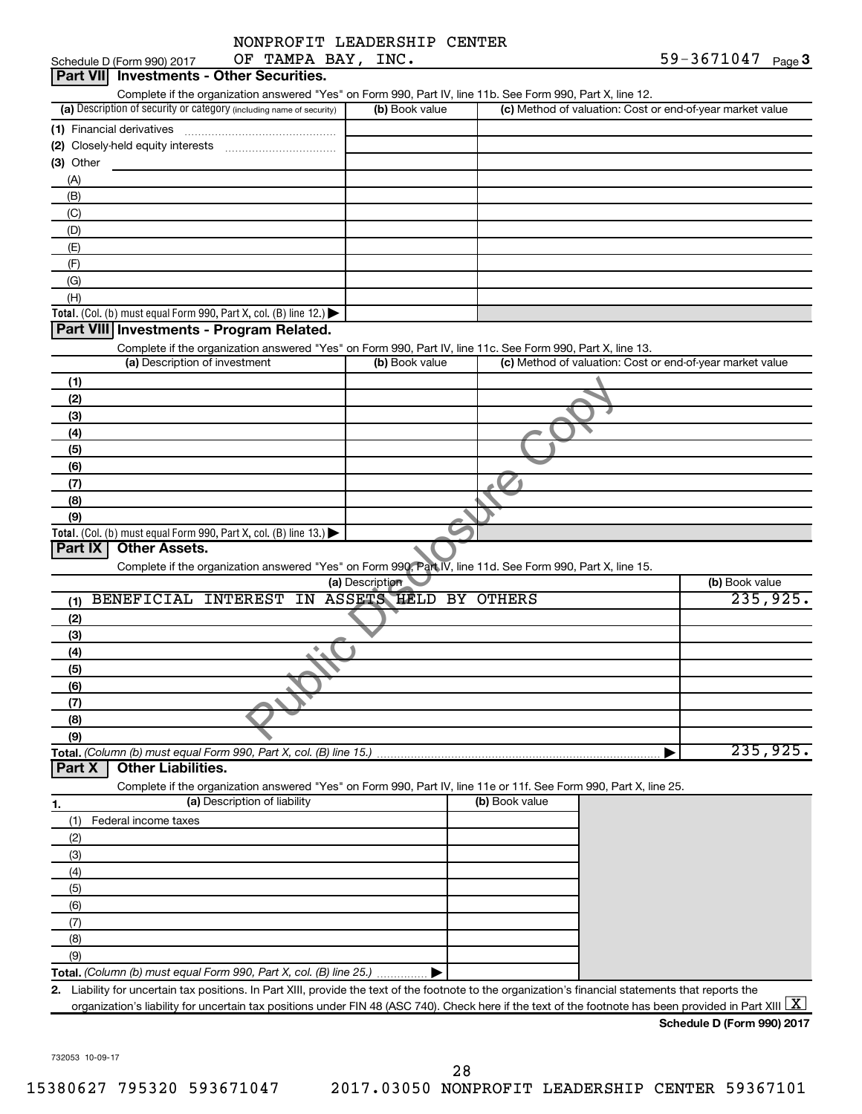| NONPROFIT LEADERSHIP CENTER |  |
|-----------------------------|--|
|                             |  |

| OF TAMPA BAY, INC.<br>Schedule D (Form 990) 2017                                                                                                                                             |                          |                                                           | 59-3671047 $_{Page}$ 3 |
|----------------------------------------------------------------------------------------------------------------------------------------------------------------------------------------------|--------------------------|-----------------------------------------------------------|------------------------|
| <b>Investments - Other Securities.</b><br><b>Part VIII</b>                                                                                                                                   |                          |                                                           |                        |
| Complete if the organization answered "Yes" on Form 990, Part IV, line 11b. See Form 990, Part X, line 12.                                                                                   |                          |                                                           |                        |
| (a) Description of security or category (including name of security)                                                                                                                         | (b) Book value           | (c) Method of valuation: Cost or end-of-year market value |                        |
| (1) Financial derivatives                                                                                                                                                                    |                          |                                                           |                        |
|                                                                                                                                                                                              |                          |                                                           |                        |
| $(3)$ Other                                                                                                                                                                                  |                          |                                                           |                        |
| (A)                                                                                                                                                                                          |                          |                                                           |                        |
| (B)                                                                                                                                                                                          |                          |                                                           |                        |
| (C)                                                                                                                                                                                          |                          |                                                           |                        |
| (D)                                                                                                                                                                                          |                          |                                                           |                        |
| (E)                                                                                                                                                                                          |                          |                                                           |                        |
| (F)                                                                                                                                                                                          |                          |                                                           |                        |
| (G)                                                                                                                                                                                          |                          |                                                           |                        |
| (H)                                                                                                                                                                                          |                          |                                                           |                        |
| Total. (Col. (b) must equal Form 990, Part X, col. (B) line 12.) $\blacktriangleright$                                                                                                       |                          |                                                           |                        |
| Part VIII Investments - Program Related.                                                                                                                                                     |                          |                                                           |                        |
| Complete if the organization answered "Yes" on Form 990, Part IV, line 11c. See Form 990, Part X, line 13.                                                                                   |                          |                                                           |                        |
| (a) Description of investment                                                                                                                                                                | (b) Book value           | (c) Method of valuation: Cost or end-of-year market value |                        |
|                                                                                                                                                                                              |                          |                                                           |                        |
| (1)                                                                                                                                                                                          |                          |                                                           |                        |
| (2)                                                                                                                                                                                          |                          |                                                           |                        |
| (3)                                                                                                                                                                                          |                          |                                                           |                        |
| (4)                                                                                                                                                                                          |                          |                                                           |                        |
| (5)                                                                                                                                                                                          |                          |                                                           |                        |
| (6)                                                                                                                                                                                          |                          |                                                           |                        |
| (7)                                                                                                                                                                                          |                          |                                                           |                        |
| (8)                                                                                                                                                                                          |                          |                                                           |                        |
| (9)                                                                                                                                                                                          |                          |                                                           |                        |
| Total. (Col. (b) must equal Form 990, Part X, col. (B) line 13.)                                                                                                                             |                          |                                                           |                        |
| Part IX<br><b>Other Assets.</b>                                                                                                                                                              |                          |                                                           |                        |
| Complete if the organization answered "Yes" on Form 990, Part IV, line 11d. See Form 990, Part X, line 15.                                                                                   |                          |                                                           |                        |
|                                                                                                                                                                                              | (a) Description          |                                                           | (b) Book value         |
| BENEFICIAL INTEREST<br>(1)                                                                                                                                                                   | IN ASSETS HELD BY OTHERS |                                                           | 235,925.               |
| (2)                                                                                                                                                                                          |                          |                                                           |                        |
| (3)                                                                                                                                                                                          |                          |                                                           |                        |
| ۰<br>(4)                                                                                                                                                                                     |                          |                                                           |                        |
| (5)                                                                                                                                                                                          |                          |                                                           |                        |
| (6)                                                                                                                                                                                          |                          |                                                           |                        |
| (7)                                                                                                                                                                                          |                          |                                                           |                        |
| (8)                                                                                                                                                                                          |                          |                                                           |                        |
| (9)                                                                                                                                                                                          |                          |                                                           |                        |
| Total. (Column (b) must equal Form 990, Part X, col. (B) line 15.)                                                                                                                           |                          |                                                           | 235,925.               |
| <b>Other Liabilities.</b><br>Part X                                                                                                                                                          |                          |                                                           |                        |
| Complete if the organization answered "Yes" on Form 990, Part IV, line 11e or 11f. See Form 990, Part X, line 25.                                                                            |                          |                                                           |                        |
| (a) Description of liability<br>1.                                                                                                                                                           |                          | (b) Book value                                            |                        |
| (1)<br>Federal income taxes                                                                                                                                                                  |                          |                                                           |                        |
| (2)                                                                                                                                                                                          |                          |                                                           |                        |
| (3)                                                                                                                                                                                          |                          |                                                           |                        |
| (4)                                                                                                                                                                                          |                          |                                                           |                        |
| (5)                                                                                                                                                                                          |                          |                                                           |                        |
| (6)                                                                                                                                                                                          |                          |                                                           |                        |
| (7)                                                                                                                                                                                          |                          |                                                           |                        |
| (8)                                                                                                                                                                                          |                          |                                                           |                        |
|                                                                                                                                                                                              |                          |                                                           |                        |
| (9)                                                                                                                                                                                          |                          |                                                           |                        |
| Total. (Column (b) must equal Form 990, Part X, col. (B) line 25.)                                                                                                                           |                          |                                                           |                        |
| 2. Liability for uncertain tax positions. In Part XIII, provide the text of the footnote to the organization's financial statements that reports the                                         |                          |                                                           |                        |
| organization's liability for uncertain tax positions under FIN 48 (ASC 740). Check here if the text of the footnote has been provided in Part XIII $\lfloor \textnormal{\textbf{X}} \rfloor$ |                          |                                                           |                        |

732053 10-09-17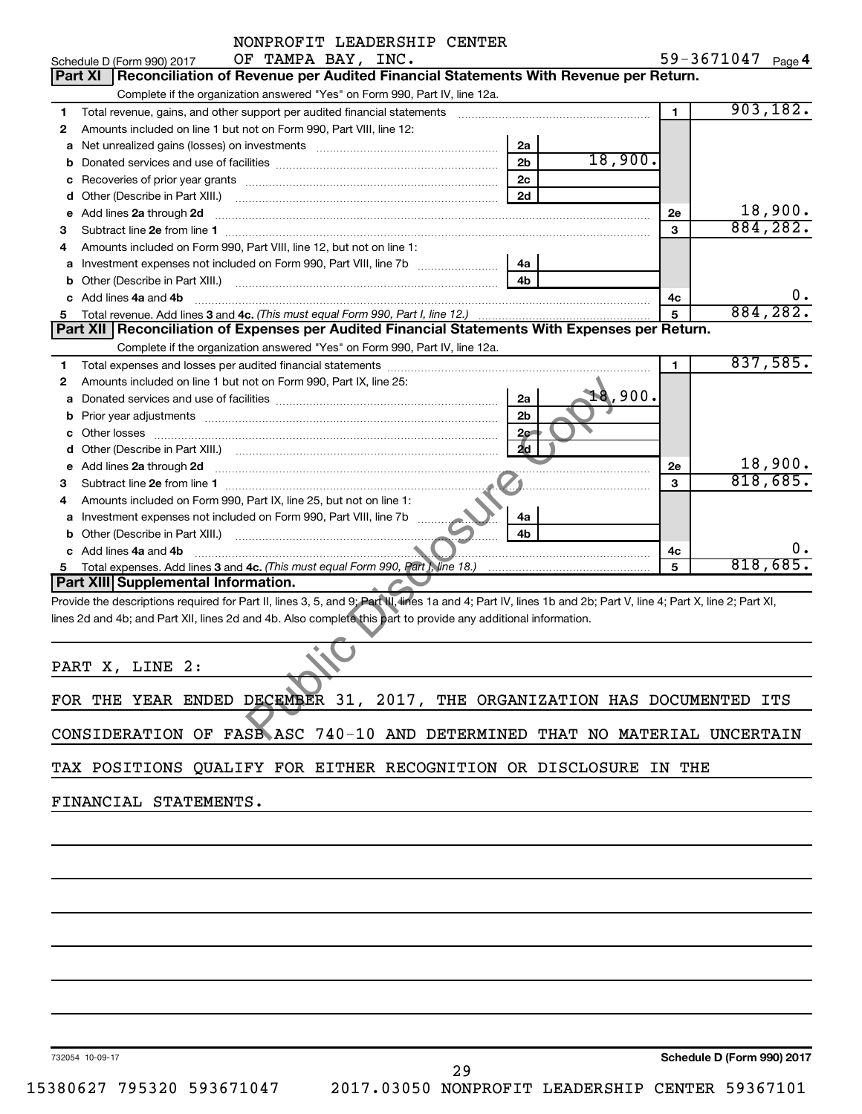|                                     | NONPROFIT LEADERSHIP CENTER                                                                                                                                    |                |         |                   |           |
|-------------------------------------|----------------------------------------------------------------------------------------------------------------------------------------------------------------|----------------|---------|-------------------|-----------|
| Schedule D (Form 990) 2017          | OF TAMPA BAY, INC.                                                                                                                                             |                |         | 59-3671047 Page 4 |           |
| <b>Part XI</b>                      | Reconciliation of Revenue per Audited Financial Statements With Revenue per Return.                                                                            |                |         |                   |           |
|                                     | Complete if the organization answered "Yes" on Form 990, Part IV, line 12a.                                                                                    |                |         |                   |           |
| 1                                   | Total revenue, gains, and other support per audited financial statements                                                                                       |                |         | $\blacksquare$    | 903, 182. |
| 2                                   | Amounts included on line 1 but not on Form 990, Part VIII, line 12:                                                                                            |                |         |                   |           |
| а                                   |                                                                                                                                                                | 2a             |         |                   |           |
| b                                   |                                                                                                                                                                | 2 <sub>b</sub> | 18,900. |                   |           |
| с                                   |                                                                                                                                                                | 2c             |         |                   |           |
| d                                   |                                                                                                                                                                | 2d             |         |                   |           |
| Add lines 2a through 2d<br>е        |                                                                                                                                                                |                |         | 2e                | 18,900.   |
| З                                   | Subtract line 2e from line 1 <b>manual contract and contract and contract line 2e</b> from line 1                                                              |                |         | 3                 | 884, 282. |
| 4                                   | Amounts included on Form 990, Part VIII, line 12, but not on line 1:                                                                                           |                |         |                   |           |
| а                                   | Investment expenses not included on Form 990, Part VIII, line 7b                                                                                               | 4a             |         |                   |           |
|                                     | Other (Describe in Part XIII.) [100] [100] [100] [100] [100] [100] [100] [100] [100] [100] [100] [100] [100] [                                                 | 4b             |         |                   |           |
| Add lines 4a and 4b                 | Total revenue. Add lines 3 and 4c. (This must equal Form 990, Part I, line 12.)                                                                                |                |         | 4c<br>5           | 884,282.  |
|                                     | Part XII   Reconciliation of Expenses per Audited Financial Statements With Expenses per Return.                                                               |                |         |                   |           |
|                                     | Complete if the organization answered "Yes" on Form 990, Part IV, line 12a.                                                                                    |                |         |                   |           |
| 1                                   |                                                                                                                                                                |                |         | $\blacksquare$    | 837,585.  |
| 2                                   | Amounts included on line 1 but not on Form 990, Part IX, line 25:                                                                                              |                |         |                   |           |
| a                                   |                                                                                                                                                                | 2a             | 18,900. |                   |           |
|                                     |                                                                                                                                                                | 2 <sub>b</sub> |         |                   |           |
|                                     |                                                                                                                                                                | 2c             |         |                   |           |
| d                                   |                                                                                                                                                                | 2d             |         |                   |           |
| е                                   |                                                                                                                                                                |                |         | 2e                | 18,900.   |
| З                                   |                                                                                                                                                                |                |         | 3                 | 818,685.  |
| 4                                   | Amounts included on Form 990, Part IX, line 25, but not on line 1:                                                                                             |                |         |                   |           |
| a                                   | Investment expenses not included on Form 990, Part VIII, line 7b                                                                                               | 4a             |         |                   |           |
|                                     |                                                                                                                                                                | مراسيسا<br>4b  |         |                   |           |
| Add lines 4a and 4b                 |                                                                                                                                                                |                |         | 4c                | υ.        |
| 5                                   |                                                                                                                                                                |                |         | 5                 | 818,685   |
| Part XIII Supplemental Information. |                                                                                                                                                                |                |         |                   |           |
|                                     | Provide the descriptions required for Part II, lines 3, 5, and 9; Part III, lines 1a and 4; Part IV, lines 1b and 2b; Part V, line 4; Part X, line 2; Part XI, |                |         |                   |           |
|                                     | lines 2d and 4b; and Part XII, lines 2d and 4b. Also complete this part to provide any additional information.                                                 |                |         |                   |           |
|                                     |                                                                                                                                                                |                |         |                   |           |
|                                     |                                                                                                                                                                |                |         |                   |           |
| PART X, LINE 2:                     |                                                                                                                                                                |                |         |                   |           |
|                                     |                                                                                                                                                                |                |         |                   |           |
|                                     | FOR THE YEAR ENDED DECEMBER 31, 2017, THE ORGANIZATION HAS DOCUMENTED ITS                                                                                      |                |         |                   |           |
|                                     |                                                                                                                                                                |                |         |                   |           |
|                                     | CONSIDERATION OF FASB ASC 740-10 AND DETERMINED THAT NO MATERIAL UNCERTAIN                                                                                     |                |         |                   |           |
|                                     |                                                                                                                                                                |                |         |                   |           |
|                                     | TAX POSITIONS QUALIFY FOR EITHER RECOGNITION OR DISCLOSURE IN THE                                                                                              |                |         |                   |           |
|                                     |                                                                                                                                                                |                |         |                   |           |
| FINANCIAL STATEMENTS.               |                                                                                                                                                                |                |         |                   |           |
|                                     |                                                                                                                                                                |                |         |                   |           |
|                                     |                                                                                                                                                                |                |         |                   |           |
|                                     |                                                                                                                                                                |                |         |                   |           |
|                                     |                                                                                                                                                                |                |         |                   |           |
|                                     |                                                                                                                                                                |                |         |                   |           |
|                                     |                                                                                                                                                                |                |         |                   |           |
|                                     |                                                                                                                                                                |                |         |                   |           |
|                                     |                                                                                                                                                                |                |         |                   |           |
|                                     |                                                                                                                                                                |                |         |                   |           |
|                                     |                                                                                                                                                                |                |         |                   |           |
|                                     |                                                                                                                                                                |                |         |                   |           |

732054 10-09-17

**Schedule D (Form 990) 2017**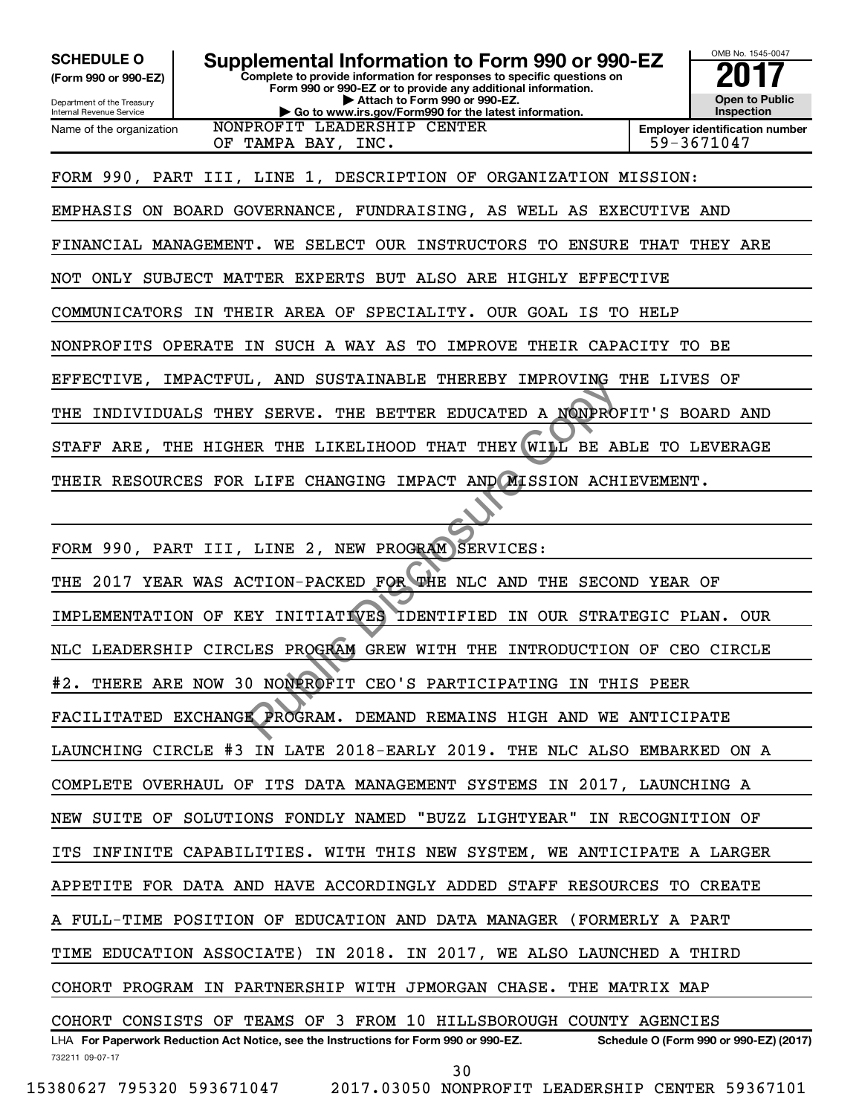**(Form 990 or 990-EZ)**

Department of the Treasury Internal Revenue Service Name of the organization

**Complete to provide information for responses to specific questions on Form 990 or 990-EZ or to provide any additional information. | Attach to Form 990 or 990-EZ. | Go to www.irs.gov/Form990 for the latest information. SCHEDULE O Supplemental Information to Form 990 or 990-EZ** <br>(Form 990 or 990-EZ) Complete to provide information for responses to specific questions on



**Employer identification number** OF TAMPA BAY, INC.  $\vert$  59-3671047

FORM 990, PART III, LINE 1, DESCRIPTION OF ORGANIZATION MISSION:

NONPROFIT LEADERSHIP CENTER

EMPHASIS ON BOARD GOVERNANCE, FUNDRAISING, AS WELL AS EXECUTIVE AND

FINANCIAL MANAGEMENT. WE SELECT OUR INSTRUCTORS TO ENSURE THAT THEY ARE

NOT ONLY SUBJECT MATTER EXPERTS BUT ALSO ARE HIGHLY EFFECTIVE

COMMUNICATORS IN THEIR AREA OF SPECIALITY. OUR GOAL IS TO HELP

NONPROFITS OPERATE IN SUCH A WAY AS TO IMPROVE THEIR CAPACITY TO BE

EFFECTIVE, IMPACTFUL, AND SUSTAINABLE THEREBY IMPROVING THE LIVES OF

THE INDIVIDUALS THEY SERVE. THE BETTER EDUCATED A NONPROFIT'S BOARD AND

STAFF ARE, THE HIGHER THE LIKELIHOOD THAT THEY WILL BE ABLE TO LEVERAGE

THEIR RESOURCES FOR LIFE CHANGING IMPACT AND MISSION ACHIEVEMENT.

732211 09-07-17 LHA For Paperwork Reduction Act Notice, see the Instructions for Form 990 or 990-EZ. Schedule O (Form 990 or 990-EZ) (2017) FORM 990, PART III, LINE 2, NEW PROGRAM SERVICES: THE 2017 YEAR WAS ACTION-PACKED FOR THE NLC AND THE SECOND YEAR OF IMPLEMENTATION OF KEY INITIATIVES IDENTIFIED IN OUR STRATEGIC PLAN. OUR NLC LEADERSHIP CIRCLES PROGRAM GREW WITH THE INTRODUCTION OF CEO CIRCLE #2. THERE ARE NOW 30 NONPROFIT CEO'S PARTICIPATING IN THIS PEER FACILITATED EXCHANGE PROGRAM. DEMAND REMAINS HIGH AND WE ANTICIPATE LAUNCHING CIRCLE #3 IN LATE 2018-EARLY 2019. THE NLC ALSO EMBARKED ON A COMPLETE OVERHAUL OF ITS DATA MANAGEMENT SYSTEMS IN 2017, LAUNCHING A NEW SUITE OF SOLUTIONS FONDLY NAMED "BUZZ LIGHTYEAR" IN RECOGNITION OF ITS INFINITE CAPABILITIES. WITH THIS NEW SYSTEM, WE ANTICIPATE A LARGER APPETITE FOR DATA AND HAVE ACCORDINGLY ADDED STAFF RESOURCES TO CREATE A FULL-TIME POSITION OF EDUCATION AND DATA MANAGER (FORMERLY A PART TIME EDUCATION ASSOCIATE) IN 2018. IN 2017, WE ALSO LAUNCHED A THIRD COHORT PROGRAM IN PARTNERSHIP WITH JPMORGAN CHASE. THE MATRIX MAP COHORT CONSISTS OF TEAMS OF 3 FROM 10 HILLSBOROUGH COUNTY AGENCIES ER THE LIKELIHOOD THAT THEY WILL BE AFTER EDUCATED A NONPROPERT THE LIKELIHOOD THAT THEY WILL BE AFTER CHANGING IMPACT AND MISSION ACHINE COPY OF THE CORPORAL SERVICES:<br>
THE CHANGING IMPACT AND MISSION ACHINE COPY OF THE M

15380627 795320 593671047 2017.03050 NONPROFIT LEADERSHIP CENTER 59367101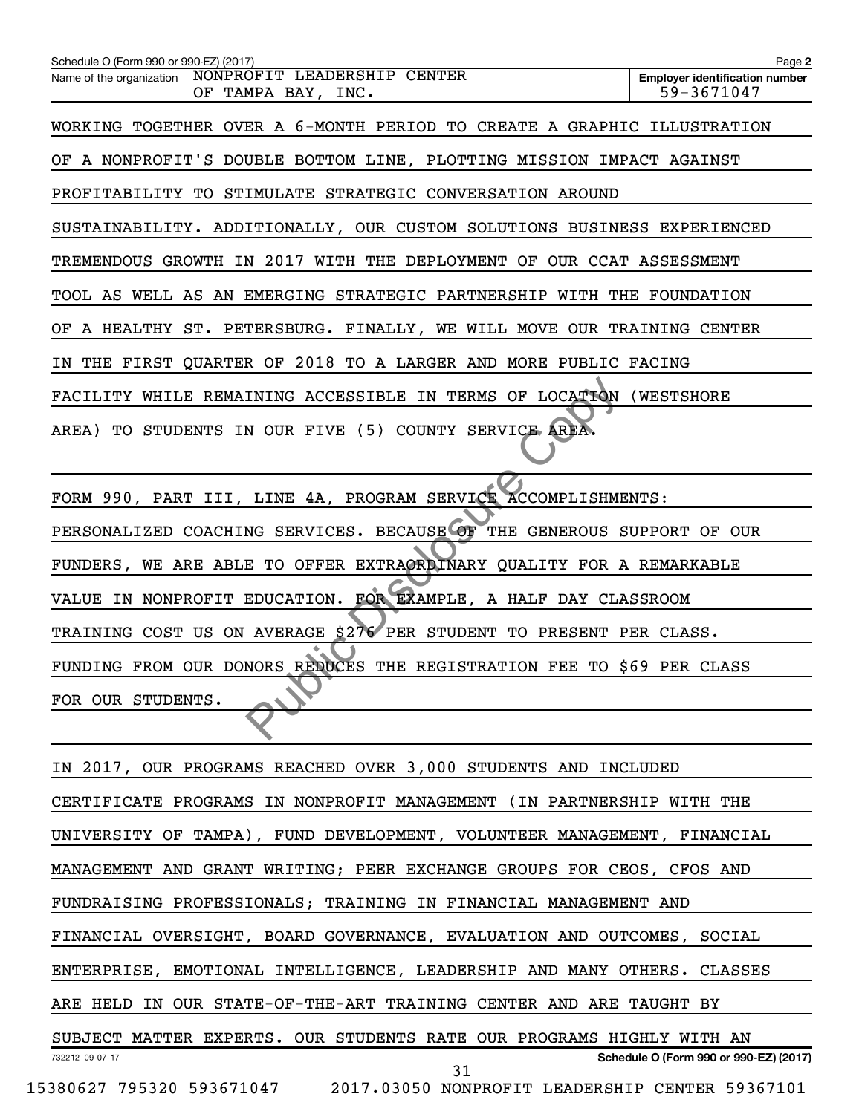| Schedule O (Form 990 or 990-EZ) (2017)                                      | Page 2                                              |
|-----------------------------------------------------------------------------|-----------------------------------------------------|
| Name of the organization  NONPROFIT LEADERSHIP CENTER<br>OF TAMPA BAY, INC. | <b>Employer identification number</b><br>59-3671047 |
| WORKING TOGETHER OVER A 6-MONTH PERIOD TO CREATE A GRAPHIC ILLUSTRATION     |                                                     |
| OF A NONPROFIT'S DOUBLE BOTTOM LINE, PLOTTING MISSION IMPACT AGAINST        |                                                     |
| PROFITABILITY TO STIMULATE STRATEGIC CONVERSATION AROUND                    |                                                     |
| SUSTAINABILITY. ADDITIONALLY, OUR CUSTOM SOLUTIONS BUSINESS EXPERIENCED     |                                                     |
| TREMENDOUS GROWTH IN 2017 WITH THE DEPLOYMENT OF OUR CCAT ASSESSMENT        |                                                     |
| TOOL AS WELL AS AN EMERGING STRATEGIC PARTNERSHIP WITH THE FOUNDATION       |                                                     |
| OF A HEALTHY ST. PETERSBURG. FINALLY, WE WILL MOVE OUR TRAINING CENTER      |                                                     |
| IN THE FIRST QUARTER OF 2018 TO A LARGER AND MORE PUBLIC FACING             |                                                     |
| FACILITY WHILE REMAINING ACCESSIBLE IN TERMS OF LOCATION (WESTSHORE         |                                                     |
| AREA) TO STUDENTS IN OUR FIVE (5) COUNTY SERVICE AREA.                      |                                                     |
|                                                                             |                                                     |
| FORM 990, PART III, LINE 4A, PROGRAM SERVICE ACCOMPLISHMENTS:               |                                                     |
| PERSONALIZED COACHING SERVICES. BECAUSE OF THE GENEROUS SUPPORT OF OUR      |                                                     |
| FUNDERS, WE ARE ABLE TO OFFER EXTRAORDINARY QUALITY FOR A REMARKABLE        |                                                     |
| VALUE IN NONPROFIT EDUCATION. FOR EXAMPLE, A HALF DAY CLASSROOM             |                                                     |
| TRAINING COST US ON AVERAGE \$276 PER STUDENT TO PRESENT PER CLASS.         |                                                     |
| FUNDING FROM OUR DONORS REDUCES THE REGISTRATION FEE TO \$69 PER CLASS      |                                                     |
| FOR OUR STUDENTS.                                                           |                                                     |
|                                                                             |                                                     |
|                                                                             |                                                     |

732212 09-07-17 **Schedule O (Form 990 or 990-EZ) (2017)** IN 2017, OUR PROGRAMS REACHED OVER 3,000 STUDENTS AND INCLUDED CERTIFICATE PROGRAMS IN NONPROFIT MANAGEMENT (IN PARTNERSHIP WITH THE UNIVERSITY OF TAMPA), FUND DEVELOPMENT, VOLUNTEER MANAGEMENT, FINANCIAL MANAGEMENT AND GRANT WRITING; PEER EXCHANGE GROUPS FOR CEOS, CFOS AND FUNDRAISING PROFESSIONALS; TRAINING IN FINANCIAL MANAGEMENT AND FINANCIAL OVERSIGHT, BOARD GOVERNANCE, EVALUATION AND OUTCOMES, SOCIAL ENTERPRISE, EMOTIONAL INTELLIGENCE, LEADERSHIP AND MANY OTHERS. CLASSES ARE HELD IN OUR STATE-OF-THE-ART TRAINING CENTER AND ARE TAUGHT BY SUBJECT MATTER EXPERTS. OUR STUDENTS RATE OUR PROGRAMS HIGHLY WITH AN 15380627 795320 593671047 2017.03050 NONPROFIT LEADERSHIP CENTER 59367101 31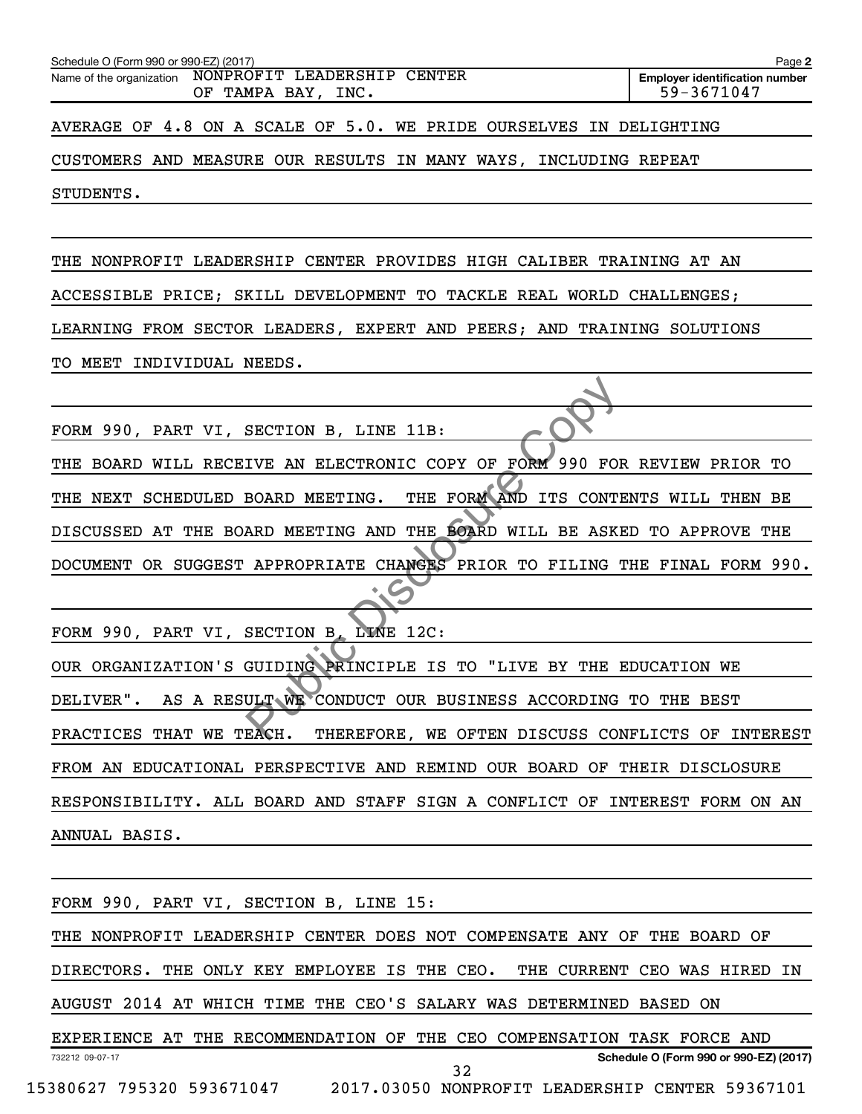| Schedule O (Form 990 or 990-EZ) (2017)                                        | Page 2                                              |  |  |  |
|-------------------------------------------------------------------------------|-----------------------------------------------------|--|--|--|
| NONPROFIT LEADERSHIP CENTER<br>Name of the organization<br>OF TAMPA BAY, INC. | <b>Employer identification number</b><br>59-3671047 |  |  |  |
|                                                                               |                                                     |  |  |  |
| AVERAGE OF 4.8 ON A SCALE OF 5.0. WE PRIDE OURSELVES IN DELIGHTING            |                                                     |  |  |  |
| CUSTOMERS AND MEASURE OUR RESULTS IN MANY WAYS, INCLUDING REPEAT              |                                                     |  |  |  |
| STUDENTS.                                                                     |                                                     |  |  |  |
|                                                                               |                                                     |  |  |  |
| THE NONPROFIT LEADERSHIP CENTER PROVIDES HIGH CALIBER TRAINING AT AN          |                                                     |  |  |  |
| ACCESSIBLE PRICE; SKILL DEVELOPMENT TO TACKLE REAL WORLD CHALLENGES;          |                                                     |  |  |  |
| LEARNING FROM SECTOR LEADERS, EXPERT AND PEERS; AND TRAINING SOLUTIONS        |                                                     |  |  |  |
| TO MEET INDIVIDUAL NEEDS.                                                     |                                                     |  |  |  |
|                                                                               |                                                     |  |  |  |
| FORM 990, PART VI, SECTION B, LINE 11B:                                       |                                                     |  |  |  |
|                                                                               |                                                     |  |  |  |
| THE BOARD WILL RECEIVE AN ELECTRONIC COPY OF FORM 990 FOR REVIEW PRIOR TO     |                                                     |  |  |  |
| THE FORM AND ITS CONTENTS WILL THEN BE<br>THE NEXT SCHEDULED BOARD MEETING.   |                                                     |  |  |  |
| DISCUSSED AT THE BOARD MEETING AND THE BOARD WILL BE ASKED TO APPROVE THE     |                                                     |  |  |  |
| DOCUMENT OR SUGGEST APPROPRIATE CHANGES PRIOR TO FILING THE FINAL FORM 990.   |                                                     |  |  |  |
|                                                                               |                                                     |  |  |  |
| FORM 990, PART VI, SECTION B, LINE 12C:                                       |                                                     |  |  |  |
| OUR ORGANIZATION'S GUIDING PRINCIPLE IS TO "LIVE BY THE EDUCATION WE          |                                                     |  |  |  |
| DELIVER". AS A RESULT WE CONDUCT OUR BUSINESS ACCORDING TO THE BEST           |                                                     |  |  |  |
| PRACTICES THAT WE TEACH. THEREFORE, WE OFTEN DISCUSS CONFLICTS OF INTEREST    |                                                     |  |  |  |
| FROM AN EDUCATIONAL PERSPECTIVE AND REMIND OUR BOARD OF THEIR DISCLOSURE      |                                                     |  |  |  |
| RESPONSIBILITY. ALL BOARD AND STAFF SIGN A CONFLICT OF INTEREST FORM ON AN    |                                                     |  |  |  |
| ANNUAL BASIS.                                                                 |                                                     |  |  |  |
|                                                                               |                                                     |  |  |  |
| FORM 990, PART VI, SECTION B, LINE 15:                                        |                                                     |  |  |  |
| THE NONPROFIT LEADERSHIP CENTER DOES NOT COMPENSATE ANY OF THE BOARD OF       |                                                     |  |  |  |
| DIRECTORS. THE ONLY KEY EMPLOYEE IS THE CEO. THE CURRENT CEO WAS HIRED IN     |                                                     |  |  |  |

AUGUST 2014 AT WHICH TIME THE CEO'S SALARY WAS DETERMINED BASED ON

732212 09-07-17 **Schedule O (Form 990 or 990-EZ) (2017)** EXPERIENCE AT THE RECOMMENDATION OF THE CEO COMPENSATION TASK FORCE AND 15380627 795320 593671047 2017.03050 NONPROFIT LEADERSHIP CENTER 59367101 32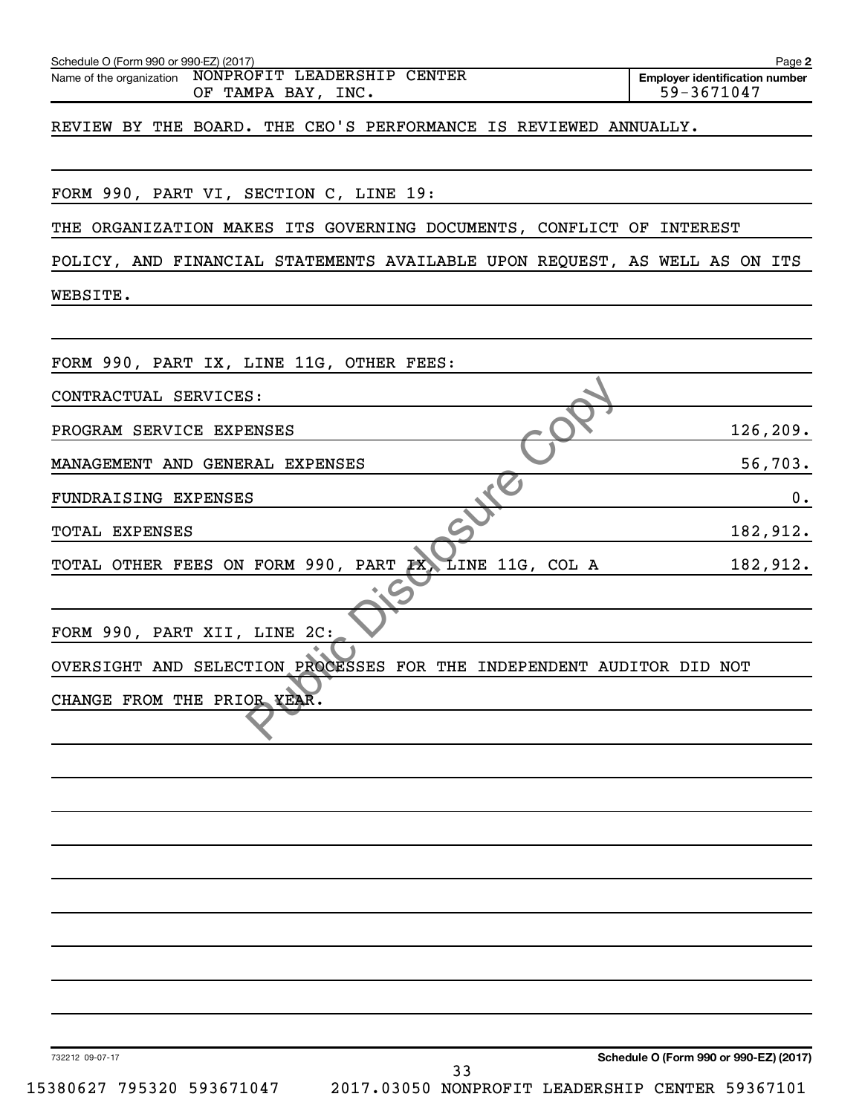| Schedule O (Form 990 or 990-EZ) (2017)<br>Name of the organization NONPROFIT LEADERSHIP CENTER<br>OF TAMPA BAY, INC. | <b>Employer identification number</b><br>59-3671047                                       |
|----------------------------------------------------------------------------------------------------------------------|-------------------------------------------------------------------------------------------|
| REVIEW BY THE BOARD. THE CEO'S PERFORMANCE IS REVIEWED ANNUALLY.                                                     |                                                                                           |
| FORM 990, PART VI, SECTION C, LINE 19:                                                                               |                                                                                           |
| THE ORGANIZATION MAKES ITS GOVERNING DOCUMENTS, CONFLICT OF INTEREST                                                 |                                                                                           |
| POLICY, AND FINANCIAL STATEMENTS AVAILABLE UPON REQUEST, AS WELL AS ON ITS                                           |                                                                                           |
| WEBSITE.                                                                                                             |                                                                                           |
| FORM 990, PART IX, LINE 11G, OTHER FEES:                                                                             |                                                                                           |
| CONTRACTUAL SERVICES:                                                                                                |                                                                                           |
| PROGRAM SERVICE EXPENSES                                                                                             | 126, 209.                                                                                 |
| MANAGEMENT AND GENERAL EXPENSES                                                                                      | 56,703.                                                                                   |
| FUNDRAISING EXPENSES                                                                                                 | 0.                                                                                        |
| TOTAL EXPENSES                                                                                                       | 182,912.                                                                                  |
| TOTAL OTHER FEES ON FORM 990, PART IX, LINE 11G, COL A                                                               | 182,912.                                                                                  |
|                                                                                                                      |                                                                                           |
| FORM 990, PART XII, LINE 2C:                                                                                         |                                                                                           |
| OVERSIGHT AND SELECTION PROCESSES FOR THE INDEPENDENT AUDITOR DID NOT                                                |                                                                                           |
| CHANGE FROM THE PRIOR YEAR                                                                                           |                                                                                           |
|                                                                                                                      |                                                                                           |
|                                                                                                                      |                                                                                           |
|                                                                                                                      |                                                                                           |
|                                                                                                                      |                                                                                           |
|                                                                                                                      |                                                                                           |
|                                                                                                                      |                                                                                           |
|                                                                                                                      |                                                                                           |
|                                                                                                                      |                                                                                           |
|                                                                                                                      |                                                                                           |
|                                                                                                                      |                                                                                           |
| 732212 09-07-17<br>33                                                                                                | Schedule O (Form 990 or 990-EZ) (2017)<br>2017.03050 NONPROFIT LEADERSHIP CENTER 59367101 |